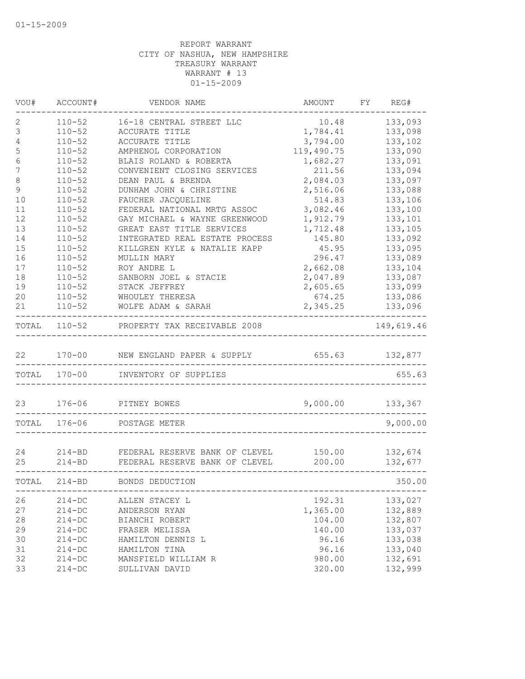| VOU#             | ACCOUNT#     | VENDOR NAME                    | AMOUNT     | FY | REG#       |
|------------------|--------------|--------------------------------|------------|----|------------|
| 2                | $110 - 52$   | 16-18 CENTRAL STREET LLC       | 10.48      |    | 133,093    |
| 3                | $110 - 52$   | ACCURATE TITLE                 | 1,784.41   |    | 133,098    |
| 4                | $110 - 52$   | ACCURATE TITLE                 | 3,794.00   |    | 133,102    |
| 5                | $110 - 52$   | AMPHENOL CORPORATION           | 119,490.75 |    | 133,090    |
| $\epsilon$       | $110 - 52$   | BLAIS ROLAND & ROBERTA         | 1,682.27   |    | 133,091    |
| $\boldsymbol{7}$ | $110 - 52$   | CONVENIENT CLOSING SERVICES    | 211.56     |    | 133,094    |
| $\,8\,$          | $110 - 52$   | DEAN PAUL & BRENDA             | 2,084.03   |    | 133,097    |
| $\mathsf 9$      | $110 - 52$   | DUNHAM JOHN & CHRISTINE        | 2,516.06   |    | 133,088    |
| 10               | $110 - 52$   | FAUCHER JACQUELINE             | 514.83     |    | 133,106    |
| 11               | $110 - 52$   | FEDERAL NATIONAL MRTG ASSOC    | 3,082.46   |    | 133,100    |
| 12               | $110 - 52$   | GAY MICHAEL & WAYNE GREENWOOD  | 1,912.79   |    | 133,101    |
| 13               | $110 - 52$   | GREAT EAST TITLE SERVICES      | 1,712.48   |    | 133,105    |
| 14               | $110 - 52$   | INTEGRATED REAL ESTATE PROCESS | 145.80     |    | 133,092    |
| 15               | $110 - 52$   | KILLGREN KYLE & NATALIE KAPP   | 45.95      |    | 133,095    |
| 16               | $110 - 52$   | MULLIN MARY                    | 296.47     |    | 133,089    |
| 17               | $110 - 52$   | ROY ANDRE L                    | 2,662.08   |    | 133,104    |
| 18               | $110 - 52$   | SANBORN JOEL & STACIE          | 2,047.89   |    | 133,087    |
| 19               | $110 - 52$   | STACK JEFFREY                  | 2,605.65   |    | 133,099    |
| 20               | $110 - 52$   | WHOULEY THERESA                | 674.25     |    | 133,086    |
| 21               | $110 - 52$   | WOLFE ADAM & SARAH             | 2,345.25   |    | 133,096    |
|                  |              |                                |            |    |            |
| TOTAL            | $110 - 52$   | PROPERTY TAX RECEIVABLE 2008   |            |    | 149,619.46 |
|                  |              |                                |            |    |            |
| 22               | $170 - 00$   | NEW ENGLAND PAPER & SUPPLY     | 655.63     |    | 132,877    |
|                  | TOTAL 170-00 | INVENTORY OF SUPPLIES          |            |    | 655.63     |
| 23               | $176 - 06$   | PITNEY BOWES                   | 9,000.00   |    | 133,367    |
| TOTAL            | 176-06       | POSTAGE METER                  |            |    | 9,000.00   |
|                  |              |                                |            |    |            |
| 24               | $214 - BD$   | FEDERAL RESERVE BANK OF CLEVEL | 150.00     |    | 132,674    |
| 25               | $214 - BD$   | FEDERAL RESERVE BANK OF CLEVEL | 200.00     |    | 132,677    |
| TOTAL            | $214 - BD$   | BONDS DEDUCTION                |            |    | 350.00     |
| 26               | $214 - DC$   | ALLEN STACEY L                 | 192.31     |    | 133,027    |
| 27               | $214 - DC$   | ANDERSON RYAN                  | 1,365.00   |    | 132,889    |
| 28               | $214 - DC$   | BIANCHI ROBERT                 | 104.00     |    | 132,807    |
| 29               | $214 - DC$   | FRASER MELISSA                 | 140.00     |    | 133,037    |
| 30               | $214 - DC$   | HAMILTON DENNIS L              | 96.16      |    | 133,038    |
| 31               | $214 - DC$   | HAMILTON TINA                  | 96.16      |    | 133,040    |
| 32               | $214 - DC$   | MANSFIELD WILLIAM R            | 980.00     |    | 132,691    |
| 33               | $214 - DC$   | SULLIVAN DAVID                 | 320.00     |    | 132,999    |
|                  |              |                                |            |    |            |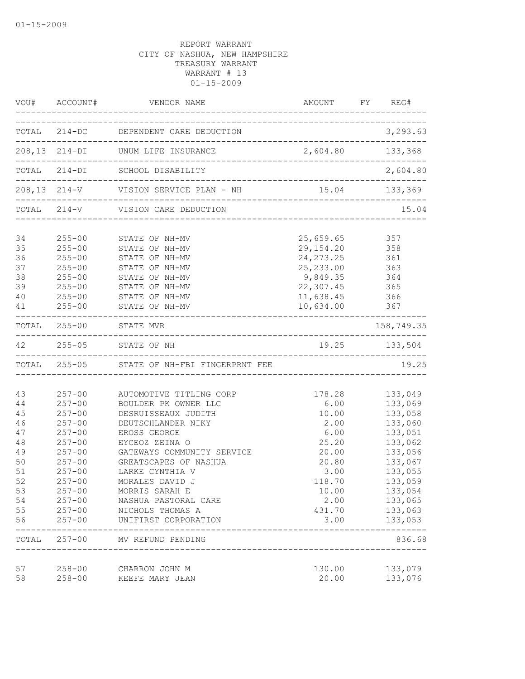|                                                                                           | VOU# ACCOUNT#                                                                                                                                                                                    | VENDOR NAME                                                                                                                                                                                                                                                                                                                                   | AMOUNT FY REG#                                                                                                          |                                                                                                                                                                  |
|-------------------------------------------------------------------------------------------|--------------------------------------------------------------------------------------------------------------------------------------------------------------------------------------------------|-----------------------------------------------------------------------------------------------------------------------------------------------------------------------------------------------------------------------------------------------------------------------------------------------------------------------------------------------|-------------------------------------------------------------------------------------------------------------------------|------------------------------------------------------------------------------------------------------------------------------------------------------------------|
|                                                                                           |                                                                                                                                                                                                  | TOTAL 214-DC DEPENDENT CARE DEDUCTION                                                                                                                                                                                                                                                                                                         |                                                                                                                         | 3,293.63                                                                                                                                                         |
|                                                                                           |                                                                                                                                                                                                  |                                                                                                                                                                                                                                                                                                                                               |                                                                                                                         |                                                                                                                                                                  |
|                                                                                           |                                                                                                                                                                                                  | TOTAL 214-DI SCHOOL DISABILITY                                                                                                                                                                                                                                                                                                                |                                                                                                                         | 2,604.80                                                                                                                                                         |
|                                                                                           |                                                                                                                                                                                                  |                                                                                                                                                                                                                                                                                                                                               |                                                                                                                         |                                                                                                                                                                  |
|                                                                                           |                                                                                                                                                                                                  | TOTAL 214-V VISION CARE DEDUCTION                                                                                                                                                                                                                                                                                                             |                                                                                                                         | 15.04                                                                                                                                                            |
| 34<br>35<br>36<br>37                                                                      | $255 - 00$                                                                                                                                                                                       | 255-00 STATE OF NH-MV<br>255-00 STATE OF NH-MV<br>255-00 STATE OF NH-MV<br>STATE OF NH-MV                                                                                                                                                                                                                                                     | 25,659.65 357<br>29, 154. 20 358<br>24, 273. 25 361<br>25, 233.00 363                                                   |                                                                                                                                                                  |
| 38<br>39<br>40<br>41                                                                      | $255 - 00$<br>$255 - 00$<br>$255 - 00$                                                                                                                                                           | STATE OF NH-MV<br>STATE OF NH-MV<br>STATE OF NH-MV<br>STATE OF NH-MV                                                                                                                                                                                                                                                                          | 9,849.35 364<br>22,307.45<br>11,638.45<br>10,634.00                                                                     | 365<br>366<br>367                                                                                                                                                |
|                                                                                           |                                                                                                                                                                                                  | TOTAL 255-00 STATE MVR                                                                                                                                                                                                                                                                                                                        |                                                                                                                         | 158,749.35                                                                                                                                                       |
|                                                                                           |                                                                                                                                                                                                  | 42 255-05 STATE OF NH                                                                                                                                                                                                                                                                                                                         | 19.25 133,504                                                                                                           |                                                                                                                                                                  |
|                                                                                           |                                                                                                                                                                                                  | TOTAL 255-05 STATE OF NH-FBI FINGERPRNT FEE                                                                                                                                                                                                                                                                                                   |                                                                                                                         | 19.25                                                                                                                                                            |
| 43<br>44<br>45<br>46<br>47<br>48<br>49<br>50<br>51<br>52<br>53<br>54<br>55<br>56<br>TOTAL | $257 - 00$<br>$257 - 00$<br>$257 - 00$<br>$257 - 00$<br>$257 - 00$<br>$257 - 00$<br>$257 - 00$<br>$257 - 00$<br>$257 - 00$<br>$257 - 00$<br>$257 - 00$<br>$257 - 00$<br>$257 - 00$<br>$257 - 00$ | 257-00 AUTOMOTIVE TITLING CORP<br>BOULDER PK OWNER LLC<br>DESRUISSEAUX JUDITH<br>DEUTSCHLANDER NIKY<br>EROSS GEORGE<br>EYCEOZ ZEINA O<br>GATEWAYS COMMUNITY SERVICE<br>GREATSCAPES OF NASHUA<br>LARKE CYNTHIA V<br>MORALES DAVID J<br>MORRIS SARAH E<br>NASHUA PASTORAL CARE<br>NICHOLS THOMAS A<br>UNIFIRST CORPORATION<br>MV REFUND PENDING | 178.28<br>6.00<br>10.00<br>2.00<br>6.00<br>25.20<br>20.00<br>20.80<br>3.00<br>118.70<br>10.00<br>2.00<br>431.70<br>3.00 | 133,049<br>133,069<br>133,058<br>133,060<br>133,051<br>133,062<br>133,056<br>133,067<br>133,055<br>133,059<br>133,054<br>133,065<br>133,063<br>133,053<br>836.68 |
| 57<br>58                                                                                  | $258 - 00$<br>$258 - 00$                                                                                                                                                                         | CHARRON JOHN M<br>KEEFE MARY JEAN                                                                                                                                                                                                                                                                                                             | 130.00<br>20.00                                                                                                         | 133,079<br>133,076                                                                                                                                               |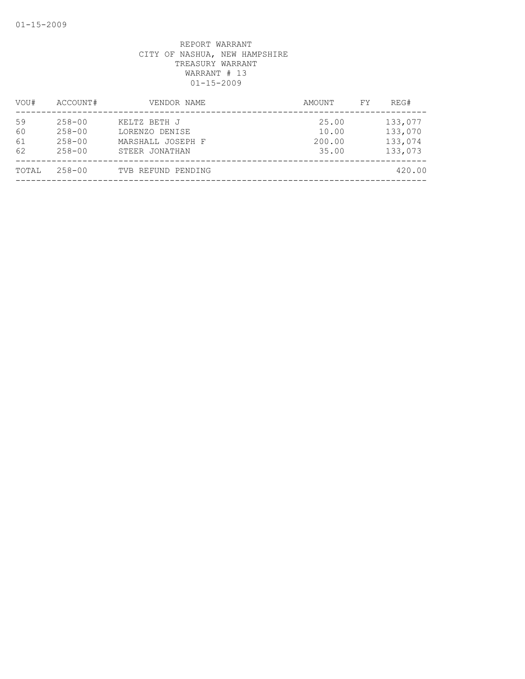| VOU#                 | ACCOUNT#                                             | VENDOR NAME                                                           | AMOUNT                            | FY. | REG#                                     |
|----------------------|------------------------------------------------------|-----------------------------------------------------------------------|-----------------------------------|-----|------------------------------------------|
| 59<br>60<br>61<br>62 | $258 - 00$<br>$258 - 00$<br>$258 - 00$<br>$258 - 00$ | KELTZ BETH J<br>LORENZO DENISE<br>MARSHALL JOSEPH F<br>STEER JONATHAN | 25.00<br>10.00<br>200.00<br>35.00 |     | 133,077<br>133,070<br>133,074<br>133,073 |
| TOTAL                | $258 - 00$                                           | TVB REFUND PENDING                                                    |                                   |     | 420.00                                   |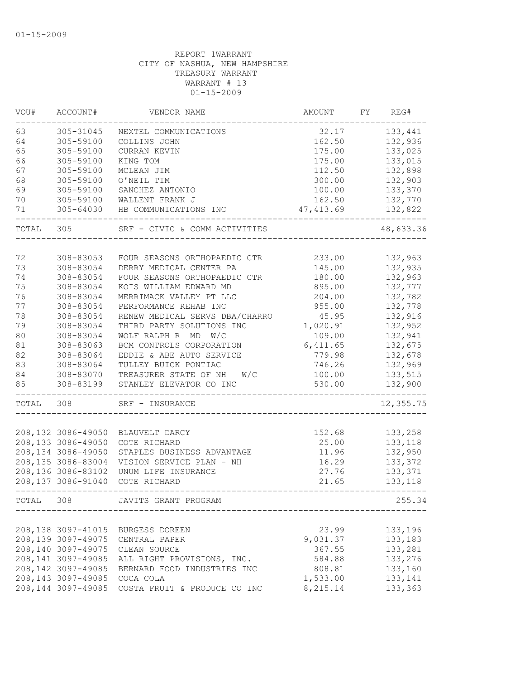| VOU#  | ACCOUNT#            | VENDOR NAME                    | AMOUNT     | FY | REG#      |
|-------|---------------------|--------------------------------|------------|----|-----------|
| 63    | 305-31045           | NEXTEL COMMUNICATIONS          | 32.17      |    | 133,441   |
| 64    | 305-59100           | COLLINS JOHN                   | 162.50     |    | 132,936   |
| 65    | 305-59100           | CURRAN KEVIN                   | 175.00     |    | 133,025   |
| 66    | 305-59100           | KING TOM                       | 175.00     |    | 133,015   |
| 67    | 305-59100           | MCLEAN JIM                     | 112.50     |    | 132,898   |
| 68    | 305-59100           | O'NEIL TIM                     | 300.00     |    | 132,903   |
| 69    | 305-59100           | SANCHEZ ANTONIO                | 100.00     |    | 133,370   |
| 70    | 305-59100           | WALLENT FRANK J                | 162.50     |    | 132,770   |
| 71    | $305 - 64030$       | HB COMMUNICATIONS INC          | 47, 413.69 |    | 132,822   |
| TOTAL | 305                 | SRF - CIVIC & COMM ACTIVITIES  |            |    | 48,633.36 |
|       |                     |                                |            |    |           |
| 72    | 308-83053           | FOUR SEASONS ORTHOPAEDIC CTR   | 233.00     |    | 132,963   |
| 73    | 308-83054           | DERRY MEDICAL CENTER PA        | 145.00     |    | 132,935   |
| 74    | 308-83054           | FOUR SEASONS ORTHOPAEDIC CTR   | 180.00     |    | 132,963   |
| 75    | 308-83054           | KOIS WILLIAM EDWARD MD         | 895.00     |    | 132,777   |
| 76    | 308-83054           | MERRIMACK VALLEY PT LLC        | 204.00     |    | 132,782   |
| 77    | 308-83054           | PERFORMANCE REHAB INC          | 955.00     |    | 132,778   |
| 78    | 308-83054           | RENEW MEDICAL SERVS DBA/CHARRO | 45.95      |    | 132,916   |
| 79    | 308-83054           | THIRD PARTY SOLUTIONS INC      | 1,020.91   |    | 132,952   |
| 80    | 308-83054           | WOLF RALPH R MD W/C            | 109.00     |    | 132,941   |
| 81    | 308-83063           | BCM CONTROLS CORPORATION       | 6,411.65   |    | 132,675   |
| 82    | 308-83064           | EDDIE & ABE AUTO SERVICE       | 779.98     |    | 132,678   |
| 83    | 308-83064           | TULLEY BUICK PONTIAC           | 746.26     |    | 132,969   |
| 84    | 308-83070           | TREASURER STATE OF NH<br>W/C   | 100.00     |    | 133,515   |
| 85    | 308-83199           | STANLEY ELEVATOR CO INC        | 530.00     |    | 132,900   |
| TOTAL | 308                 | SRF - INSURANCE                |            |    | 12,355.75 |
|       |                     |                                |            |    |           |
|       | 208,132 3086-49050  | BLAUVELT DARCY                 | 152.68     |    | 133,258   |
|       | 208,133 3086-49050  | COTE RICHARD                   | 25.00      |    | 133,118   |
|       | 208,134 3086-49050  | STAPLES BUSINESS ADVANTAGE     | 11.96      |    | 132,950   |
|       | 208,135 3086-83004  | VISION SERVICE PLAN - NH       | 16.29      |    | 133,372   |
|       | 208,136 3086-83102  | UNUM LIFE INSURANCE            | 27.76      |    | 133,371   |
|       | 208,137 3086-91040  | COTE RICHARD                   | 21.65      |    | 133,118   |
| TOTAL | 308                 | JAVITS GRANT PROGRAM           |            |    | 255.34    |
|       |                     |                                |            |    |           |
|       | 208,138 3097-41015  | BURGESS DOREEN                 | 23.99      |    | 133,196   |
|       | 208,139 3097-49075  | CENTRAL PAPER                  | 9,031.37   |    | 133,183   |
|       | 208,140 3097-49075  | CLEAN SOURCE                   | 367.55     |    | 133,281   |
|       | 208, 141 3097-49085 | ALL RIGHT PROVISIONS, INC.     | 584.88     |    | 133,276   |
|       | 208, 142 3097-49085 | BERNARD FOOD INDUSTRIES INC    | 808.81     |    | 133,160   |
|       | 208, 143 3097-49085 | COCA COLA                      | 1,533.00   |    | 133,141   |
|       | 208,144 3097-49085  | COSTA FRUIT & PRODUCE CO INC   | 8,215.14   |    | 133,363   |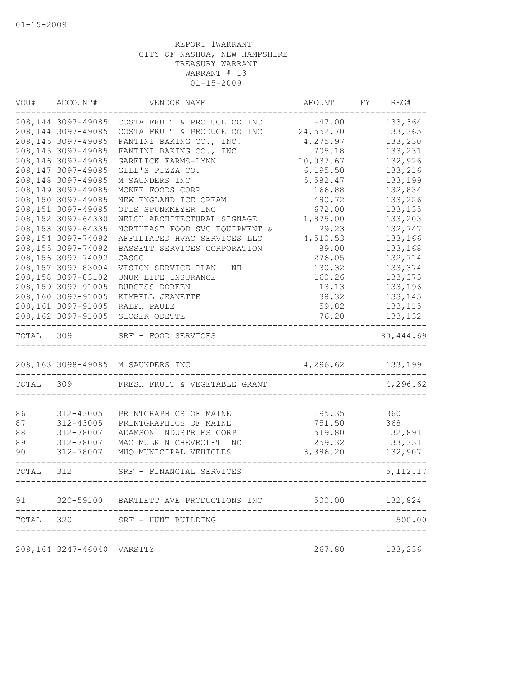| VOU#      | ACCOUNT#                   | VENDOR NAME                               | AMOUNT           | FY | REG#      |
|-----------|----------------------------|-------------------------------------------|------------------|----|-----------|
|           | 208,144 3097-49085         | COSTA FRUIT & PRODUCE CO INC              | $-47.00$         |    | 133,364   |
|           | 208,144 3097-49085         | COSTA FRUIT & PRODUCE CO INC              | 24,552.70        |    | 133,365   |
|           | 208,145 3097-49085         | FANTINI BAKING CO., INC.                  | 4,275.97         |    | 133,230   |
|           | 208,145 3097-49085         | FANTINI BAKING CO., INC.                  | 705.18           |    | 133,231   |
|           | 208,146 3097-49085         | GARELICK FARMS-LYNN                       | 10,037.67        |    | 132,926   |
|           | 208, 147 3097-49085        | GILL'S PIZZA CO.                          | 6, 195.50        |    | 133,216   |
|           | 208,148 3097-49085         | M SAUNDERS INC                            | 5,582.47         |    | 133,199   |
|           | 208,149 3097-49085         | MCKEE FOODS CORP                          | 166.88           |    | 132,834   |
|           | 208,150 3097-49085         | NEW ENGLAND ICE CREAM                     | 480.72           |    | 133,226   |
|           | 208,151 3097-49085         | OTIS SPUNKMEYER INC                       | 672.00           |    | 133,135   |
|           | 208,152 3097-64330         | WELCH ARCHITECTURAL SIGNAGE               | 1,875.00         |    | 133,203   |
|           | 208, 153 3097-64335        | NORTHEAST FOOD SVC EQUIPMENT &            | 29.23            |    | 132,747   |
|           | 208,154 3097-74092         | AFFILIATED HVAC SERVICES LLC              | 4,510.53         |    | 133,166   |
|           | 208,155 3097-74092         | BASSETT SERVICES CORPORATION              | 89.00            |    | 133,168   |
|           | 208,156 3097-74092         | CASCO                                     | 276.05           |    | 132,714   |
|           | 208,157 3097-83004         | VISION SERVICE PLAN - NH                  | 130.32           |    | 133,374   |
|           | 208,158 3097-83102         | UNUM LIFE INSURANCE                       | 160.26           |    | 133,373   |
|           | 208,159 3097-91005         | BURGESS DOREEN                            | 13.13            |    | 133,196   |
|           | 208,160 3097-91005         | KIMBELL JEANETTE                          | 38.32            |    | 133,145   |
|           | 208,161 3097-91005         | RALPH PAULE                               | 59.82            |    | 133, 115  |
|           | 208,162 3097-91005         | SLOSEK ODETTE                             | 76.20            |    | 133,132   |
| TOTAL     | 309                        | SRF - FOOD SERVICES                       |                  |    | 80,444.69 |
|           |                            | 208,163 3098-49085 M SAUNDERS INC         | 4,296.62 133,199 |    |           |
| TOTAL 309 |                            | FRESH FRUIT & VEGETABLE GRANT             |                  |    | 4,296.62  |
|           |                            |                                           |                  |    |           |
| 86        | 312-43005                  | PRINTGRAPHICS OF MAINE                    | 195.35           |    | 360       |
| 87        | 312-43005                  | PRINTGRAPHICS OF MAINE                    | 751.50           |    | 368       |
| 88        | 312-78007                  | ADAMSON INDUSTRIES CORP                   | 519.80           |    | 132,891   |
| 89        | 312-78007                  | MAC MULKIN CHEVROLET INC                  | 259.32           |    | 133,331   |
| 90        | 312-78007                  | MHQ MUNICIPAL VEHICLES                    | 3,386.20         |    | 132,907   |
| TOTAL     | 312                        | SRF - FINANCIAL SERVICES                  |                  |    | 5, 112.17 |
|           |                            |                                           |                  |    |           |
|           |                            | 91 320-59100 BARTLETT AVE PRODUCTIONS INC | 500.00           |    | 132,824   |
| TOTAL 320 |                            | SRF - HUNT BUILDING                       |                  |    | 500.00    |
|           | 208,164 3247-46040 VARSITY |                                           | 267.80           |    | 133,236   |
|           |                            |                                           |                  |    |           |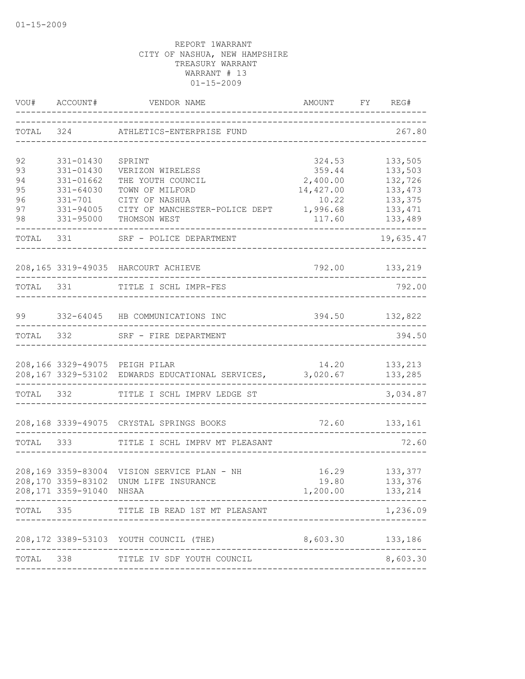| VOU#      | ACCOUNT#                 | VENDOR NAME                                                                                 | AMOUNT<br>--------------------------  | FY REG#                                   |
|-----------|--------------------------|---------------------------------------------------------------------------------------------|---------------------------------------|-------------------------------------------|
|           |                          | TOTAL 324 ATHLETICS-ENTERPRISE FUND                                                         | _____________________________________ | 267.80                                    |
| 92        | 331-01430                | SPRINT                                                                                      | 324.53                                | 133,505                                   |
| 93        | 331-01430                | VERIZON WIRELESS                                                                            | 359.44                                | 133,503                                   |
| 94        | 331-01662                | THE YOUTH COUNCIL                                                                           | 2,400.00                              | 132,726                                   |
| 95        | 331-64030                | TOWN OF MILFORD                                                                             | 14,427.00                             | 133, 473                                  |
| 96        | $331 - 701$              | CITY OF NASHUA                                                                              | 10.22                                 | 133,375                                   |
| 97        | 331-94005                | CITY OF MANCHESTER-POLICE DEPT 1,996.68                                                     |                                       | 133, 471                                  |
| 98        | 331-95000                | THOMSON WEST                                                                                | 117.60                                | 133,489                                   |
|           | TOTAL 331                | SRF - POLICE DEPARTMENT                                                                     |                                       | 19,635.47                                 |
|           |                          | 208,165 3319-49035 HARCOURT ACHIEVE                                                         |                                       | 792.00 133,219                            |
| TOTAL 331 |                          | TITLE I SCHL IMPR-FES                                                                       |                                       | 792.00                                    |
|           |                          |                                                                                             |                                       |                                           |
| 99        |                          | 332-64045 HB COMMUNICATIONS INC                                                             | 394.50 132,822                        |                                           |
| TOTAL     | 332                      | SRF - FIRE DEPARTMENT                                                                       |                                       | 394.50                                    |
|           |                          | 208,166 3329-49075 PEIGH PILAR<br>208,167 3329-53102 EDWARDS EDUCATIONAL SERVICES, 3,020.67 |                                       | 14.20    133,213<br>133,285               |
|           |                          | TOTAL 332 TITLE I SCHL IMPRV LEDGE ST                                                       |                                       | 3,034.87                                  |
|           |                          | 208,168 3339-49075 CRYSTAL SPRINGS BOOKS                                                    |                                       | 72.60 133,161                             |
| TOTAL 333 |                          | TITLE I SCHL IMPRV MT PLEASANT                                                              |                                       | 72.60                                     |
|           | 208,171 3359-91040 NHSAA | 208,169 3359-83004 VISION SERVICE PLAN - NH<br>208,170 3359-83102 UNUM LIFE INSURANCE       | 1,200.00                              | 16.29 133,377<br>19.80 133,376<br>133,214 |
| TOTAL 335 |                          | TITLE IB READ 1ST MT PLEASANT                                                               |                                       | 1,236.09                                  |
|           |                          | 208,172 3389-53103 YOUTH COUNCIL (THE)                                                      | 8,603.30 133,186                      |                                           |
| TOTAL     | 338                      | TITLE IV SDF YOUTH COUNCIL                                                                  |                                       | 8,603.30                                  |
|           |                          |                                                                                             |                                       |                                           |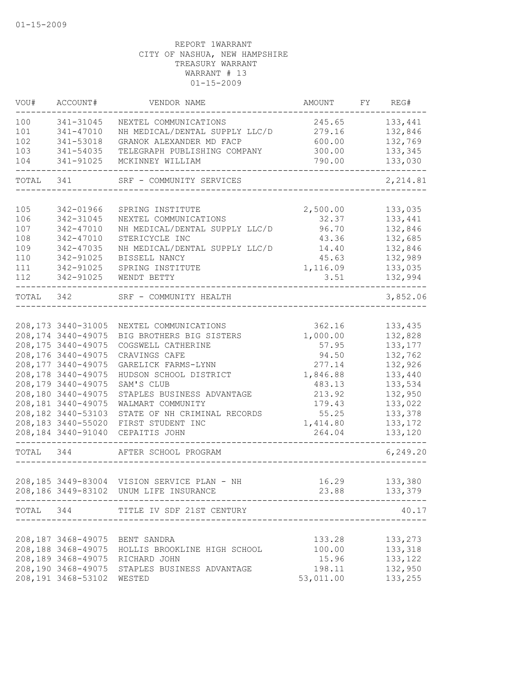| VOU#      | ACCOUNT#                  | VENDOR NAME                                     | AMOUNT            | FY | REG#               |
|-----------|---------------------------|-------------------------------------------------|-------------------|----|--------------------|
| 100       | 341-31045                 | NEXTEL COMMUNICATIONS                           | 245.65            |    | 133,441            |
| 101       | 341-47010                 | NH MEDICAL/DENTAL SUPPLY LLC/D                  | 279.16            |    | 132,846            |
| 102       | 341-53018                 | GRANOK ALEXANDER MD FACP                        | 600.00            |    | 132,769            |
| 103       | 341-54035                 | TELEGRAPH PUBLISHING COMPANY                    | 300.00            |    | 133,345            |
| 104       | 341-91025                 | MCKINNEY WILLIAM                                | 790.00            |    | 133,030            |
| TOTAL     | 341                       | SRF - COMMUNITY SERVICES                        |                   |    | 2, 214.81          |
| 105       |                           | SPRING INSTITUTE                                |                   |    |                    |
| 106       | 342-01966<br>342-31045    | NEXTEL COMMUNICATIONS                           | 2,500.00<br>32.37 |    | 133,035<br>133,441 |
| 107       | 342-47010                 | NH MEDICAL/DENTAL SUPPLY LLC/D                  | 96.70             |    | 132,846            |
| 108       | 342-47010                 | STERICYCLE INC                                  | 43.36             |    | 132,685            |
| 109       | 342-47035                 | NH MEDICAL/DENTAL SUPPLY LLC/D                  | 14.40             |    | 132,846            |
| 110       | 342-91025                 | BISSELL NANCY                                   | 45.63             |    | 132,989            |
| 111       | 342-91025                 | SPRING INSTITUTE                                | 1,116.09          |    | 133,035            |
| 112       | 342-91025                 | WENDT BETTY                                     | 3.51              |    | 132,994            |
| TOTAL 342 |                           | SRF - COMMUNITY HEALTH                          |                   |    | 3,852.06           |
|           |                           |                                                 |                   |    |                    |
|           | 208, 173 3440-31005       | NEXTEL COMMUNICATIONS                           | 362.16            |    | 133,435            |
|           | 208, 174 3440-49075       | BIG BROTHERS BIG SISTERS                        | 1,000.00          |    | 132,828            |
|           | 208, 175 3440-49075       | COGSWELL CATHERINE                              | 57.95             |    | 133, 177           |
|           | 208,176 3440-49075        | CRAVINGS CAFE                                   | 94.50             |    | 132,762            |
|           | 208,177 3440-49075        | GARELICK FARMS-LYNN                             | 277.14            |    | 132,926            |
|           | 208,178 3440-49075        | HUDSON SCHOOL DISTRICT                          | 1,846.88          |    | 133,440            |
|           | 208,179 3440-49075        | SAM'S CLUB                                      | 483.13            |    | 133,534            |
|           | 208,180 3440-49075        | STAPLES BUSINESS ADVANTAGE                      | 213.92            |    | 132,950            |
|           | 208,181 3440-49075        | WALMART COMMUNITY                               | 179.43            |    | 133,022            |
|           | 208,182 3440-53103        | STATE OF NH CRIMINAL RECORDS                    | 55.25             |    | 133,378            |
|           | 208,183 3440-55020        | FIRST STUDENT INC                               | 1,414.80          |    | 133, 172           |
|           | 208,184 3440-91040        | CEPAITIS JOHN                                   | 264.04            |    | 133,120            |
| TOTAL     | 344                       | AFTER SCHOOL PROGRAM                            |                   |    | 6, 249.20          |
|           |                           |                                                 |                   |    |                    |
|           |                           | 208,185 3449-83004 VISION SERVICE PLAN - NH     | 16.29             |    | 133,380            |
|           | ______________________    | 208,186 3449-83102 UNUM LIFE INSURANCE          |                   |    | 23.88 133,379      |
|           |                           | TOTAL 344 TITLE IV SDF 21ST CENTURY             |                   |    | 40.17              |
|           |                           |                                                 |                   |    |                    |
|           |                           | 208,187 3468-49075 BENT SANDRA                  | 133.28            |    | 133,273            |
|           |                           | 208,188 3468-49075 HOLLIS BROOKLINE HIGH SCHOOL | 100.00            |    | 133,318            |
|           |                           | 208,189 3468-49075 RICHARD JOHN                 | 15.96             |    | 133,122            |
|           |                           | 208,190 3468-49075 STAPLES BUSINESS ADVANTAGE   | 198.11            |    | 132,950            |
|           | 208,191 3468-53102 WESTED |                                                 | 53,011.00         |    | 133,255            |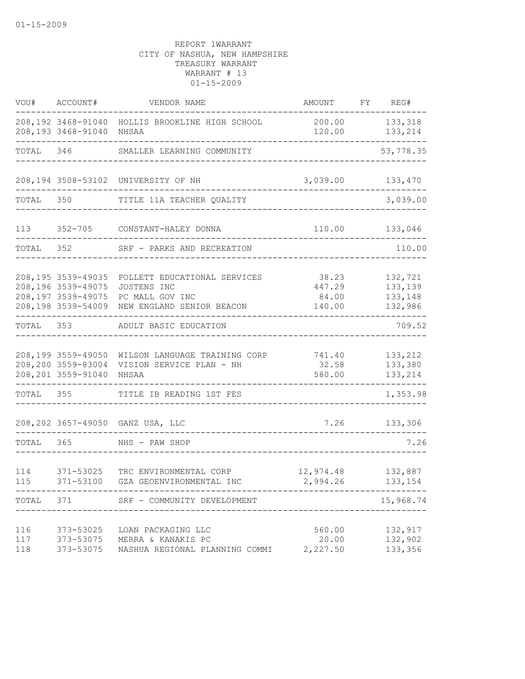|                   | VOU# ACCOUNT#                                                   | VENDOR NAME                                                                                                    | AMOUNT                             | FY REG#                                  |
|-------------------|-----------------------------------------------------------------|----------------------------------------------------------------------------------------------------------------|------------------------------------|------------------------------------------|
|                   | 208,193 3468-91040 NHSAA                                        | 208,192 3468-91040 HOLLIS BROOKLINE HIGH SCHOOL                                                                | 120.00                             | 200.00 133,318<br>133,214                |
| TOTAL 346         |                                                                 | SMALLER LEARNING COMMUNITY                                                                                     |                                    | -------<br>53,778.35                     |
|                   |                                                                 | 208,194 3508-53102 UNIVERSITY OF NH                                                                            | 3,039.00 133,470                   |                                          |
| TOTAL             | 350                                                             | TITLE 11A TEACHER QUALITY                                                                                      |                                    | 3,039.00                                 |
| 113               |                                                                 | 352-705 CONSTANT-HALEY DONNA                                                                                   | 110.00                             | 133,046                                  |
|                   | TOTAL 352                                                       | SRF - PARKS AND RECREATION                                                                                     |                                    | 110.00                                   |
|                   | 208, 195 3539-49035<br>208,196 3539-49075<br>208,197 3539-49075 | FOLLETT EDUCATIONAL SERVICES<br>JOSTENS INC<br>PC MALL GOV INC<br>208,198 3539-54009 NEW ENGLAND SENIOR BEACON | 38.23<br>447.29<br>84.00<br>140.00 | 132,721<br>133,139<br>133,148<br>132,986 |
|                   |                                                                 | TOTAL 353 ADULT BASIC EDUCATION                                                                                |                                    | 709.52                                   |
|                   | 208,200 3559-83004<br>208, 201 3559-91040                       | 208,199 3559-49050 WILSON LANGUAGE TRAINING CORP<br>VISION SERVICE PLAN - NH<br>NHSAA                          | 741.40<br>32.58<br>580.00          | 133,212<br>133,380<br>133,214            |
| TOTAL 355         |                                                                 | TITLE IB READING 1ST FES                                                                                       |                                    | 1,353.98                                 |
|                   |                                                                 | 208, 202 3657-49050 GANZ USA, LLC                                                                              |                                    | 7.26 133,306                             |
| TOTAL 365         |                                                                 | NHS - PAW SHOP                                                                                                 |                                    | 7.26                                     |
| 114<br>115        | 371-53025<br>371-53100                                          | TRC ENVIRONMENTAL CORP<br>GZA GEOENVIRONMENTAL INC                                                             | 12,974.48<br>2,994.26              | 132,887<br>133,154                       |
|                   | TOTAL 371                                                       | SRF - COMMUNITY DEVELOPMENT                                                                                    | ------------------------           | 15,968.74                                |
| 116<br>117<br>118 | 373-53025<br>373-53075                                          | LOAN PACKAGING LLC<br>373-53075 MERRA & KANAKIS PC<br>NASHUA REGIONAL PLANNING COMMI                           | 560.00<br>20.00<br>2,227.50        | 132,917<br>132,902<br>133,356            |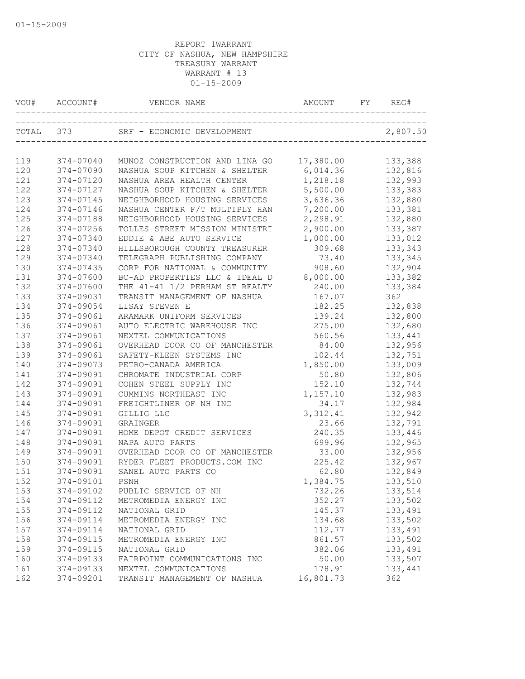| VOU#      | ACCOUNT#  | VENDOR NAME                            | AMOUNT<br>------------------------------ | FY | REG#     |
|-----------|-----------|----------------------------------------|------------------------------------------|----|----------|
| TOTAL 373 |           | SRF - ECONOMIC DEVELOPMENT             |                                          |    | 2,807.50 |
|           |           |                                        |                                          |    |          |
| 119       | 374-07040 | MUNOZ CONSTRUCTION AND LINA GO         | 17,380.00                                |    | 133,388  |
| 120       | 374-07090 | NASHUA SOUP KITCHEN & SHELTER 6,014.36 |                                          |    | 132,816  |
| 121       | 374-07120 | NASHUA AREA HEALTH CENTER              | 1,218.18                                 |    | 132,993  |
| 122       | 374-07127 | NASHUA SOUP KITCHEN & SHELTER          | 5,500.00                                 |    | 133,383  |
| 123       | 374-07145 | NEIGHBORHOOD HOUSING SERVICES          | 3,636.36                                 |    | 132,880  |
| 124       | 374-07146 | NASHUA CENTER F/T MULTIPLY HAN         | 7,200.00                                 |    | 133,381  |
| 125       | 374-07188 | NEIGHBORHOOD HOUSING SERVICES          | 2,298.91                                 |    | 132,880  |
| 126       | 374-07256 | TOLLES STREET MISSION MINISTRI         | 2,900.00                                 |    | 133,387  |
| 127       | 374-07340 | EDDIE & ABE AUTO SERVICE               | 1,000.00                                 |    | 133,012  |
| 128       | 374-07340 | HILLSBOROUGH COUNTY TREASURER          | 309.68                                   |    | 133,343  |
| 129       | 374-07340 | TELEGRAPH PUBLISHING COMPANY           | 73.40                                    |    | 133,345  |
| 130       | 374-07435 | CORP FOR NATIONAL & COMMUNITY          | 908.60                                   |    | 132,904  |
| 131       | 374-07600 | BC-AD PROPERTIES LLC & IDEAL D         | 8,000.00                                 |    | 133,382  |
| 132       | 374-07600 | THE 41-41 1/2 PERHAM ST REALTY         | 240.00                                   |    | 133,384  |
| 133       | 374-09031 | TRANSIT MANAGEMENT OF NASHUA           | 167.07                                   |    | 362      |
| 134       | 374-09054 | LISAY STEVEN E                         | 182.25                                   |    | 132,838  |
| 135       | 374-09061 | ARAMARK UNIFORM SERVICES               | 139.24                                   |    | 132,800  |
| 136       | 374-09061 | AUTO ELECTRIC WAREHOUSE INC            | 275.00                                   |    | 132,680  |
| 137       | 374-09061 | NEXTEL COMMUNICATIONS                  | 560.56                                   |    | 133,441  |
| 138       | 374-09061 | OVERHEAD DOOR CO OF MANCHESTER         | 84.00                                    |    | 132,956  |
| 139       | 374-09061 | SAFETY-KLEEN SYSTEMS INC               | 102.44                                   |    | 132,751  |
| 140       | 374-09073 | PETRO-CANADA AMERICA                   | 1,850.00                                 |    | 133,009  |
| 141       | 374-09091 | CHROMATE INDUSTRIAL CORP               | 50.80                                    |    | 132,806  |
| 142       | 374-09091 | COHEN STEEL SUPPLY INC                 | 152.10                                   |    | 132,744  |
| 143       | 374-09091 | CUMMINS NORTHEAST INC                  | 1,157.10                                 |    | 132,983  |
| 144       | 374-09091 | FREIGHTLINER OF NH INC                 | 34.17                                    |    | 132,984  |
| 145       | 374-09091 | GILLIG LLC                             | 3, 312.41                                |    | 132,942  |
| 146       | 374-09091 | GRAINGER                               | 23.66                                    |    | 132,791  |
| 147       | 374-09091 | HOME DEPOT CREDIT SERVICES             | 240.35                                   |    | 133,446  |
| 148       | 374-09091 | NAPA AUTO PARTS                        | 699.96                                   |    | 132,965  |
| 149       | 374-09091 | OVERHEAD DOOR CO OF MANCHESTER         | 33.00                                    |    | 132,956  |
| 150       | 374-09091 | RYDER FLEET PRODUCTS.COM INC           | 225.42                                   |    | 132,967  |
| 151       | 374-09091 | SANEL AUTO PARTS CO                    | 62.80                                    |    | 132,849  |
| 152       | 374-09101 | PSNH                                   | 1,384.75                                 |    | 133,510  |
| 153       | 374-09102 | PUBLIC SERVICE OF NH                   | 732.26                                   |    | 133,514  |
| 154       | 374-09112 | METROMEDIA ENERGY INC                  | 352.27                                   |    | 133,502  |
| 155       | 374-09112 | NATIONAL GRID                          | 145.37                                   |    | 133,491  |
| 156       | 374-09114 | METROMEDIA ENERGY INC                  | 134.68                                   |    | 133,502  |
| 157       | 374-09114 | NATIONAL GRID                          | 112.77                                   |    | 133,491  |
| 158       | 374-09115 | METROMEDIA ENERGY INC                  | 861.57                                   |    | 133,502  |
| 159       | 374-09115 | NATIONAL GRID                          | 382.06                                   |    | 133,491  |
| 160       | 374-09133 | FAIRPOINT COMMUNICATIONS INC           | 50.00                                    |    | 133,507  |
| 161       | 374-09133 | NEXTEL COMMUNICATIONS                  | 178.91                                   |    | 133,441  |
| 162       | 374-09201 | TRANSIT MANAGEMENT OF NASHUA           | 16,801.73                                |    | 362      |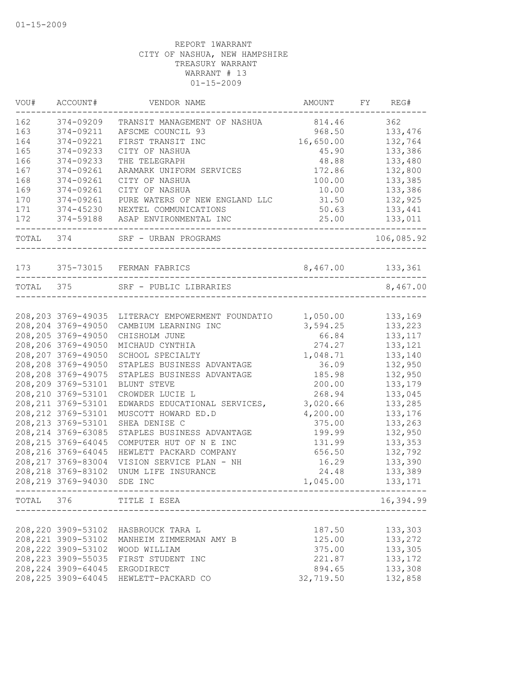|           | VOU# ACCOUNT#       | VENDOR NAME                                              | AMOUNT           | FY REG#    |
|-----------|---------------------|----------------------------------------------------------|------------------|------------|
| 162       | 374-09209           | TRANSIT MANAGEMENT OF NASHUA                             | 814.46           | 362        |
| 163       | 374-09211           | AFSCME COUNCIL 93                                        | 968.50           | 133,476    |
| 164       | 374-09221           | FIRST TRANSIT INC                                        | 16,650.00        | 132,764    |
| 165       | 374-09233           | CITY OF NASHUA                                           | 45.90            | 133,386    |
| 166       | 374-09233           | THE TELEGRAPH                                            | 48.88            | 133,480    |
| 167       | 374-09261           | ARAMARK UNIFORM SERVICES                                 | 172.86           | 132,800    |
| 168       | 374-09261           | CITY OF NASHUA                                           | 100.00           | 133,385    |
| 169       | 374-09261           | CITY OF NASHUA                                           | 10.00            | 133,386    |
| 170       | 374-09261           | PURE WATERS OF NEW ENGLAND LLC                           | 31.50            | 132,925    |
| 171       | 374-45230           | NEXTEL COMMUNICATIONS                                    | 50.63            | 133,441    |
| 172       |                     | 374-59188 ASAP ENVIRONMENTAL INC                         | 25.00            | 133,011    |
| TOTAL 374 |                     | SRF - URBAN PROGRAMS                                     |                  | 106,085.92 |
|           |                     |                                                          |                  |            |
|           |                     | 173 375-73015 FERMAN FABRICS                             | 8,467.00 133,361 |            |
| TOTAL 375 |                     | SRF - PUBLIC LIBRARIES                                   |                  | 8,467.00   |
|           |                     |                                                          |                  |            |
|           | 208, 203 3769-49035 | LITERACY EMPOWERMENT FOUNDATIO                           | 1,050.00         | 133,169    |
|           | 208, 204 3769-49050 | CAMBIUM LEARNING INC                                     | 3,594.25         | 133,223    |
|           | 208, 205 3769-49050 | CHISHOLM JUNE                                            | 66.84            | 133, 117   |
|           | 208,206 3769-49050  | MICHAUD CYNTHIA                                          | 274.27           | 133,121    |
|           | 208, 207 3769-49050 | SCHOOL SPECIALTY                                         | 1,048.71         | 133,140    |
|           | 208,208 3769-49050  | STAPLES BUSINESS ADVANTAGE                               | 36.09            | 132,950    |
|           | 208, 208 3769-49075 | STAPLES BUSINESS ADVANTAGE                               | 185.98           | 132,950    |
|           | 208,209 3769-53101  | BLUNT STEVE                                              | 200.00           | 133,179    |
|           | 208, 210 3769-53101 | CROWDER LUCIE L                                          | 268.94           | 133,045    |
|           | 208, 211 3769-53101 | EDWARDS EDUCATIONAL SERVICES,                            | 3,020.66         | 133,285    |
|           | 208, 212 3769-53101 | MUSCOTT HOWARD ED.D                                      | 4,200.00         | 133,176    |
|           | 208, 213 3769-53101 | SHEA DENISE C                                            | 375.00           | 133,263    |
|           | 208, 214 3769-63085 | STAPLES BUSINESS ADVANTAGE                               | 199.99           | 132,950    |
|           | 208, 215 3769-64045 | COMPUTER HUT OF N E INC                                  | 131.99           | 133,353    |
|           | 208, 216 3769-64045 | HEWLETT PACKARD COMPANY                                  | 656.50           | 132,792    |
|           | 208, 217 3769-83004 | VISION SERVICE PLAN - NH                                 | 16.29            | 133,390    |
|           | 208, 218 3769-83102 | UNUM LIFE INSURANCE                                      | 24.48            | 133,389    |
|           | 208, 219 3769-94030 | SDE INC                                                  | 1,045.00         | 133,171    |
|           |                     | TOTAL 376 TITLE I ESEA<br>------------------------------ |                  | 16,394.99  |
|           |                     |                                                          |                  |            |
|           | 208, 220 3909-53102 | HASBROUCK TARA L                                         | 187.50           | 133,303    |
|           | 208, 221 3909-53102 | MANHEIM ZIMMERMAN AMY B                                  | 125.00           | 133,272    |
|           | 208, 222 3909-53102 | WOOD WILLIAM                                             | 375.00           | 133,305    |
|           | 208, 223 3909-55035 | FIRST STUDENT INC                                        | 221.87           | 133,172    |
|           | 208, 224 3909-64045 | ERGODIRECT                                               | 894.65           | 133,308    |
|           | 208, 225 3909-64045 | HEWLETT-PACKARD CO                                       | 32,719.50        | 132,858    |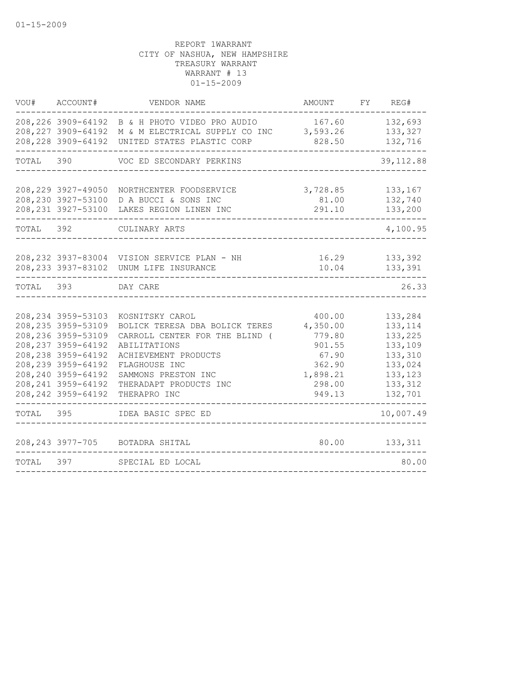|           | VOU# ACCOUNT#                                                                                                                                                                                               | VENDOR NAME                                                                                                                                                                                                   | AMOUNT                                                                                    | FY REG#                                                                                          |
|-----------|-------------------------------------------------------------------------------------------------------------------------------------------------------------------------------------------------------------|---------------------------------------------------------------------------------------------------------------------------------------------------------------------------------------------------------------|-------------------------------------------------------------------------------------------|--------------------------------------------------------------------------------------------------|
|           |                                                                                                                                                                                                             | 208, 226 3909-64192 B & H PHOTO VIDEO PRO AUDIO<br>208,227 3909-64192 M & M ELECTRICAL SUPPLY CO INC 3,593.26<br>208, 228 3909-64192 UNITED STATES PLASTIC CORP                                               | 167.60 132,693<br>828.50                                                                  | 133,327<br>132,716                                                                               |
|           |                                                                                                                                                                                                             | TOTAL 390 VOC ED SECONDARY PERKINS                                                                                                                                                                            |                                                                                           | 39, 112.88                                                                                       |
|           | 208, 229 3927-49050<br>208,230 3927-53100<br>208, 231 3927-53100                                                                                                                                            | NORTHCENTER FOODSERVICE<br>D A BUCCI & SONS INC<br>LAKES REGION LINEN INC                                                                                                                                     | 3,728.85<br>81.00<br>291.10                                                               | 133,167<br>132,740<br>133,200                                                                    |
| TOTAL 392 |                                                                                                                                                                                                             | CULINARY ARTS                                                                                                                                                                                                 |                                                                                           | 4,100.95                                                                                         |
|           |                                                                                                                                                                                                             | 208, 232 3937-83004 VISION SERVICE PLAN - NH<br>208, 233 3937-83102 UNUM LIFE INSURANCE                                                                                                                       | 16.29<br>10.04                                                                            | 133,392<br>133,391                                                                               |
| TOTAL 393 |                                                                                                                                                                                                             | DAY CARE                                                                                                                                                                                                      |                                                                                           | 26.33                                                                                            |
|           | 208, 234 3959-53103<br>208, 235 3959-53109<br>208, 236 3959-53109<br>208, 237 3959-64192<br>208, 238 3959-64192<br>208, 239 3959-64192<br>208, 240 3959-64192<br>208, 241 3959-64192<br>208, 242 3959-64192 | KOSNITSKY CAROL<br>BOLICK TERESA DBA BOLICK TERES<br>CARROLL CENTER FOR THE BLIND (<br>ABILITATIONS<br>ACHIEVEMENT PRODUCTS<br>FLAGHOUSE INC<br>SAMMONS PRESTON INC<br>THERADAPT PRODUCTS INC<br>THERAPRO INC | 400.00<br>4,350.00<br>779.80<br>901.55<br>67.90<br>362.90<br>1,898.21<br>298.00<br>949.13 | 133,284<br>133, 114<br>133,225<br>133,109<br>133,310<br>133,024<br>133,123<br>133,312<br>132,701 |
| TOTAL 395 |                                                                                                                                                                                                             | IDEA BASIC SPEC ED                                                                                                                                                                                            |                                                                                           | 10,007.49                                                                                        |
|           | 397                                                                                                                                                                                                         | 208, 243 3977-705 BOTADRA SHITAL                                                                                                                                                                              | 80.00                                                                                     | 133,311                                                                                          |
| TOTAL     |                                                                                                                                                                                                             | SPECIAL ED LOCAL                                                                                                                                                                                              |                                                                                           | 80.00                                                                                            |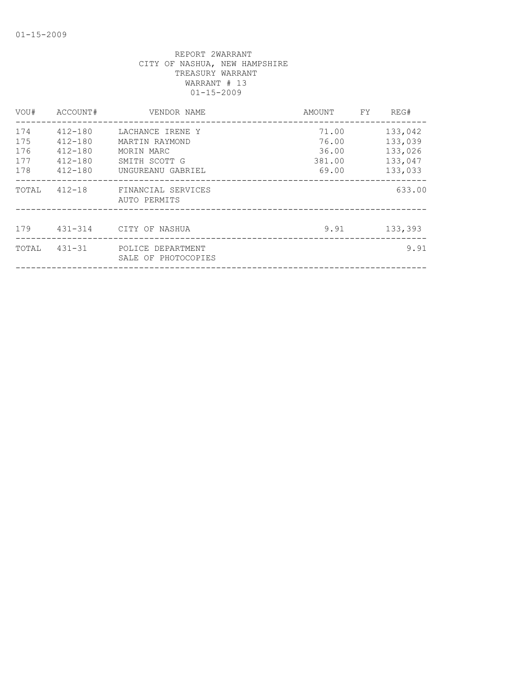| VOU#                            | ACCOUNT#                                                            | VENDOR NAME                                                                            | AMOUNT                                     | FY. | REG#                                                |
|---------------------------------|---------------------------------------------------------------------|----------------------------------------------------------------------------------------|--------------------------------------------|-----|-----------------------------------------------------|
| 174<br>175<br>176<br>177<br>178 | 412-180<br>$412 - 180$<br>$412 - 180$<br>$412 - 180$<br>$412 - 180$ | LACHANCE IRENE Y<br>MARTIN RAYMOND<br>MORIN MARC<br>SMITH SCOTT G<br>UNGUREANU GABRIEL | 71.00<br>76.00<br>36.00<br>381.00<br>69.00 |     | 133,042<br>133,039<br>133,026<br>133,047<br>133,033 |
| TOTAL                           |                                                                     | 412-18 FINANCIAL SERVICES<br>AUTO PERMITS                                              |                                            |     | 633.00                                              |
| 179                             | 431-314                                                             | CITY OF NASHUA                                                                         | 9.91                                       |     | 133,393                                             |
| TOTAL                           | $431 - 31$                                                          | POLICE DEPARTMENT<br>SALE OF PHOTOCOPIES                                               |                                            |     | 9.91                                                |
|                                 |                                                                     |                                                                                        |                                            |     |                                                     |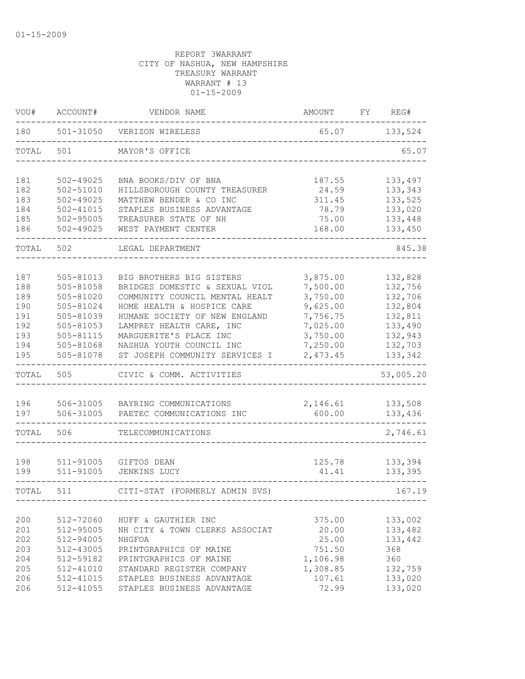| VOU#                                                        | ACCOUNT#                                                                                                          | VENDOR NAME                                                                                                                                                                                                                                                                     | AMOUNT                                                                                                   | FY | REG#                                                                                            |
|-------------------------------------------------------------|-------------------------------------------------------------------------------------------------------------------|---------------------------------------------------------------------------------------------------------------------------------------------------------------------------------------------------------------------------------------------------------------------------------|----------------------------------------------------------------------------------------------------------|----|-------------------------------------------------------------------------------------------------|
| 180                                                         |                                                                                                                   | 501-31050 VERIZON WIRELESS                                                                                                                                                                                                                                                      | 65.07                                                                                                    |    | 133,524                                                                                         |
| TOTAL                                                       | 501                                                                                                               | MAYOR'S OFFICE                                                                                                                                                                                                                                                                  |                                                                                                          |    | 65.07                                                                                           |
| 181<br>182<br>183<br>184<br>185<br>186                      | 502-49025<br>502-51010<br>502-49025<br>$502 - 41015$<br>$502 - 95005$<br>502-49025                                | BNA BOOKS/DIV OF BNA<br>HILLSBOROUGH COUNTY TREASURER<br>MATTHEW BENDER & CO INC<br>STAPLES BUSINESS ADVANTAGE<br>TREASURER STATE OF NH<br>WEST PAYMENT CENTER                                                                                                                  | 187.55<br>24.59<br>311.45<br>78.79<br>75.00<br>168.00                                                    |    | 133,497<br>133,343<br>133,525<br>133,020<br>133,448<br>133,450                                  |
| TOTAL                                                       | 502                                                                                                               | LEGAL DEPARTMENT                                                                                                                                                                                                                                                                |                                                                                                          |    | 845.38                                                                                          |
| 187<br>188<br>189<br>190<br>191<br>192<br>193<br>194<br>195 | 505-81013<br>505-81058<br>505-81020<br>505-81024<br>505-81039<br>505-81053<br>505-81115<br>505-81068<br>505-81078 | BIG BROTHERS BIG SISTERS<br>BRIDGES DOMESTIC & SEXUAL VIOL<br>COMMUNITY COUNCIL MENTAL HEALT<br>HOME HEALTH & HOSPICE CARE<br>HUMANE SOCIETY OF NEW ENGLAND<br>LAMPREY HEALTH CARE, INC<br>MARGUERITE'S PLACE INC<br>NASHUA YOUTH COUNCIL INC<br>ST JOSEPH COMMUNITY SERVICES I | 3,875.00<br>7,500.00<br>3,750.00<br>9,625.00<br>7,756.75<br>7,025.00<br>3,750.00<br>7,250.00<br>2,473.45 |    | 132,828<br>132,756<br>132,706<br>132,804<br>132,811<br>133,490<br>132,943<br>132,703<br>133,342 |
| TOTAL                                                       | 505                                                                                                               | CIVIC & COMM. ACTIVITIES                                                                                                                                                                                                                                                        |                                                                                                          |    | 53,005.20                                                                                       |
| 196<br>197                                                  | 506-31005<br>506-31005                                                                                            | BAYRING COMMUNICATIONS<br>PAETEC COMMUNICATIONS INC                                                                                                                                                                                                                             | 2,146.61<br>600.00                                                                                       |    | 133,508<br>133,436                                                                              |
| TOTAL                                                       | 506                                                                                                               | TELECOMMUNICATIONS                                                                                                                                                                                                                                                              |                                                                                                          |    | 2,746.61                                                                                        |
| 198<br>199                                                  | 511-91005<br>511-91005                                                                                            | GIFTOS DEAN<br><b>JENKINS LUCY</b>                                                                                                                                                                                                                                              | 125.78<br>41.41                                                                                          |    | 133,394<br>133,395                                                                              |
| TOTAL                                                       | 511                                                                                                               | CITI-STAT (FORMERLY ADMIN SVS)                                                                                                                                                                                                                                                  |                                                                                                          |    | 167.19                                                                                          |
| 200<br>201<br>202<br>203<br>204<br>205<br>206<br>206        | 512-72060<br>512-95005<br>512-94005<br>512-43005<br>512-59182<br>512-41010<br>512-41015                           | HUFF & GAUTHIER INC<br>NH CITY & TOWN CLERKS ASSOCIAT<br>NHGFOA<br>PRINTGRAPHICS OF MAINE<br>PRINTGRAPHICS OF MAINE<br>STANDARD REGISTER COMPANY<br>STAPLES BUSINESS ADVANTAGE<br>512-41055 STAPLES BUSINESS ADVANTAGE                                                          | 375.00<br>20.00<br>25.00<br>751.50<br>1,106.98<br>1,308.85<br>107.61<br>72.99                            |    | 133,002<br>133,482<br>133,442<br>368<br>360<br>132,759<br>133,020<br>133,020                    |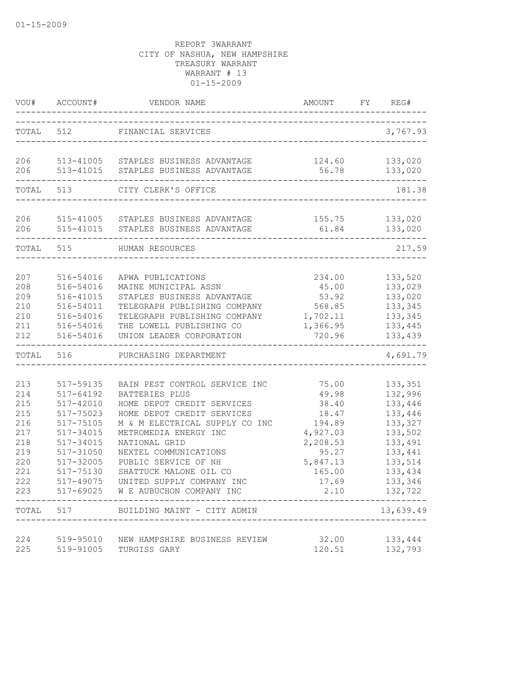|                                                                                           | VOU# ACCOUNT#                                                                                                                                                       | VENDOR NAME                                                                                                                                                                                                                                                                                                                                                | AMOUNT                                                                                                             | FY REG#                                                                                                                                       |
|-------------------------------------------------------------------------------------------|---------------------------------------------------------------------------------------------------------------------------------------------------------------------|------------------------------------------------------------------------------------------------------------------------------------------------------------------------------------------------------------------------------------------------------------------------------------------------------------------------------------------------------------|--------------------------------------------------------------------------------------------------------------------|-----------------------------------------------------------------------------------------------------------------------------------------------|
|                                                                                           |                                                                                                                                                                     | TOTAL 512 FINANCIAL SERVICES                                                                                                                                                                                                                                                                                                                               |                                                                                                                    | 3,767.93                                                                                                                                      |
| 206<br>206                                                                                | 513-41015                                                                                                                                                           | 513-41005 STAPLES BUSINESS ADVANTAGE<br>STAPLES BUSINESS ADVANTAGE                                                                                                                                                                                                                                                                                         | 124.60<br>56.78                                                                                                    | 133,020<br>133,020                                                                                                                            |
|                                                                                           | TOTAL 513                                                                                                                                                           | CITY CLERK'S OFFICE                                                                                                                                                                                                                                                                                                                                        |                                                                                                                    | 181.38                                                                                                                                        |
| 206<br>206                                                                                |                                                                                                                                                                     | 515-41005 STAPLES BUSINESS ADVANTAGE<br>515-41015 STAPLES BUSINESS ADVANTAGE                                                                                                                                                                                                                                                                               | 61.84                                                                                                              | 155.75 133,020<br>133,020                                                                                                                     |
| TOTAL 515                                                                                 |                                                                                                                                                                     | HUMAN RESOURCES                                                                                                                                                                                                                                                                                                                                            |                                                                                                                    | 217.59                                                                                                                                        |
| 207<br>208<br>209<br>210<br>210<br>211<br>212                                             | 516-54016<br>516-54016<br>516-41015<br>516-54011<br>516-54016<br>516-54016<br>516-54016                                                                             | APWA PUBLICATIONS<br>MAINE MUNICIPAL ASSN<br>STAPLES BUSINESS ADVANTAGE<br>TELEGRAPH PUBLISHING COMPANY<br>TELEGRAPH PUBLISHING COMPANY<br>THE LOWELL PUBLISHING CO<br>UNION LEADER CORPORATION                                                                                                                                                            | 234.00<br>45.00<br>53.92<br>568.85<br>1,702.11<br>1,366.95<br>720.96                                               | 133,520<br>133,029<br>133,020<br>133,345<br>133,345<br>133,445<br>133,439                                                                     |
| TOTAL                                                                                     | 516                                                                                                                                                                 | PURCHASING DEPARTMENT                                                                                                                                                                                                                                                                                                                                      |                                                                                                                    | 4,691.79                                                                                                                                      |
| 213<br>214<br>215<br>215<br>216<br>217<br>218<br>219<br>220<br>221<br>222<br>223<br>TOTAL | 517-59135<br>$517 - 64192$<br>517-42010<br>517-75023<br>517-75105<br>517-34015<br>517-34015<br>517-31050<br>517-32005<br>517-75130<br>517-49075<br>517-69025<br>517 | BAIN PEST CONTROL SERVICE INC<br>BATTERIES PLUS<br>HOME DEPOT CREDIT SERVICES<br>HOME DEPOT CREDIT SERVICES<br>M & M ELECTRICAL SUPPLY CO INC<br>METROMEDIA ENERGY INC<br>NATIONAL GRID<br>NEXTEL COMMUNICATIONS<br>PUBLIC SERVICE OF NH<br>SHATTUCK MALONE OIL CO<br>UNITED SUPPLY COMPANY INC<br>W E AUBUCHON COMPANY INC<br>BUILDING MAINT - CITY ADMIN | 75.00<br>49.98<br>38.40<br>18.47<br>194.89<br>4,927.03<br>2,208.53<br>95.27<br>5,847.13<br>165.00<br>17.69<br>2.10 | 133,351<br>132,996<br>133,446<br>133,446<br>133,327<br>133,502<br>133,491<br>133,441<br>133,514<br>133,434<br>133,346<br>132,722<br>13,639.49 |
|                                                                                           |                                                                                                                                                                     |                                                                                                                                                                                                                                                                                                                                                            |                                                                                                                    |                                                                                                                                               |
| 224<br>225                                                                                | 519-95010<br>519-91005                                                                                                                                              | NEW HAMPSHIRE BUSINESS REVIEW<br>TURGISS GARY                                                                                                                                                                                                                                                                                                              | 32.00<br>120.51                                                                                                    | 133,444<br>132,793                                                                                                                            |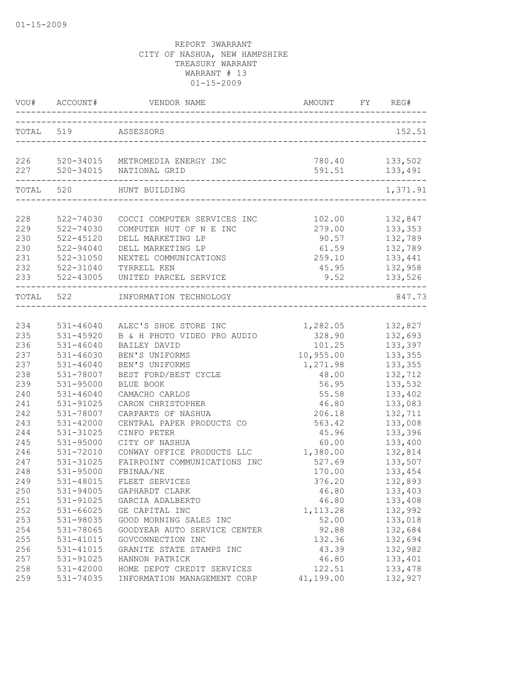|                   | VOU# ACCOUNT#                       | VENDOR NAME                                                   | AMOUNT                  | FY REG#                       |
|-------------------|-------------------------------------|---------------------------------------------------------------|-------------------------|-------------------------------|
|                   | TOTAL 519 ASSESSORS                 | ___________________________                                   |                         | 152.51                        |
| 226<br>227        | 520-34015                           | 520-34015 METROMEDIA ENERGY INC<br>NATIONAL GRID              | 780.40<br>591.51        | 133,502<br>133,491            |
| TOTAL             | 520                                 | HUNT BUILDING<br>-----------------------------------          |                         | 1,371.91                      |
| 228<br>229        | 522-74030<br>522-74030              | COCCI COMPUTER SERVICES INC<br>COMPUTER HUT OF N E INC        | 102.00<br>279.00        | 132,847<br>133,353            |
| 230<br>230        | $522 - 45120$<br>522-94040          | DELL MARKETING LP<br>DELL MARKETING LP                        | 90.57<br>61.59          | 132,789<br>132,789            |
| 231<br>232<br>233 | 522-31050<br>522-31040<br>522-43005 | NEXTEL COMMUNICATIONS<br>TYRRELL KEN<br>UNITED PARCEL SERVICE | 259.10<br>45.95<br>9.52 | 133,441<br>132,958<br>133,526 |
| TOTAL 522         |                                     | INFORMATION TECHNOLOGY                                        |                         | 847.73                        |
| 234               | 531-46040                           | ALEC'S SHOE STORE INC                                         | 1,282.05                | 132,827                       |
| 235               | 531-45920                           | B & H PHOTO VIDEO PRO AUDIO                                   | 328.90                  | 132,693                       |
| 236               | $531 - 46040$                       | BAILEY DAVID                                                  | 101.25                  | 133,397                       |
| 237               | $531 - 46030$                       | BEN'S UNIFORMS                                                | 10,955.00               | 133,355                       |
| 237               | $531 - 46040$                       | BEN'S UNIFORMS                                                | 1,271.98                | 133,355                       |
| 238               | 531-78007                           | BEST FORD/BEST CYCLE                                          | 48.00                   | 132,712                       |
| 239               | $531 - 95000$                       | BLUE BOOK                                                     | 56.95                   | 133,532                       |
| 240               | $531 - 46040$                       | CAMACHO CARLOS                                                | 55.58                   | 133,402                       |
| 241               | 531-91025                           | CARON CHRISTOPHER                                             | 46.80                   | 133,083                       |
| 242               | 531-78007                           | CARPARTS OF NASHUA                                            | 206.18                  | 132,711                       |
| 243               | $531 - 42000$                       | CENTRAL PAPER PRODUCTS CO                                     | 563.42                  | 133,008                       |
| 244               | 531-31025                           | CINFO PETER                                                   | 45.96                   | 133,396                       |
| 245               | 531-95000                           | CITY OF NASHUA                                                | 60.00                   | 133,400                       |
| 246               | 531-72010                           | CONWAY OFFICE PRODUCTS LLC                                    | 1,380.00                | 132,814                       |
| 247               | 531-31025                           | FAIRPOINT COMMUNICATIONS INC                                  | 527.69                  | 133,507                       |
| 248               | 531-95000                           | FBINAA/NE                                                     | 170.00                  | 133,454                       |
| 249               | 531-48015                           | FLEET SERVICES                                                | 376.20                  | 132,893                       |
| 250               | 531-94005                           | GAPHARDT CLARK                                                | 46.80                   | 133,403                       |
| 251               | 531-91025                           | GARCIA ADALBERTO                                              | 46.80                   | 133,408                       |
| 252               | 531-66025                           | GE CAPITAL INC                                                | 1, 113.28               | 132,992                       |
| 253               | 531-98035                           | GOOD MORNING SALES INC                                        | 52.00                   | 133,018                       |
| 254               | 531-78065                           | GOODYEAR AUTO SERVICE CENTER                                  | 92.88                   | 132,684                       |
| 255               | 531-41015                           | GOVCONNECTION INC                                             | 132.36                  | 132,694                       |
| 256               | 531-41015                           | GRANITE STATE STAMPS INC                                      | 43.39                   | 132,982                       |
| 257               | 531-91025                           | HANNON PATRICK                                                | 46.80                   | 133,401                       |
| 258               | 531-42000                           | HOME DEPOT CREDIT SERVICES                                    | 122.51                  | 133,478                       |
| 259               | 531-74035                           | INFORMATION MANAGEMENT CORP                                   | 41,199.00               | 132,927                       |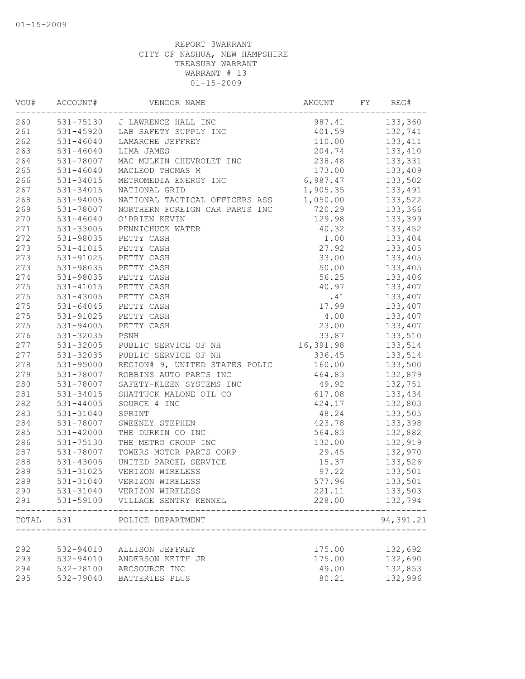| VOU#  | ACCOUNT#      | VENDOR NAME                     | AMOUNT    | FY | REG#      |
|-------|---------------|---------------------------------|-----------|----|-----------|
| 260   |               | 531-75130 J LAWRENCE HALL INC   | 987.41    |    | 133,360   |
| 261   |               | 531-45920 LAB SAFETY SUPPLY INC | 401.59    |    | 132,741   |
| 262   | $531 - 46040$ | LAMARCHE JEFFREY                | 110.00    |    | 133, 411  |
| 263   | 531-46040     | LIMA JAMES                      | 204.74    |    | 133,410   |
| 264   | 531-78007     | MAC MULKIN CHEVROLET INC        | 238.48    |    | 133,331   |
| 265   | $531 - 46040$ | MACLEOD THOMAS M                | 173.00    |    | 133,409   |
| 266   | 531-34015     | METROMEDIA ENERGY INC           | 6,987.47  |    | 133,502   |
| 267   | $531 - 34015$ | NATIONAL GRID                   | 1,905.35  |    | 133,491   |
| 268   | 531-94005     | NATIONAL TACTICAL OFFICERS ASS  | 1,050.00  |    | 133,522   |
| 269   | 531-78007     | NORTHERN FOREIGN CAR PARTS INC  | 720.29    |    | 133,366   |
| 270   | $531 - 46040$ | O'BRIEN KEVIN                   | 129.98    |    | 133,399   |
| 271   | 531-33005     | PENNICHUCK WATER                | 40.32     |    | 133,452   |
| 272   | 531-98035     | PETTY CASH                      | 1.00      |    | 133,404   |
| 273   | 531-41015     | PETTY CASH                      | 27.92     |    | 133,405   |
| 273   | 531-91025     | PETTY CASH                      | 33.00     |    | 133,405   |
| 273   | 531-98035     | PETTY CASH                      | 50.00     |    | 133,405   |
| 274   | 531-98035     | PETTY CASH                      | 56.25     |    | 133,406   |
| 275   | 531-41015     | PETTY CASH                      | 40.97     |    | 133,407   |
| 275   | $531 - 43005$ | PETTY CASH                      | .41       |    | 133,407   |
| 275   | 531-64045     | PETTY CASH                      | 17.99     |    | 133,407   |
| 275   | 531-91025     | PETTY CASH                      | 4.00      |    | 133,407   |
| 275   | 531-94005     | PETTY CASH                      | 23.00     |    | 133,407   |
| 276   | 531-32035     | PSNH                            | 33.87     |    | 133,510   |
| 277   | 531-32005     | PUBLIC SERVICE OF NH            | 16,391.98 |    | 133,514   |
| 277   | 531-32035     | PUBLIC SERVICE OF NH            | 336.45    |    | 133,514   |
| 278   | 531-95000     | REGION# 9, UNITED STATES POLIC  | 160.00    |    | 133,500   |
| 279   | 531-78007     | ROBBINS AUTO PARTS INC          | 464.83    |    | 132,879   |
| 280   | 531-78007     | SAFETY-KLEEN SYSTEMS INC        | 49.92     |    | 132,751   |
| 281   | 531-34015     | SHATTUCK MALONE OIL CO          | 617.08    |    | 133,434   |
| 282   | 531-44005     | SOURCE 4 INC                    | 424.17    |    | 132,803   |
| 283   | 531-31040     | SPRINT                          | 48.24     |    | 133,505   |
| 284   | 531-78007     | SWEENEY STEPHEN                 | 423.78    |    | 133,398   |
| 285   | 531-42000     | THE DURKIN CO INC               | 564.83    |    | 132,882   |
| 286   | 531-75130     | THE METRO GROUP INC             | 132.00    |    | 132,919   |
| 287   | 531-78007     | TOWERS MOTOR PARTS CORP         | 29.45     |    | 132,970   |
| 288   | 531-43005     | UNITED PARCEL SERVICE           | 15.37     |    | 133,526   |
| 289   | 531-31025     | VERIZON WIRELESS                | 97.22     |    | 133,501   |
| 289   | 531-31040     | VERIZON WIRELESS                | 577.96    |    | 133,501   |
| 290   | 531-31040     | VERIZON WIRELESS                | 221.11    |    | 133,503   |
| 291   | 531-59100     | VILLAGE SENTRY KENNEL           | 228.00    |    | 132,794   |
| TOTAL | 531           | POLICE DEPARTMENT               |           |    | 94,391.21 |
|       |               |                                 |           |    |           |
| 292   | 532-94010     | ALLISON JEFFREY                 | 175.00    |    | 132,692   |
| 293   | 532-94010     | ANDERSON KEITH JR               | 175.00    |    | 132,690   |
| 294   | 532-78100     | ARCSOURCE INC                   | 49.00     |    | 132,853   |
| 295   | 532-79040     | BATTERIES PLUS                  | 80.21     |    | 132,996   |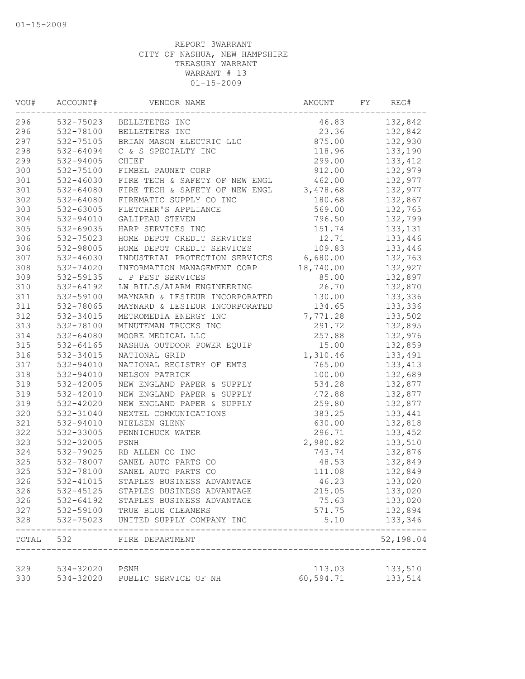| VOU#       | ACCOUNT#               | VENDOR NAME                                     | AMOUNT         | FY | REG#               |
|------------|------------------------|-------------------------------------------------|----------------|----|--------------------|
| 296        |                        | 532-75023 BELLETETES INC                        | 46.83          |    | 132,842            |
| 296        |                        | 532-78100 BELLETETES INC                        | 23.36          |    | 132,842            |
| 297        | 532-75105              | BRIAN MASON ELECTRIC LLC                        | 875.00         |    | 132,930            |
| 298        | 532-64094              | C & S SPECIALTY INC                             | 118.96         |    | 133,190            |
| 299        | 532-94005              | CHIEF                                           | 299.00         |    | 133, 412           |
| 300        | 532-75100              | FIMBEL PAUNET CORP                              | 912.00         |    | 132,979            |
| 301        | 532-46030              | FIRE TECH & SAFETY OF NEW ENGL                  | 462.00         |    | 132,977            |
| 301        | 532-64080              | FIRE TECH & SAFETY OF NEW ENGL                  | 3,478.68       |    | 132,977            |
| 302        | 532-64080              | FIREMATIC SUPPLY CO INC                         | 180.68         |    | 132,867            |
| 303        | 532-63005              | FLETCHER'S APPLIANCE                            | 569.00         |    | 132,765            |
| 304        | 532-94010              | GALIPEAU STEVEN                                 | 796.50         |    | 132,799            |
| 305        | 532-69035              | HARP SERVICES INC                               | 151.74         |    | 133,131            |
| 306        | 532-75023              | HOME DEPOT CREDIT SERVICES                      | 12.71          |    | 133,446            |
| 306        | 532-98005              | HOME DEPOT CREDIT SERVICES                      | 109.83         |    | 133,446            |
| 307        | $532 - 46030$          | INDUSTRIAL PROTECTION SERVICES                  | 6,680.00       |    | 132,763            |
| 308        | 532-74020              | INFORMATION MANAGEMENT CORP                     | 18,740.00      |    | 132,927            |
| 309        | 532-59135              | J P PEST SERVICES                               | 85.00          |    | 132,897            |
| 310        | $532 - 64192$          | LW BILLS/ALARM ENGINEERING                      | 26.70          |    | 132,870            |
| 311        | 532-59100              | MAYNARD & LESIEUR INCORPORATED                  | 130.00         |    | 133,336            |
| 311        | 532-78065              | MAYNARD & LESIEUR INCORPORATED                  | 134.65         |    | 133,336            |
| 312        | 532-34015              | METROMEDIA ENERGY INC                           | 7,771.28       |    | 133,502            |
| 313        | 532-78100              | MINUTEMAN TRUCKS INC                            | 291.72         |    | 132,895            |
| 314        | 532-64080              | MOORE MEDICAL LLC                               | 257.88         |    | 132,976            |
| 315        | 532-64165              | NASHUA OUTDOOR POWER EQUIP                      | 15.00          |    | 132,859            |
| 316        | 532-34015              | NATIONAL GRID                                   | 1,310.46       |    | 133,491            |
| 317        | 532-94010              | NATIONAL REGISTRY OF EMTS                       | 765.00         |    | 133, 413           |
| 318        | 532-94010              | NELSON PATRICK                                  | 100.00         |    | 132,689            |
| 319        | 532-42005              | NEW ENGLAND PAPER & SUPPLY                      | 534.28         |    | 132,877            |
| 319        | 532-42010              | NEW ENGLAND PAPER & SUPPLY                      | 472.88         |    | 132,877            |
| 319        | 532-42020              | NEW ENGLAND PAPER & SUPPLY                      | 259.80         |    | 132,877            |
| 320        | 532-31040              | NEXTEL COMMUNICATIONS                           | 383.25         |    | 133,441            |
| 321        | 532-94010              | NIELSEN GLENN                                   | 630.00         |    | 132,818            |
| 322        | 532-33005              | PENNICHUCK WATER                                | 296.71         |    | 133,452            |
| 323        | 532-32005              | PSNH                                            | 2,980.82       |    | 133,510            |
| 324        | 532-79025              | RB ALLEN CO INC                                 | 743.74         |    | 132,876            |
| 325        | 532-78007              | SANEL AUTO PARTS CO                             | 48.53          |    | 132,849            |
| 325        | 532-78100              | SANEL AUTO PARTS CO                             | 111.08         |    | 132,849            |
| 326        | 532-41015              | STAPLES BUSINESS ADVANTAGE                      | 46.23          |    | 133,020            |
| 326        | 532-45125              | STAPLES BUSINESS ADVANTAGE                      |                |    |                    |
| 326        | 532-64192              |                                                 | 215.05         |    | 133,020            |
|            |                        | STAPLES BUSINESS ADVANTAGE                      | 75.63          |    | 133,020            |
| 327<br>328 | 532-59100<br>532-75023 | TRUE BLUE CLEANERS<br>UNITED SUPPLY COMPANY INC | 571.75<br>5.10 |    | 132,894<br>133,346 |
| TOTAL 532  |                        | FIRE DEPARTMENT                                 |                |    | 52,198.04          |
|            |                        |                                                 |                |    |                    |
| 329        | 534-32020              | PSNH                                            | 113.03         |    | 133,510            |
| 330        | 534-32020              | PUBLIC SERVICE OF NH                            | 60,594.71      |    | 133,514            |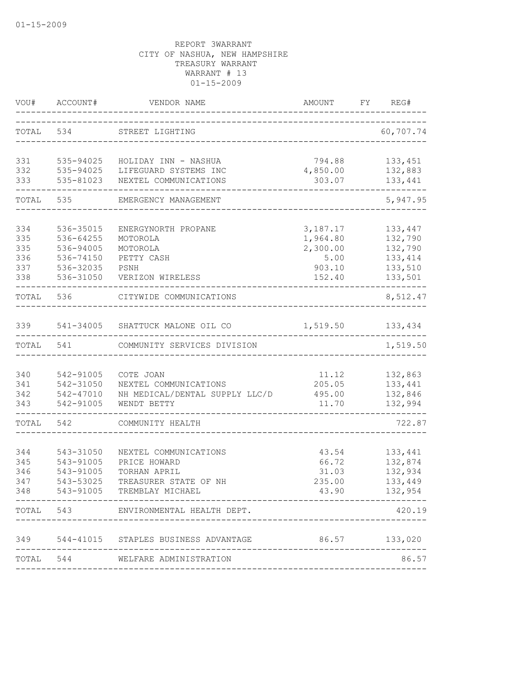| WOU#       | ACCOUNT#               | VENDOR NAME                                    | AMOUNT             | FY | REG#               |
|------------|------------------------|------------------------------------------------|--------------------|----|--------------------|
| TOTAL      | 534                    | STREET LIGHTING                                |                    |    | 60,707.74          |
| 331        | 535-94025              | HOLIDAY INN - NASHUA                           | 794.88             |    | 133,451            |
| 332<br>333 | 535-94025<br>535-81023 | LIFEGUARD SYSTEMS INC<br>NEXTEL COMMUNICATIONS | 4,850.00<br>303.07 |    | 132,883<br>133,441 |
| TOTAL      | 535                    | EMERGENCY MANAGEMENT                           |                    |    | 5,947.95           |
| 334        | 536-35015              | ENERGYNORTH PROPANE                            | 3,187.17           |    | 133,447            |
| 335        | 536-64255              | MOTOROLA                                       | 1,964.80           |    | 132,790            |
| 335        | 536-94005              | MOTOROLA                                       | 2,300.00           |    | 132,790            |
| 336        | 536-74150              | PETTY CASH                                     | 5.00               |    | 133, 414           |
| 337        | 536-32035              | PSNH                                           | 903.10             |    | 133,510            |
| 338        | 536-31050              | VERIZON WIRELESS                               | 152.40             |    | 133,501            |
| TOTAL      | 536                    | CITYWIDE COMMUNICATIONS                        |                    |    | 8,512.47           |
| 339        |                        | 541-34005 SHATTUCK MALONE OIL CO               | 1,519.50           |    | 133,434            |
| TOTAL      | 541                    | COMMUNITY SERVICES DIVISION                    |                    |    | 1,519.50           |
|            |                        |                                                |                    |    |                    |
| 340        | 542-91005              | COTE JOAN                                      | 11.12              |    | 132,863            |
| 341        | 542-31050              | NEXTEL COMMUNICATIONS                          | 205.05             |    | 133,441            |
| 342        | 542-47010              | NH MEDICAL/DENTAL SUPPLY LLC/D                 | 495.00             |    | 132,846            |
| 343        | 542-91005              | WENDT BETTY                                    | 11.70              |    | 132,994            |
| TOTAL      | 542                    | COMMUNITY HEALTH                               |                    |    | 722.87             |
|            |                        |                                                |                    |    |                    |
| 344        | 543-31050              | NEXTEL COMMUNICATIONS                          | 43.54              |    | 133,441            |
| 345        | 543-91005              | PRICE HOWARD                                   | 66.72              |    | 132,874            |
| 346        | 543-91005              | TORHAN APRIL                                   | 31.03              |    | 132,934            |
| 347        | 543-53025              | TREASURER STATE OF NH                          | 235.00             |    | 133,449            |
| 348        | 543-91005              | TREMBLAY MICHAEL<br>_______________            | 43.90              |    | 132,954            |
|            |                        | TOTAL 543 ENVIRONMENTAL HEALTH DEPT.           |                    |    | 420.19             |
|            |                        | 349 544-41015 STAPLES BUSINESS ADVANTAGE       | 86.57 133,020      |    |                    |
|            |                        | TOTAL 544 WELFARE ADMINISTRATION               |                    |    | 86.57              |
|            |                        |                                                |                    |    |                    |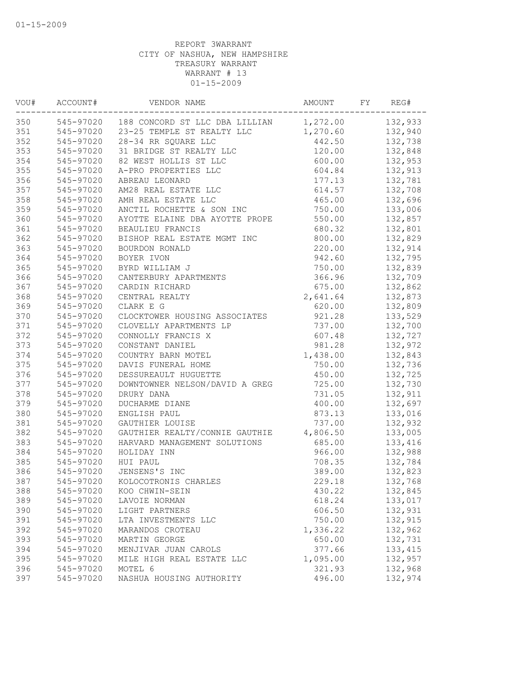| VOU# | ACCOUNT#  | VENDOR NAME                                       | AMOUNT   | FY | REG#     |
|------|-----------|---------------------------------------------------|----------|----|----------|
| 350  |           | 545-97020 188 CONCORD ST LLC DBA LILLIAN 1,272.00 |          |    | 132,933  |
| 351  | 545-97020 | 23-25 TEMPLE ST REALTY LLC                        | 1,270.60 |    | 132,940  |
| 352  | 545-97020 | 28-34 RR SQUARE LLC                               | 442.50   |    | 132,738  |
| 353  | 545-97020 | 31 BRIDGE ST REALTY LLC                           | 120.00   |    | 132,848  |
| 354  | 545-97020 | 82 WEST HOLLIS ST LLC                             | 600.00   |    | 132,953  |
| 355  | 545-97020 | A-PRO PROPERTIES LLC                              | 604.84   |    | 132,913  |
| 356  | 545-97020 | ABREAU LEONARD                                    | 177.13   |    | 132,781  |
| 357  | 545-97020 | AM28 REAL ESTATE LLC                              | 614.57   |    | 132,708  |
| 358  | 545-97020 | AMH REAL ESTATE LLC                               | 465.00   |    | 132,696  |
| 359  | 545-97020 | ANCTIL ROCHETTE & SON INC                         | 750.00   |    | 133,006  |
| 360  | 545-97020 | AYOTTE ELAINE DBA AYOTTE PROPE                    | 550.00   |    | 132,857  |
| 361  | 545-97020 | BEAULIEU FRANCIS                                  | 680.32   |    | 132,801  |
| 362  | 545-97020 | BISHOP REAL ESTATE MGMT INC                       | 800.00   |    | 132,829  |
| 363  | 545-97020 | BOURDON RONALD                                    | 220.00   |    | 132,914  |
| 364  | 545-97020 | BOYER IVON                                        | 942.60   |    | 132,795  |
| 365  | 545-97020 | BYRD WILLIAM J                                    | 750.00   |    | 132,839  |
| 366  | 545-97020 | CANTERBURY APARTMENTS                             | 366.96   |    | 132,709  |
| 367  | 545-97020 | CARDIN RICHARD                                    | 675.00   |    | 132,862  |
| 368  | 545-97020 | CENTRAL REALTY                                    | 2,641.64 |    | 132,873  |
| 369  | 545-97020 | CLARK E G                                         | 620.00   |    | 132,809  |
| 370  | 545-97020 | CLOCKTOWER HOUSING ASSOCIATES                     | 921.28   |    | 133,529  |
| 371  | 545-97020 | CLOVELLY APARTMENTS LP                            | 737.00   |    | 132,700  |
| 372  | 545-97020 | CONNOLLY FRANCIS X                                | 607.48   |    | 132,727  |
| 373  | 545-97020 | CONSTANT DANIEL                                   | 981.28   |    | 132,972  |
| 374  | 545-97020 | COUNTRY BARN MOTEL                                | 1,438.00 |    | 132,843  |
| 375  | 545-97020 | DAVIS FUNERAL HOME                                | 750.00   |    | 132,736  |
| 376  | 545-97020 | DESSUREAULT HUGUETTE                              | 450.00   |    | 132,725  |
| 377  | 545-97020 | DOWNTOWNER NELSON/DAVID A GREG                    | 725.00   |    | 132,730  |
| 378  | 545-97020 | DRURY DANA                                        | 731.05   |    | 132,911  |
| 379  | 545-97020 | DUCHARME DIANE                                    | 400.00   |    | 132,697  |
| 380  | 545-97020 | ENGLISH PAUL                                      | 873.13   |    | 133,016  |
| 381  | 545-97020 | GAUTHIER LOUISE                                   | 737.00   |    | 132,932  |
| 382  | 545-97020 | GAUTHIER REALTY/CONNIE GAUTHIE                    | 4,806.50 |    | 133,005  |
| 383  | 545-97020 | HARVARD MANAGEMENT SOLUTIONS                      | 685.00   |    | 133,416  |
| 384  | 545-97020 | HOLIDAY INN                                       | 966.00   |    | 132,988  |
| 385  | 545-97020 | HUI PAUL                                          | 708.35   |    | 132,784  |
| 386  | 545-97020 | JENSENS'S INC                                     | 389.00   |    | 132,823  |
| 387  | 545-97020 | KOLOCOTRONIS CHARLES                              | 229.18   |    | 132,768  |
| 388  | 545-97020 | KOO CHWIN-SEIN                                    | 430.22   |    | 132,845  |
| 389  | 545-97020 | LAVOIE NORMAN                                     | 618.24   |    | 133,017  |
| 390  | 545-97020 | LIGHT PARTNERS                                    | 606.50   |    | 132,931  |
| 391  | 545-97020 | LTA INVESTMENTS LLC                               | 750.00   |    | 132,915  |
| 392  | 545-97020 | MARANDOS CROTEAU                                  | 1,336.22 |    | 132,962  |
| 393  | 545-97020 | MARTIN GEORGE                                     | 650.00   |    | 132,731  |
| 394  | 545-97020 | MENJIVAR JUAN CAROLS                              | 377.66   |    | 133, 415 |
| 395  | 545-97020 | MILE HIGH REAL ESTATE LLC                         | 1,095.00 |    | 132,957  |
| 396  | 545-97020 | MOTEL 6                                           | 321.93   |    | 132,968  |
| 397  | 545-97020 | NASHUA HOUSING AUTHORITY                          | 496.00   |    | 132,974  |
|      |           |                                                   |          |    |          |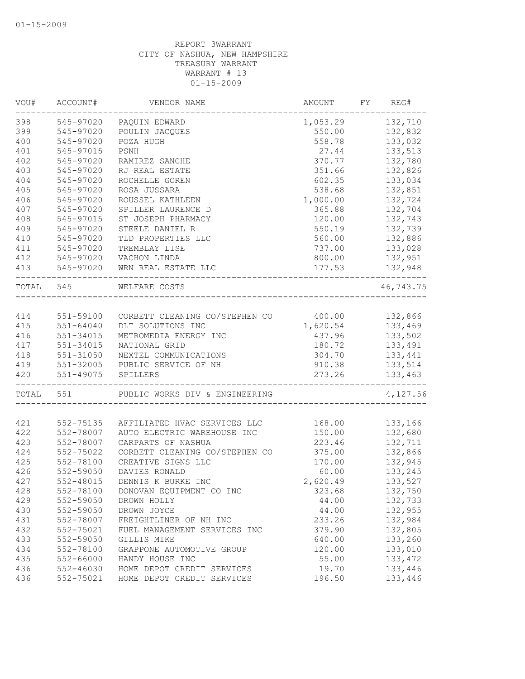| VOU#      | ACCOUNT#      | VENDOR NAME                           | AMOUNT   | FY | REG#      |
|-----------|---------------|---------------------------------------|----------|----|-----------|
| 398       | 545-97020     | PAQUIN EDWARD                         | 1,053.29 |    | 132,710   |
| 399       | 545-97020     | POULIN JACQUES                        | 550.00   |    | 132,832   |
| 400       | 545-97020     | POZA HUGH                             | 558.78   |    | 133,032   |
| 401       | 545-97015     | PSNH                                  | 27.44    |    | 133,513   |
| 402       | 545-97020     | RAMIREZ SANCHE                        | 370.77   |    | 132,780   |
| 403       | 545-97020     | RJ REAL ESTATE                        | 351.66   |    | 132,826   |
| 404       | 545-97020     | ROCHELLE GOREN                        | 602.35   |    | 133,034   |
| 405       | 545-97020     | ROSA JUSSARA                          | 538.68   |    | 132,851   |
| 406       | 545-97020     | ROUSSEL KATHLEEN                      | 1,000.00 |    | 132,724   |
| 407       | 545-97020     | SPILLER LAURENCE D                    | 365.88   |    | 132,704   |
| 408       | 545-97015     | ST JOSEPH PHARMACY                    | 120.00   |    | 132,743   |
| 409       | 545-97020     | STEELE DANIEL R                       | 550.19   |    | 132,739   |
| 410       | 545-97020     | TLD PROPERTIES LLC                    | 560.00   |    | 132,886   |
| 411       | 545-97020     | TREMBLAY LISE                         | 737.00   |    | 133,028   |
| 412       | 545-97020     | VACHON LINDA                          | 800.00   |    | 132,951   |
| 413       | 545-97020     | WRN REAL ESTATE LLC                   | 177.53   |    | 132,948   |
| TOTAL 545 |               | WELFARE COSTS                         |          |    | 46,743.75 |
|           |               |                                       |          |    |           |
| 414       | 551-59100     | CORBETT CLEANING CO/STEPHEN CO 400.00 |          |    | 132,866   |
| 415       | $551 - 64040$ | DLT SOLUTIONS INC                     | 1,620.54 |    | 133,469   |
| 416       | 551-34015     | METROMEDIA ENERGY INC                 | 437.96   |    | 133,502   |
| 417       | 551-34015     | NATIONAL GRID                         | 180.72   |    | 133,491   |
| 418       | 551-31050     | NEXTEL COMMUNICATIONS                 | 304.70   |    | 133,441   |
| 419       | 551-32005     | PUBLIC SERVICE OF NH                  | 910.38   |    | 133,514   |
| 420       | 551-49075     | SPILLERS                              | 273.26   |    | 133,463   |
| TOTAL     | 551           | PUBLIC WORKS DIV & ENGINEERING        |          |    | 4,127.56  |
|           |               |                                       |          |    |           |
| 421       | 552-75135     | AFFILIATED HVAC SERVICES LLC          | 168.00   |    | 133,166   |
| 422       | 552-78007     | AUTO ELECTRIC WAREHOUSE INC           | 150.00   |    | 132,680   |
| 423       | 552-78007     | CARPARTS OF NASHUA                    | 223.46   |    | 132,711   |
| 424       | 552-75022     | CORBETT CLEANING CO/STEPHEN CO        | 375.00   |    | 132,866   |
| 425       | 552-78100     | CREATIVE SIGNS LLC                    | 170.00   |    | 132,945   |
| 426       | 552-59050     | DAVIES RONALD                         | 60.00    |    | 133,245   |
| 427       | 552-48015     | DENNIS K BURKE INC                    | 2,620.49 |    | 133,527   |
| 428       | 552-78100     | DONOVAN EQUIPMENT CO INC              | 323.68   |    | 132,750   |
| 429       | 552-59050     | DROWN HOLLY                           | 44.00    |    | 132,733   |
| 430       | 552-59050     | DROWN JOYCE                           | 44.00    |    | 132,955   |
| 431       | 552-78007     | FREIGHTLINER OF NH INC                | 233.26   |    | 132,984   |
| 432       | 552-75021     | FUEL MANAGEMENT SERVICES INC          | 379.90   |    | 132,805   |
| 433       | 552-59050     | GILLIS MIKE                           | 640.00   |    | 133,260   |
| 434       | 552-78100     | GRAPPONE AUTOMOTIVE GROUP             | 120.00   |    | 133,010   |
| 435       | 552-66000     | HANDY HOUSE INC                       | 55.00    |    | 133, 472  |
| 436       | 552-46030     | HOME DEPOT CREDIT SERVICES            | 19.70    |    | 133,446   |
| 436       | 552-75021     | HOME DEPOT CREDIT SERVICES            | 196.50   |    | 133,446   |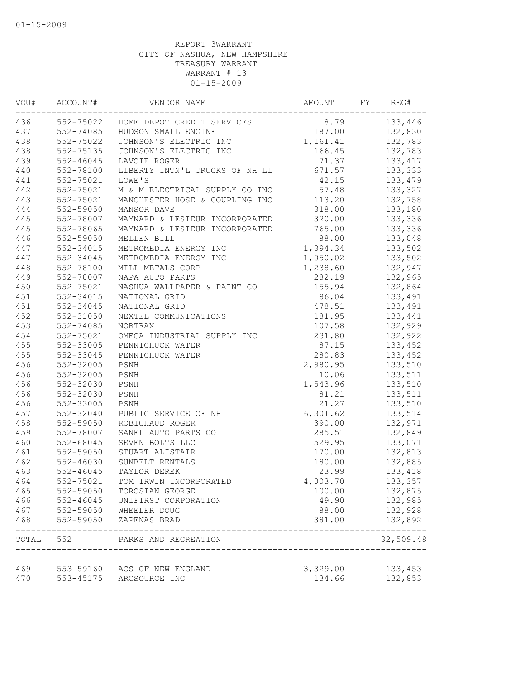| VOU# | ACCOUNT#      | VENDOR NAME                                                             | AMOUNT   | FY | REG#               |
|------|---------------|-------------------------------------------------------------------------|----------|----|--------------------|
| 436  |               | 552-75022 HOME DEPOT CREDIT SERVICES                                    | 8.79     |    | 133,446            |
| 437  | 552-74085     | HUDSON SMALL ENGINE                                                     | 187.00   |    | 132,830            |
| 438  | 552-75022     | JOHNSON'S ELECTRIC INC                                                  | 1,161.41 |    | 132,783            |
| 438  | 552-75135     | JOHNSON'S ELECTRIC INC                                                  | 166.45   |    | 132,783            |
| 439  | $552 - 46045$ | LAVOIE ROGER                                                            | 71.37    |    | 133, 417           |
| 440  | 552-78100     | LIBERTY INTN'L TRUCKS OF NH LL                                          | 671.57   |    | 133,333            |
| 441  | 552-75021     | LOWE'S                                                                  | 42.15    |    | 133,479            |
| 442  | 552-75021     | M & M ELECTRICAL SUPPLY CO INC                                          | 57.48    |    | 133,327            |
| 443  | 552-75021     | MANCHESTER HOSE & COUPLING INC                                          | 113.20   |    | 132,758            |
| 444  | 552-59050     | MANSOR DAVE                                                             | 318.00   |    | 133,180            |
| 445  | 552-78007     | MAYNARD & LESIEUR INCORPORATED                                          | 320.00   |    | 133,336            |
| 445  | 552-78065     | MAYNARD & LESIEUR INCORPORATED                                          | 765.00   |    | 133,336            |
| 446  | 552-59050     | MELLEN BILL                                                             | 88.00    |    | 133,048            |
| 447  | 552-34015     | METROMEDIA ENERGY INC                                                   | 1,394.34 |    | 133,502            |
| 447  | 552-34045     | METROMEDIA ENERGY INC                                                   | 1,050.02 |    | 133,502            |
| 448  | 552-78100     | MILL METALS CORP                                                        | 1,238.60 |    | 132,947            |
| 449  | 552-78007     | NAPA AUTO PARTS                                                         | 282.19   |    | 132,965            |
| 450  | 552-75021     | NASHUA WALLPAPER & PAINT CO                                             | 155.94   |    | 132,864            |
| 451  | 552-34015     | NATIONAL GRID                                                           | 86.04    |    | 133,491            |
| 451  | 552-34045     | NATIONAL GRID                                                           | 478.51   |    | 133,491            |
| 452  | 552-31050     | NEXTEL COMMUNICATIONS                                                   | 181.95   |    | 133,441            |
| 453  | 552-74085     | NORTRAX                                                                 | 107.58   |    | 132,929            |
| 454  | 552-75021     | OMEGA INDUSTRIAL SUPPLY INC                                             | 231.80   |    | 132,922            |
| 455  | 552-33005     | PENNICHUCK WATER                                                        | 87.15    |    | 133,452            |
| 455  | 552-33045     | PENNICHUCK WATER                                                        | 280.83   |    | 133,452            |
| 456  | 552-32005     | PSNH                                                                    | 2,980.95 |    | 133,510            |
| 456  | 552-32005     | PSNH                                                                    | 10.06    |    | 133,511            |
| 456  | 552-32030     | PSNH                                                                    | 1,543.96 |    | 133,510            |
| 456  | 552-32030     | PSNH                                                                    | 81.21    |    | 133,511            |
| 456  | 552-33005     | PSNH                                                                    | 21.27    |    | 133,510            |
| 457  | 552-32040     | PUBLIC SERVICE OF NH                                                    | 6,301.62 |    | 133,514            |
| 458  | 552-59050     | ROBICHAUD ROGER                                                         | 390.00   |    | 132,971            |
| 459  | 552-78007     | SANEL AUTO PARTS CO                                                     | 285.51   |    | 132,849            |
| 460  | 552-68045     | SEVEN BOLTS LLC                                                         | 529.95   |    | 133,071            |
| 461  | 552-59050     | STUART ALISTAIR                                                         | 170.00   |    | 132,813            |
| 462  | 552-46030     | SUNBELT RENTALS                                                         | 180.00   |    | 132,885            |
| 463  | 552-46045     | TAYLOR DEREK                                                            | 23.99    |    | 133,418            |
| 464  | 552-75021     | TOM IRWIN INCORPORATED                                                  | 4,003.70 |    | 133,357            |
| 465  | 552-59050     | TOROSIAN GEORGE                                                         | 100.00   |    | 132,875            |
| 466  | $552 - 46045$ | UNIFIRST CORPORATION                                                    | 49.90    |    | 132,985            |
| 467  | 552-59050     | WHEELER DOUG                                                            | 88.00    |    | 132,928            |
| 468  | 552-59050     | ZAPENAS BRAD                                                            | 381.00   |    | 132,892            |
|      |               | TOTAL 552 PARKS AND RECREATION<br>------------------------------------- |          |    | 32,509.48          |
| 469  |               | 553-59160 ACS OF NEW ENGLAND                                            | 3,329.00 |    |                    |
| 470  | 553-45175     | ARCSOURCE INC                                                           | 134.66   |    | 133,453<br>132,853 |
|      |               |                                                                         |          |    |                    |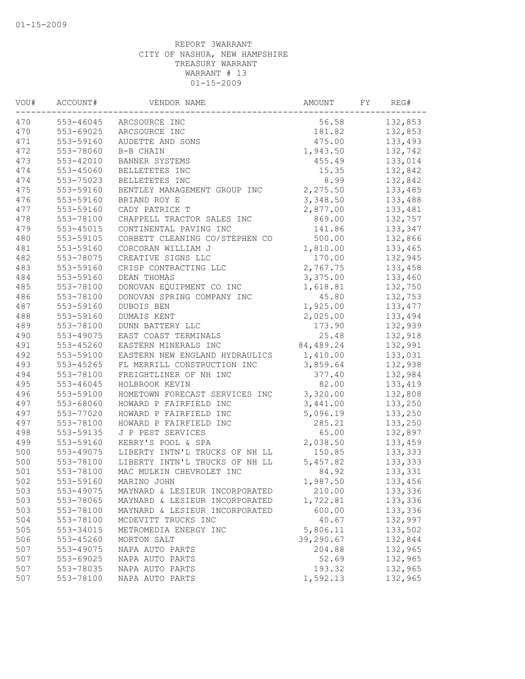| 470<br>$553 - 46045$<br>132,853<br>56.58<br>ARCSOURCE INC<br>470<br>553-69025<br>132,853<br>ARCSOURCE INC<br>181.82<br>471<br>553-59160<br>475.00<br>133,493<br>AUDETTE AND SONS<br>472<br>553-78060<br>B-B CHAIN<br>1,943.50<br>132,742<br>473<br>553-42010<br>133,014<br>BANNER SYSTEMS<br>455.49<br>474<br>553-45060<br>15.35<br>132,842<br>BELLETETES INC<br>474<br>8.99<br>553-75023<br>BELLETETES INC<br>132,842<br>475<br>2,275.50<br>553-59160<br>133,485<br>BENTLEY MANAGEMENT GROUP INC<br>476<br>3,348.50<br>553-59160<br>BRIAND ROY E<br>133,488<br>477<br>553-59160<br>2,877.00<br>CADY PATRICK T<br>133,481<br>478<br>553-78100<br>CHAPPELL TRACTOR SALES INC<br>869.00<br>132,757<br>479<br>$553 - 45015$<br>133,347<br>CONTINENTAL PAVING INC<br>141.86<br>480<br>553-59105<br>CORBETT CLEANING CO/STEPHEN CO<br>500.00<br>132,866<br>481<br>553-59160<br>133,465<br>CORCORAN WILLIAM J<br>1,810.00<br>482<br>553-78075<br>170.00<br>132,945<br>CREATIVE SIGNS LLC<br>483<br>2,767.75<br>553-59160<br>CRISP CONTRACTING LLC<br>133,458<br>484<br>553-59160<br>DEAN THOMAS<br>3,375.00<br>133,460<br>485<br>DONOVAN EQUIPMENT CO INC<br>1,618.81<br>553-78100<br>132,750<br>486<br>553-78100<br>45.80<br>DONOVAN SPRING COMPANY INC<br>132,753<br>487<br>553-59160<br>DUBOIS BEN<br>1,925.00<br>133, 477<br>488<br>553-59160<br>DUMAIS KENT<br>2,025.00<br>133,494<br>489<br>553-78100<br>132,939<br>DUNN BATTERY LLC<br>173.90<br>490<br>553-49075<br>EAST COAST TERMINALS<br>25.48<br>132,918<br>491<br>84,489.24<br>132,991<br>553-45260<br>EASTERN MINERALS INC<br>492<br>553-59100<br>EASTERN NEW ENGLAND HYDRAULICS<br>1,410.00<br>133,031 |
|-----------------------------------------------------------------------------------------------------------------------------------------------------------------------------------------------------------------------------------------------------------------------------------------------------------------------------------------------------------------------------------------------------------------------------------------------------------------------------------------------------------------------------------------------------------------------------------------------------------------------------------------------------------------------------------------------------------------------------------------------------------------------------------------------------------------------------------------------------------------------------------------------------------------------------------------------------------------------------------------------------------------------------------------------------------------------------------------------------------------------------------------------------------------------------------------------------------------------------------------------------------------------------------------------------------------------------------------------------------------------------------------------------------------------------------------------------------------------------------------------------------------------------------------------------------------------------------------------------------------------------------------------------------------|
|                                                                                                                                                                                                                                                                                                                                                                                                                                                                                                                                                                                                                                                                                                                                                                                                                                                                                                                                                                                                                                                                                                                                                                                                                                                                                                                                                                                                                                                                                                                                                                                                                                                                 |
|                                                                                                                                                                                                                                                                                                                                                                                                                                                                                                                                                                                                                                                                                                                                                                                                                                                                                                                                                                                                                                                                                                                                                                                                                                                                                                                                                                                                                                                                                                                                                                                                                                                                 |
|                                                                                                                                                                                                                                                                                                                                                                                                                                                                                                                                                                                                                                                                                                                                                                                                                                                                                                                                                                                                                                                                                                                                                                                                                                                                                                                                                                                                                                                                                                                                                                                                                                                                 |
|                                                                                                                                                                                                                                                                                                                                                                                                                                                                                                                                                                                                                                                                                                                                                                                                                                                                                                                                                                                                                                                                                                                                                                                                                                                                                                                                                                                                                                                                                                                                                                                                                                                                 |
|                                                                                                                                                                                                                                                                                                                                                                                                                                                                                                                                                                                                                                                                                                                                                                                                                                                                                                                                                                                                                                                                                                                                                                                                                                                                                                                                                                                                                                                                                                                                                                                                                                                                 |
|                                                                                                                                                                                                                                                                                                                                                                                                                                                                                                                                                                                                                                                                                                                                                                                                                                                                                                                                                                                                                                                                                                                                                                                                                                                                                                                                                                                                                                                                                                                                                                                                                                                                 |
|                                                                                                                                                                                                                                                                                                                                                                                                                                                                                                                                                                                                                                                                                                                                                                                                                                                                                                                                                                                                                                                                                                                                                                                                                                                                                                                                                                                                                                                                                                                                                                                                                                                                 |
|                                                                                                                                                                                                                                                                                                                                                                                                                                                                                                                                                                                                                                                                                                                                                                                                                                                                                                                                                                                                                                                                                                                                                                                                                                                                                                                                                                                                                                                                                                                                                                                                                                                                 |
|                                                                                                                                                                                                                                                                                                                                                                                                                                                                                                                                                                                                                                                                                                                                                                                                                                                                                                                                                                                                                                                                                                                                                                                                                                                                                                                                                                                                                                                                                                                                                                                                                                                                 |
|                                                                                                                                                                                                                                                                                                                                                                                                                                                                                                                                                                                                                                                                                                                                                                                                                                                                                                                                                                                                                                                                                                                                                                                                                                                                                                                                                                                                                                                                                                                                                                                                                                                                 |
|                                                                                                                                                                                                                                                                                                                                                                                                                                                                                                                                                                                                                                                                                                                                                                                                                                                                                                                                                                                                                                                                                                                                                                                                                                                                                                                                                                                                                                                                                                                                                                                                                                                                 |
|                                                                                                                                                                                                                                                                                                                                                                                                                                                                                                                                                                                                                                                                                                                                                                                                                                                                                                                                                                                                                                                                                                                                                                                                                                                                                                                                                                                                                                                                                                                                                                                                                                                                 |
|                                                                                                                                                                                                                                                                                                                                                                                                                                                                                                                                                                                                                                                                                                                                                                                                                                                                                                                                                                                                                                                                                                                                                                                                                                                                                                                                                                                                                                                                                                                                                                                                                                                                 |
|                                                                                                                                                                                                                                                                                                                                                                                                                                                                                                                                                                                                                                                                                                                                                                                                                                                                                                                                                                                                                                                                                                                                                                                                                                                                                                                                                                                                                                                                                                                                                                                                                                                                 |
|                                                                                                                                                                                                                                                                                                                                                                                                                                                                                                                                                                                                                                                                                                                                                                                                                                                                                                                                                                                                                                                                                                                                                                                                                                                                                                                                                                                                                                                                                                                                                                                                                                                                 |
|                                                                                                                                                                                                                                                                                                                                                                                                                                                                                                                                                                                                                                                                                                                                                                                                                                                                                                                                                                                                                                                                                                                                                                                                                                                                                                                                                                                                                                                                                                                                                                                                                                                                 |
|                                                                                                                                                                                                                                                                                                                                                                                                                                                                                                                                                                                                                                                                                                                                                                                                                                                                                                                                                                                                                                                                                                                                                                                                                                                                                                                                                                                                                                                                                                                                                                                                                                                                 |
|                                                                                                                                                                                                                                                                                                                                                                                                                                                                                                                                                                                                                                                                                                                                                                                                                                                                                                                                                                                                                                                                                                                                                                                                                                                                                                                                                                                                                                                                                                                                                                                                                                                                 |
|                                                                                                                                                                                                                                                                                                                                                                                                                                                                                                                                                                                                                                                                                                                                                                                                                                                                                                                                                                                                                                                                                                                                                                                                                                                                                                                                                                                                                                                                                                                                                                                                                                                                 |
|                                                                                                                                                                                                                                                                                                                                                                                                                                                                                                                                                                                                                                                                                                                                                                                                                                                                                                                                                                                                                                                                                                                                                                                                                                                                                                                                                                                                                                                                                                                                                                                                                                                                 |
|                                                                                                                                                                                                                                                                                                                                                                                                                                                                                                                                                                                                                                                                                                                                                                                                                                                                                                                                                                                                                                                                                                                                                                                                                                                                                                                                                                                                                                                                                                                                                                                                                                                                 |
|                                                                                                                                                                                                                                                                                                                                                                                                                                                                                                                                                                                                                                                                                                                                                                                                                                                                                                                                                                                                                                                                                                                                                                                                                                                                                                                                                                                                                                                                                                                                                                                                                                                                 |
|                                                                                                                                                                                                                                                                                                                                                                                                                                                                                                                                                                                                                                                                                                                                                                                                                                                                                                                                                                                                                                                                                                                                                                                                                                                                                                                                                                                                                                                                                                                                                                                                                                                                 |
|                                                                                                                                                                                                                                                                                                                                                                                                                                                                                                                                                                                                                                                                                                                                                                                                                                                                                                                                                                                                                                                                                                                                                                                                                                                                                                                                                                                                                                                                                                                                                                                                                                                                 |
|                                                                                                                                                                                                                                                                                                                                                                                                                                                                                                                                                                                                                                                                                                                                                                                                                                                                                                                                                                                                                                                                                                                                                                                                                                                                                                                                                                                                                                                                                                                                                                                                                                                                 |
| 493<br>3,859.64<br>553-45265<br>132,938<br>FL MERRILL CONSTRUCTION INC                                                                                                                                                                                                                                                                                                                                                                                                                                                                                                                                                                                                                                                                                                                                                                                                                                                                                                                                                                                                                                                                                                                                                                                                                                                                                                                                                                                                                                                                                                                                                                                          |
| 494<br>553-78100<br>FREIGHTLINER OF NH INC<br>377.40<br>132,984                                                                                                                                                                                                                                                                                                                                                                                                                                                                                                                                                                                                                                                                                                                                                                                                                                                                                                                                                                                                                                                                                                                                                                                                                                                                                                                                                                                                                                                                                                                                                                                                 |
| 495<br>$553 - 46045$<br>82.00<br>HOLBROOK KEVIN<br>133,419                                                                                                                                                                                                                                                                                                                                                                                                                                                                                                                                                                                                                                                                                                                                                                                                                                                                                                                                                                                                                                                                                                                                                                                                                                                                                                                                                                                                                                                                                                                                                                                                      |
| 496<br>553-59100<br>HOMETOWN FORECAST SERVICES INC<br>3,320.00<br>132,808                                                                                                                                                                                                                                                                                                                                                                                                                                                                                                                                                                                                                                                                                                                                                                                                                                                                                                                                                                                                                                                                                                                                                                                                                                                                                                                                                                                                                                                                                                                                                                                       |
| 497<br>553-68060<br>3,441.00<br>HOWARD P FAIRFIELD INC<br>133,250                                                                                                                                                                                                                                                                                                                                                                                                                                                                                                                                                                                                                                                                                                                                                                                                                                                                                                                                                                                                                                                                                                                                                                                                                                                                                                                                                                                                                                                                                                                                                                                               |
| 497<br>553-77020<br>5,096.19<br>HOWARD P FAIRFIELD INC<br>133,250                                                                                                                                                                                                                                                                                                                                                                                                                                                                                                                                                                                                                                                                                                                                                                                                                                                                                                                                                                                                                                                                                                                                                                                                                                                                                                                                                                                                                                                                                                                                                                                               |
| 497<br>553-78100<br>285.21<br>133,250<br>HOWARD P FAIRFIELD INC                                                                                                                                                                                                                                                                                                                                                                                                                                                                                                                                                                                                                                                                                                                                                                                                                                                                                                                                                                                                                                                                                                                                                                                                                                                                                                                                                                                                                                                                                                                                                                                                 |
| 498<br>553-59135<br>J P PEST SERVICES<br>65.00<br>132,897                                                                                                                                                                                                                                                                                                                                                                                                                                                                                                                                                                                                                                                                                                                                                                                                                                                                                                                                                                                                                                                                                                                                                                                                                                                                                                                                                                                                                                                                                                                                                                                                       |
| 2,038.50<br>499<br>553-59160<br>KERRY'S POOL & SPA<br>133,459                                                                                                                                                                                                                                                                                                                                                                                                                                                                                                                                                                                                                                                                                                                                                                                                                                                                                                                                                                                                                                                                                                                                                                                                                                                                                                                                                                                                                                                                                                                                                                                                   |
| 500<br>553-49075<br>LIBERTY INTN'L TRUCKS OF NH LL<br>150.85<br>133,333                                                                                                                                                                                                                                                                                                                                                                                                                                                                                                                                                                                                                                                                                                                                                                                                                                                                                                                                                                                                                                                                                                                                                                                                                                                                                                                                                                                                                                                                                                                                                                                         |
| 500<br>LIBERTY INTN'L TRUCKS OF NH LL<br>5,457.82<br>553-78100<br>133,333                                                                                                                                                                                                                                                                                                                                                                                                                                                                                                                                                                                                                                                                                                                                                                                                                                                                                                                                                                                                                                                                                                                                                                                                                                                                                                                                                                                                                                                                                                                                                                                       |
| 501<br>553-78100<br>MAC MULKIN CHEVROLET INC<br>84.92<br>133,331                                                                                                                                                                                                                                                                                                                                                                                                                                                                                                                                                                                                                                                                                                                                                                                                                                                                                                                                                                                                                                                                                                                                                                                                                                                                                                                                                                                                                                                                                                                                                                                                |
| 502<br>553-59160<br>1,987.50<br>133,456<br>MARINO JOHN                                                                                                                                                                                                                                                                                                                                                                                                                                                                                                                                                                                                                                                                                                                                                                                                                                                                                                                                                                                                                                                                                                                                                                                                                                                                                                                                                                                                                                                                                                                                                                                                          |
| 503<br>553-49075<br>210.00<br>133,336<br>MAYNARD & LESIEUR INCORPORATED                                                                                                                                                                                                                                                                                                                                                                                                                                                                                                                                                                                                                                                                                                                                                                                                                                                                                                                                                                                                                                                                                                                                                                                                                                                                                                                                                                                                                                                                                                                                                                                         |
| 503<br>553-78065<br>1,722.81<br>133,336<br>MAYNARD & LESIEUR INCORPORATED                                                                                                                                                                                                                                                                                                                                                                                                                                                                                                                                                                                                                                                                                                                                                                                                                                                                                                                                                                                                                                                                                                                                                                                                                                                                                                                                                                                                                                                                                                                                                                                       |
| 503<br>553-78100<br>600.00<br>133,336<br>MAYNARD & LESIEUR INCORPORATED                                                                                                                                                                                                                                                                                                                                                                                                                                                                                                                                                                                                                                                                                                                                                                                                                                                                                                                                                                                                                                                                                                                                                                                                                                                                                                                                                                                                                                                                                                                                                                                         |
| 132,997<br>504<br>553-78100<br>MCDEVITT TRUCKS INC<br>40.67                                                                                                                                                                                                                                                                                                                                                                                                                                                                                                                                                                                                                                                                                                                                                                                                                                                                                                                                                                                                                                                                                                                                                                                                                                                                                                                                                                                                                                                                                                                                                                                                     |
| 133,502<br>505<br>553-34015<br>5,806.11<br>METROMEDIA ENERGY INC                                                                                                                                                                                                                                                                                                                                                                                                                                                                                                                                                                                                                                                                                                                                                                                                                                                                                                                                                                                                                                                                                                                                                                                                                                                                                                                                                                                                                                                                                                                                                                                                |
| 506<br>39,290.67<br>553-45260<br>MORTON SALT<br>132,844                                                                                                                                                                                                                                                                                                                                                                                                                                                                                                                                                                                                                                                                                                                                                                                                                                                                                                                                                                                                                                                                                                                                                                                                                                                                                                                                                                                                                                                                                                                                                                                                         |
| 507<br>553-49075<br>204.88<br>132,965<br>NAPA AUTO PARTS                                                                                                                                                                                                                                                                                                                                                                                                                                                                                                                                                                                                                                                                                                                                                                                                                                                                                                                                                                                                                                                                                                                                                                                                                                                                                                                                                                                                                                                                                                                                                                                                        |
| 507<br>553-69025<br>NAPA AUTO PARTS<br>52.69<br>132,965                                                                                                                                                                                                                                                                                                                                                                                                                                                                                                                                                                                                                                                                                                                                                                                                                                                                                                                                                                                                                                                                                                                                                                                                                                                                                                                                                                                                                                                                                                                                                                                                         |
| 507<br>553-78035<br>NAPA AUTO PARTS<br>193.32<br>132,965                                                                                                                                                                                                                                                                                                                                                                                                                                                                                                                                                                                                                                                                                                                                                                                                                                                                                                                                                                                                                                                                                                                                                                                                                                                                                                                                                                                                                                                                                                                                                                                                        |
| 507<br>553-78100<br>NAPA AUTO PARTS<br>1,592.13<br>132,965                                                                                                                                                                                                                                                                                                                                                                                                                                                                                                                                                                                                                                                                                                                                                                                                                                                                                                                                                                                                                                                                                                                                                                                                                                                                                                                                                                                                                                                                                                                                                                                                      |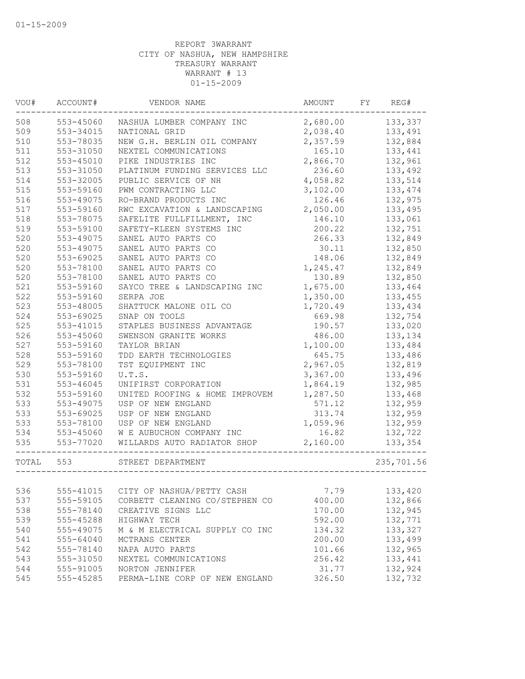| WOU#  | ACCOUNT#  | VENDOR NAME                                          | AMOUNT   | FY | REG#       |
|-------|-----------|------------------------------------------------------|----------|----|------------|
| 508   | 553-45060 | NASHUA LUMBER COMPANY INC                            | 2,680.00 |    | 133,337    |
| 509   | 553-34015 | NATIONAL GRID                                        | 2,038.40 |    | 133,491    |
| 510   | 553-78035 | NEW G.H. BERLIN OIL COMPANY                          | 2,357.59 |    | 132,884    |
| 511   | 553-31050 | NEXTEL COMMUNICATIONS                                | 165.10   |    | 133,441    |
| 512   | 553-45010 | PIKE INDUSTRIES INC                                  | 2,866.70 |    | 132,961    |
| 513   | 553-31050 | PLATINUM FUNDING SERVICES LLC                        | 236.60   |    | 133,492    |
| 514   | 553-32005 | PUBLIC SERVICE OF NH                                 | 4,058.82 |    | 133,514    |
| 515   | 553-59160 | PWM CONTRACTING LLC                                  | 3,102.00 |    | 133, 474   |
| 516   | 553-49075 | RO-BRAND PRODUCTS INC                                | 126.46   |    | 132,975    |
| 517   | 553-59160 | RWC EXCAVATION & LANDSCAPING                         | 2,050.00 |    | 133,495    |
| 518   | 553-78075 | SAFELITE FULLFILLMENT, INC                           | 146.10   |    | 133,061    |
| 519   | 553-59100 | SAFETY-KLEEN SYSTEMS INC                             | 200.22   |    | 132,751    |
| 520   | 553-49075 | SANEL AUTO PARTS CO                                  | 266.33   |    | 132,849    |
| 520   | 553-49075 | SANEL AUTO PARTS CO                                  | 30.11    |    | 132,850    |
| 520   | 553-69025 | SANEL AUTO PARTS CO                                  | 148.06   |    | 132,849    |
| 520   | 553-78100 | SANEL AUTO PARTS CO                                  | 1,245.47 |    | 132,849    |
| 520   | 553-78100 | SANEL AUTO PARTS CO                                  | 130.89   |    | 132,850    |
| 521   | 553-59160 | SAYCO TREE & LANDSCAPING INC                         | 1,675.00 |    | 133,464    |
| 522   | 553-59160 | SERPA JOE                                            | 1,350.00 |    | 133,455    |
| 523   | 553-48005 | SHATTUCK MALONE OIL CO                               | 1,720.49 |    | 133,434    |
| 524   | 553-69025 | SNAP ON TOOLS                                        | 669.98   |    | 132,754    |
| 525   | 553-41015 | STAPLES BUSINESS ADVANTAGE                           | 190.57   |    | 133,020    |
| 526   | 553-45060 | SWENSON GRANITE WORKS                                | 486.00   |    | 133,134    |
| 527   | 553-59160 | TAYLOR BRIAN                                         | 1,100.00 |    | 133,484    |
| 528   | 553-59160 | TDD EARTH TECHNOLOGIES                               | 645.75   |    | 133,486    |
| 529   | 553-78100 | TST EQUIPMENT INC                                    | 2,967.05 |    | 132,819    |
| 530   | 553-59160 | U.T.S.                                               | 3,367.00 |    | 133,496    |
| 531   | 553-46045 | UNIFIRST CORPORATION                                 | 1,864.19 |    | 132,985    |
| 532   | 553-59160 | UNITED ROOFING & HOME IMPROVEM                       | 1,287.50 |    | 133,468    |
| 533   | 553-49075 | USP OF NEW ENGLAND                                   | 571.12   |    | 132,959    |
| 533   | 553-69025 | USP OF NEW ENGLAND                                   | 313.74   |    | 132,959    |
| 533   | 553-78100 | USP OF NEW ENGLAND                                   | 1,059.96 |    | 132,959    |
| 534   | 553-45060 | W E AUBUCHON COMPANY INC                             | 16.82    |    | 132,722    |
| 535   | 553-77020 | WILLARDS AUTO RADIATOR SHOP<br>--------------------- | 2,160.00 |    | 133,354    |
| TOTAL | 553       | STREET DEPARTMENT                                    |          |    | 235,701.56 |
|       |           |                                                      |          |    |            |
| 536   | 555-41015 | CITY OF NASHUA/PETTY CASH                            | 7.79     |    | 133,420    |
| 537   | 555-59105 | CORBETT CLEANING CO/STEPHEN CO                       | 400.00   |    | 132,866    |
| 538   | 555-78140 | CREATIVE SIGNS LLC                                   | 170.00   |    | 132,945    |
| 539   | 555-45288 | HIGHWAY TECH                                         | 592.00   |    | 132,771    |
| 540   | 555-49075 | M & M ELECTRICAL SUPPLY CO INC                       | 134.32   |    | 133,327    |
| 541   | 555-64040 | MCTRANS CENTER                                       | 200.00   |    | 133,499    |
| 542   | 555-78140 | NAPA AUTO PARTS                                      | 101.66   |    | 132,965    |
| 543   | 555-31050 | NEXTEL COMMUNICATIONS                                | 256.42   |    | 133,441    |
| 544   | 555-91005 | NORTON JENNIFER                                      | 31.77    |    | 132,924    |
| 545   | 555-45285 | PERMA-LINE CORP OF NEW ENGLAND                       | 326.50   |    | 132,732    |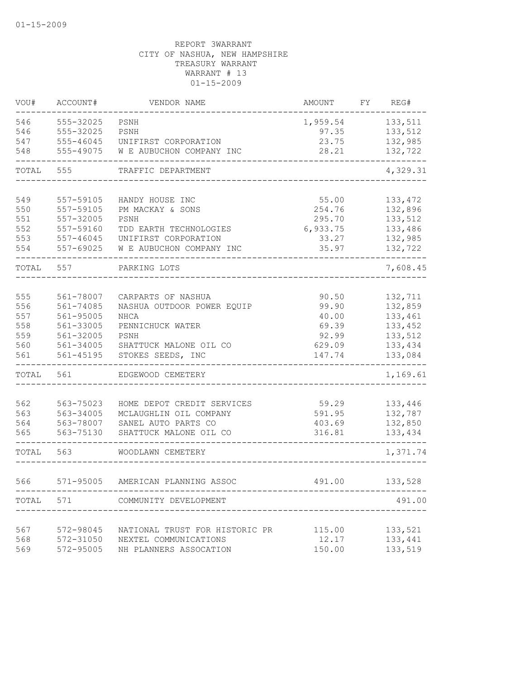| VOU#  | ACCOUNT#      | VENDOR NAME                     | AMOUNT   | FY | REG#     |
|-------|---------------|---------------------------------|----------|----|----------|
| 546   | 555-32025     | PSNH                            | 1,959.54 |    | 133,511  |
| 546   | 555-32025     | PSNH                            | 97.35    |    | 133,512  |
| 547   | 555-46045     | UNIFIRST CORPORATION            | 23.75    |    | 132,985  |
| 548   | 555-49075     | W E AUBUCHON COMPANY INC        | 28.21    |    | 132,722  |
| TOTAL | 555           | TRAFFIC DEPARTMENT              |          |    | 4,329.31 |
| 549   | 557-59105     | HANDY HOUSE INC                 | 55.00    |    | 133, 472 |
| 550   | 557-59105     | PM MACKAY & SONS                | 254.76   |    | 132,896  |
| 551   | 557-32005     | PSNH                            | 295.70   |    | 133,512  |
| 552   | 557-59160     | TDD EARTH TECHNOLOGIES          | 6,933.75 |    | 133,486  |
| 553   | $557 - 46045$ | UNIFIRST CORPORATION            | 33.27    |    | 132,985  |
| 554   | 557-69025     | W E AUBUCHON COMPANY INC        | 35.97    |    | 132,722  |
| TOTAL | 557           | PARKING LOTS                    |          |    | 7,608.45 |
|       |               |                                 |          |    |          |
| 555   | 561-78007     | CARPARTS OF NASHUA              | 90.50    |    | 132,711  |
| 556   | 561-74085     | NASHUA OUTDOOR POWER EQUIP      | 99.90    |    | 132,859  |
| 557   | 561-95005     | NHCA                            | 40.00    |    | 133,461  |
| 558   | 561-33005     | PENNICHUCK WATER                | 69.39    |    | 133,452  |
| 559   | 561-32005     | PSNH                            | 92.99    |    | 133,512  |
| 560   | 561-34005     | SHATTUCK MALONE OIL CO          | 629.09   |    | 133,434  |
| 561   | $561 - 45195$ | STOKES SEEDS, INC               | 147.74   |    | 133,084  |
| TOTAL | 561           | EDGEWOOD CEMETERY               |          |    | 1,169.61 |
| 562   | 563-75023     | HOME DEPOT CREDIT SERVICES      | 59.29    |    | 133,446  |
| 563   | 563-34005     | MCLAUGHLIN OIL COMPANY          | 591.95   |    | 132,787  |
| 564   | 563-78007     | SANEL AUTO PARTS CO             | 403.69   |    | 132,850  |
| 565   | 563-75130     | SHATTUCK MALONE OIL CO          | 316.81   |    | 133,434  |
| TOTAL | 563           | WOODLAWN CEMETERY               |          |    | 1,371.74 |
| 566   | 571-95005     | AMERICAN PLANNING ASSOC         | 491.00   |    | 133,528  |
|       |               |                                 |          |    |          |
|       |               | TOTAL 571 COMMUNITY DEVELOPMENT |          |    | 491.00   |
| 567   | 572-98045     | NATIONAL TRUST FOR HISTORIC PR  | 115.00   |    | 133,521  |
| 568   | 572-31050     | NEXTEL COMMUNICATIONS           | 12.17    |    | 133,441  |
| 569   | 572-95005     | NH PLANNERS ASSOCATION          | 150.00   |    | 133,519  |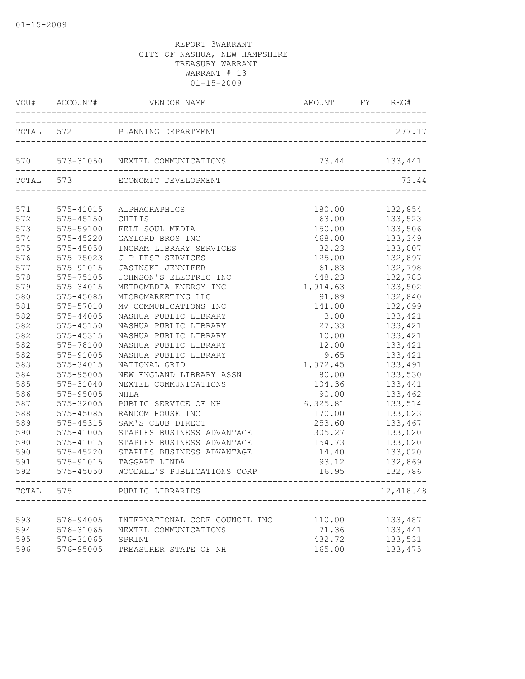|            | VOU# ACCOUNT#              | VENDOR NAME                                    | AMOUNT FY REG# |                    |
|------------|----------------------------|------------------------------------------------|----------------|--------------------|
|            | TOTAL 572                  | PLANNING DEPARTMENT                            |                | 277.17             |
|            |                            | 570 573-31050 NEXTEL COMMUNICATIONS            | 73.44 133,441  |                    |
|            | TOTAL 573                  | ECONOMIC DEVELOPMENT                           |                | 73.44              |
| 571        | 575-41015                  | ALPHAGRAPHICS                                  | 180.00         | 132,854            |
| 572        | $575 - 45150$              | CHILIS                                         | 63.00          | 133,523            |
| 573        | 575-59100                  | FELT SOUL MEDIA                                | 150.00         | 133,506            |
| 574        | 575-45220                  | GAYLORD BROS INC                               | 468.00         | 133,349            |
| 575        | 575-45050                  | INGRAM LIBRARY SERVICES                        | 32.23          | 133,007            |
| 576        | 575-75023                  | J P PEST SERVICES                              | 125.00         | 132,897            |
| 577        | 575-91015                  | JASINSKI JENNIFER                              | 61.83          | 132,798            |
| 578        | 575-75105                  | JOHNSON'S ELECTRIC INC                         | 448.23         | 132,783            |
| 579        | 575-34015                  | METROMEDIA ENERGY INC                          | 1,914.63       | 133,502            |
| 580        | 575-45085                  | MICROMARKETING LLC                             | 91.89          | 132,840            |
| 581        | 575-57010                  | MV COMMUNICATIONS INC                          | 141.00         | 132,699            |
| 582        | 575-44005<br>$575 - 45150$ | NASHUA PUBLIC LIBRARY                          | 3.00<br>27.33  | 133,421            |
| 582<br>582 | 575-45315                  | NASHUA PUBLIC LIBRARY<br>NASHUA PUBLIC LIBRARY | 10.00          | 133,421<br>133,421 |
| 582        | 575-78100                  | NASHUA PUBLIC LIBRARY                          | 12.00          | 133,421            |
| 582        | 575-91005                  | NASHUA PUBLIC LIBRARY                          | 9.65           | 133,421            |
| 583        | 575-34015                  | NATIONAL GRID                                  | 1,072.45       | 133,491            |
| 584        | 575-95005                  | NEW ENGLAND LIBRARY ASSN                       | 80.00          | 133,530            |
| 585        | 575-31040                  | NEXTEL COMMUNICATIONS                          | 104.36         | 133,441            |
| 586        | 575-95005                  | NHLA                                           | 90.00          | 133,462            |
| 587        | 575-32005                  | PUBLIC SERVICE OF NH                           | 6,325.81       | 133,514            |
| 588        | 575-45085                  | RANDOM HOUSE INC                               | 170.00         | 133,023            |
| 589        | 575-45315                  | SAM'S CLUB DIRECT                              | 253.60         | 133,467            |
| 590        | 575-41005                  | STAPLES BUSINESS ADVANTAGE                     | 305.27         | 133,020            |
| 590        | 575-41015                  | STAPLES BUSINESS ADVANTAGE                     | 154.73         | 133,020            |
| 590        | 575-45220                  | STAPLES BUSINESS ADVANTAGE                     | 14.40          | 133,020            |
| 591        | 575-91015                  | TAGGART LINDA                                  | 93.12          | 132,869            |
| 592        | 575-45050                  | WOODALL'S PUBLICATIONS CORP                    | 16.95          | 132,786            |
| TOTAL      | 575                        | PUBLIC LIBRARIES                               |                | 12,418.48          |
| 593        | 576-94005                  | INTERNATIONAL CODE COUNCIL INC                 | 110.00         | 133,487            |
| 594        | 576-31065                  | NEXTEL COMMUNICATIONS                          | 71.36          | 133,441            |
| 595        | 576-31065                  | SPRINT                                         | 432.72         | 133,531            |
| 596        | 576-95005                  | TREASURER STATE OF NH                          | 165.00         | 133, 475           |
|            |                            |                                                |                |                    |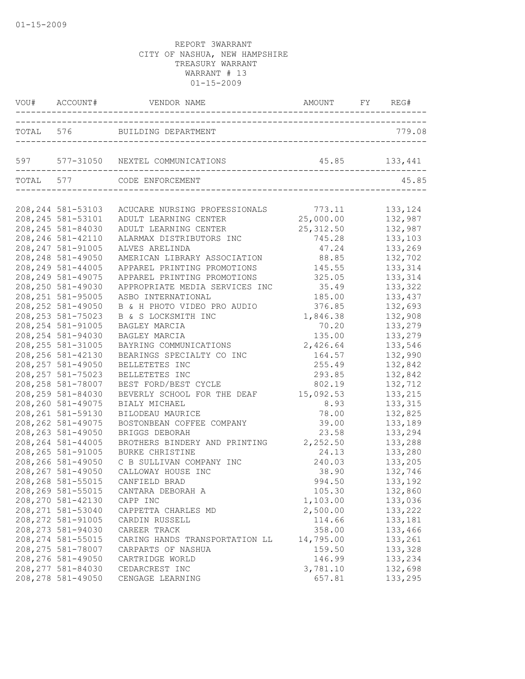|                    | VOU# ACCOUNT# VENDOR NAME AMOUNT FY REG | AMOUNT FY REG# |         |
|--------------------|-----------------------------------------|----------------|---------|
|                    | TOTAL 576 BUILDING DEPARTMENT           |                | 779.08  |
|                    | 597 577-31050 NEXTEL COMMUNICATIONS     | 45.85 133,441  |         |
|                    | TOTAL 577 CODE ENFORCEMENT              |                | 45.85   |
| 208, 244 581-53103 | ACUCARE NURSING PROFESSIONALS           | 773.11         | 133,124 |
| 208, 245 581-53101 | ADULT LEARNING CENTER                   | 25,000.00      | 132,987 |
| 208, 245 581-84030 | ADULT LEARNING CENTER                   | 25,312.50      | 132,987 |
| 208, 246 581-42110 | ALARMAX DISTRIBUTORS INC                | 745.28         | 133,103 |
| 208, 247 581-91005 | ALVES ARELINDA                          | 47.24          | 133,269 |
| 208, 248 581-49050 | AMERICAN LIBRARY ASSOCIATION            | 88.85          | 132,702 |
| 208, 249 581-44005 | APPAREL PRINTING PROMOTIONS             | 145.55         | 133,314 |
| 208, 249 581-49075 | APPAREL PRINTING PROMOTIONS             | 325.05         | 133,314 |
| 208,250 581-49030  | APPROPRIATE MEDIA SERVICES INC          | 35.49          | 133,322 |
| 208, 251 581-95005 | ASBO INTERNATIONAL                      | 185.00         | 133,437 |
| 208, 252 581-49050 | B & H PHOTO VIDEO PRO AUDIO             | 376.85         | 132,693 |
| 208, 253 581-75023 | B & S LOCKSMITH INC                     | 1,846.38       | 132,908 |
| 208, 254 581-91005 | BAGLEY MARCIA                           | 70.20          | 133,279 |
| 208, 254 581-94030 | BAGLEY MARCIA                           | 135.00         | 133,279 |
| 208, 255 581-31005 | BAYRING COMMUNICATIONS                  | 2,426.64       | 133,546 |
| 208, 256 581-42130 | BEARINGS SPECIALTY CO INC               | 164.57         | 132,990 |
| 208, 257 581-49050 | BELLETETES INC                          | 255.49         | 132,842 |
| 208, 257 581-75023 | BELLETETES INC                          | 293.85         | 132,842 |
| 208, 258 581-78007 | BEST FORD/BEST CYCLE                    | 802.19         | 132,712 |
| 208, 259 581-84030 | BEVERLY SCHOOL FOR THE DEAF             | 15,092.53      | 133,215 |
| 208,260 581-49075  | BIALY MICHAEL                           | 8.93           | 133,315 |
| 208, 261 581-59130 | BILODEAU MAURICE                        | 78.00          | 132,825 |
| 208, 262 581-49075 | BOSTONBEAN COFFEE COMPANY               | 39.00          | 133,189 |
| 208, 263 581-49050 | BRIGGS DEBORAH                          | 23.58          | 133,294 |
| 208, 264 581-44005 | BROTHERS BINDERY AND PRINTING 2,252.50  |                | 133,288 |
| 208, 265 581-91005 | BURKE CHRISTINE                         | 24.13          | 133,280 |
| 208,266 581-49050  | C B SULLIVAN COMPANY INC                | 240.03         | 133,205 |
| 208, 267 581-49050 | CALLOWAY HOUSE INC                      | 38.90          | 132,746 |
| 208,268 581-55015  | CANFIELD BRAD                           | 994.50         | 133,192 |
| 208,269 581-55015  | CANTARA DEBORAH A                       | 105.30         | 132,860 |
| 208, 270 581-42130 | CAPP INC                                | 1,103.00       | 133,036 |
| 208, 271 581-53040 | CAPPETTA CHARLES MD                     | 2,500.00       | 133,222 |
| 208, 272 581-91005 | CARDIN RUSSELL                          | 114.66         | 133,181 |
| 208, 273 581-94030 | CAREER TRACK                            | 358.00         | 133,466 |
| 208, 274 581-55015 | CARING HANDS TRANSPORTATION LL          | 14,795.00      | 133,261 |
| 208, 275 581-78007 | CARPARTS OF NASHUA                      | 159.50         | 133,328 |
| 208, 276 581-49050 | CARTRIDGE WORLD                         | 146.99         | 133,234 |
| 208, 277 581-84030 | CEDARCREST INC                          | 3,781.10       | 132,698 |
| 208, 278 581-49050 | CENGAGE LEARNING                        | 657.81         | 133,295 |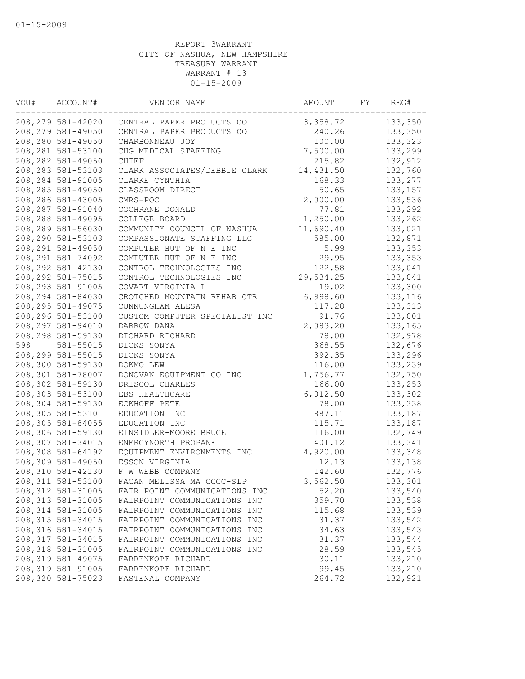| VOU# | ACCOUNT#           | VENDOR NAME                    | AMOUNT    | FY | REG#     |
|------|--------------------|--------------------------------|-----------|----|----------|
|      | 208,279 581-42020  | CENTRAL PAPER PRODUCTS CO      | 3,358.72  |    | 133,350  |
|      | 208, 279 581-49050 | CENTRAL PAPER PRODUCTS CO      | 240.26    |    | 133,350  |
|      | 208,280 581-49050  | CHARBONNEAU JOY                | 100.00    |    | 133,323  |
|      | 208, 281 581-53100 | CHG MEDICAL STAFFING           | 7,500.00  |    | 133,299  |
|      | 208,282 581-49050  | CHIEF                          | 215.82    |    | 132,912  |
|      | 208, 283 581-53103 | CLARK ASSOCIATES/DEBBIE CLARK  | 14,431.50 |    | 132,760  |
|      | 208,284 581-91005  | CLARKE CYNTHIA                 | 168.33    |    | 133,277  |
|      | 208,285 581-49050  | CLASSROOM DIRECT               | 50.65     |    | 133,157  |
|      | 208,286 581-43005  | CMRS-POC                       | 2,000.00  |    | 133,536  |
|      | 208,287 581-91040  | COCHRANE DONALD                | 77.81     |    | 133,292  |
|      | 208,288 581-49095  | COLLEGE BOARD                  | 1,250.00  |    | 133,262  |
|      | 208,289 581-56030  | COMMUNITY COUNCIL OF NASHUA    | 11,690.40 |    | 133,021  |
|      | 208,290 581-53103  | COMPASSIONATE STAFFING LLC     | 585.00    |    | 132,871  |
|      | 208, 291 581-49050 | COMPUTER HUT OF N E INC        | 5.99      |    | 133,353  |
|      | 208, 291 581-74092 | COMPUTER HUT OF N E INC        | 29.95     |    | 133,353  |
|      | 208, 292 581-42130 | CONTROL TECHNOLOGIES INC       | 122.58    |    | 133,041  |
|      | 208, 292 581-75015 | CONTROL TECHNOLOGIES INC       | 29,534.25 |    | 133,041  |
|      | 208, 293 581-91005 | COVART VIRGINIA L              | 19.02     |    | 133,300  |
|      | 208,294 581-84030  | CROTCHED MOUNTAIN REHAB CTR    | 6,998.60  |    | 133,116  |
|      | 208, 295 581-49075 | CUNNUNGHAM ALESA               | 117.28    |    | 133, 313 |
|      | 208,296 581-53100  | CUSTOM COMPUTER SPECIALIST INC | 91.76     |    | 133,001  |
|      | 208, 297 581-94010 | DARROW DANA                    | 2,083.20  |    | 133,165  |
|      | 208,298 581-59130  | DICHARD RICHARD                | 78.00     |    | 132,978  |
| 598  | 581-55015          | DICKS SONYA                    | 368.55    |    | 132,676  |
|      | 208,299 581-55015  | DICKS SONYA                    | 392.35    |    | 133,296  |
|      | 208,300 581-59130  | DOKMO LEW                      | 116.00    |    | 133,239  |
|      | 208,301 581-78007  | DONOVAN EQUIPMENT CO INC       | 1,756.77  |    | 132,750  |
|      | 208,302 581-59130  | DRISCOL CHARLES                | 166.00    |    | 133,253  |
|      | 208,303 581-53100  | EBS HEALTHCARE                 | 6,012.50  |    | 133,302  |
|      | 208,304 581-59130  | ECKHOFF PETE                   | 78.00     |    | 133,338  |
|      | 208,305 581-53101  | EDUCATION INC                  | 887.11    |    | 133,187  |
|      | 208,305 581-84055  | EDUCATION INC                  | 115.71    |    | 133,187  |
|      | 208,306 581-59130  | EINSIDLER-MOORE BRUCE          | 116.00    |    | 132,749  |
|      | 208,307 581-34015  | ENERGYNORTH PROPANE            | 401.12    |    | 133,341  |
|      | 208,308 581-64192  | EQUIPMENT ENVIRONMENTS INC     | 4,920.00  |    | 133,348  |
|      | 208,309 581-49050  | ESSON VIRGINIA                 | 12.13     |    | 133,138  |
|      | 208,310 581-42130  | F W WEBB COMPANY               | 142.60    |    | 132,776  |
|      | 208,311 581-53100  | FAGAN MELISSA MA CCCC-SLP      | 3,562.50  |    | 133,301  |
|      | 208,312 581-31005  | FAIR POINT COMMUNICATIONS INC  | 52.20     |    | 133,540  |
|      | 208, 313 581-31005 | FAIRPOINT COMMUNICATIONS INC   | 359.70    |    | 133,538  |
|      | 208, 314 581-31005 | FAIRPOINT COMMUNICATIONS INC   | 115.68    |    | 133,539  |
|      | 208, 315 581-34015 | FAIRPOINT COMMUNICATIONS INC   | 31.37     |    | 133,542  |
|      | 208,316 581-34015  | FAIRPOINT COMMUNICATIONS INC   | 34.63     |    | 133,543  |
|      | 208, 317 581-34015 | FAIRPOINT COMMUNICATIONS INC   | 31.37     |    | 133,544  |
|      | 208,318 581-31005  | FAIRPOINT COMMUNICATIONS INC   | 28.59     |    | 133,545  |
|      | 208,319 581-49075  | FARRENKOPF RICHARD             | 30.11     |    | 133,210  |
|      | 208,319 581-91005  | FARRENKOPF RICHARD             | 99.45     |    | 133,210  |
|      | 208,320 581-75023  | FASTENAL COMPANY               | 264.72    |    | 132,921  |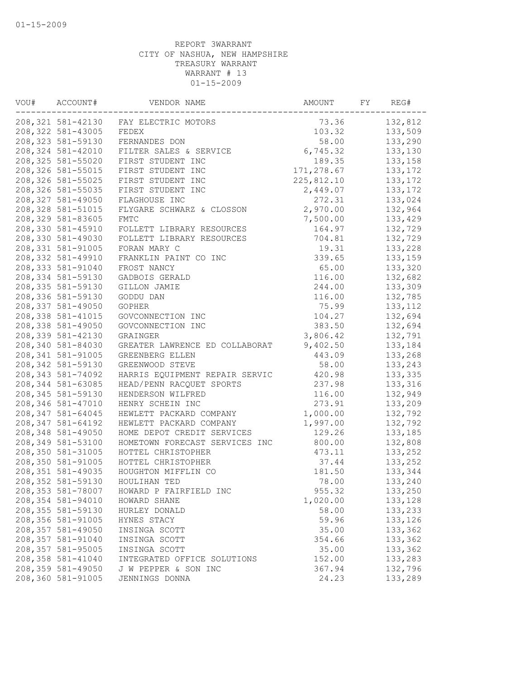| VOU# | ACCOUNT#           | VENDOR NAME                    | AMOUNT     | FY | REG#     |
|------|--------------------|--------------------------------|------------|----|----------|
|      | 208,321 581-42130  | FAY ELECTRIC MOTORS            | 73.36      |    | 132,812  |
|      | 208, 322 581-43005 | FEDEX                          | 103.32     |    | 133,509  |
|      | 208, 323 581-59130 | FERNANDES DON                  | 58.00      |    | 133,290  |
|      | 208,324 581-42010  | FILTER SALES & SERVICE         | 6,745.32   |    | 133,130  |
|      | 208, 325 581-55020 | FIRST STUDENT INC              | 189.35     |    | 133,158  |
|      | 208, 326 581-55015 | FIRST STUDENT INC              | 171,278.67 |    | 133, 172 |
|      | 208, 326 581-55025 | FIRST STUDENT INC              | 225,812.10 |    | 133, 172 |
|      | 208,326 581-55035  | FIRST STUDENT INC              | 2,449.07   |    | 133, 172 |
|      | 208,327 581-49050  | FLAGHOUSE INC                  | 272.31     |    | 133,024  |
|      | 208, 328 581-51015 | FLYGARE SCHWARZ & CLOSSON      | 2,970.00   |    | 132,964  |
|      | 208,329 581-83605  | <b>FMTC</b>                    | 7,500.00   |    | 133,429  |
|      | 208,330 581-45910  | FOLLETT LIBRARY RESOURCES      | 164.97     |    | 132,729  |
|      | 208,330 581-49030  | FOLLETT LIBRARY RESOURCES      | 704.81     |    | 132,729  |
|      | 208,331 581-91005  | FORAN MARY C                   | 19.31      |    | 133,228  |
|      | 208,332 581-49910  | FRANKLIN PAINT CO INC          | 339.65     |    | 133,159  |
|      | 208,333 581-91040  | FROST NANCY                    | 65.00      |    | 133,320  |
|      | 208, 334 581-59130 | GADBOIS GERALD                 | 116.00     |    | 132,682  |
|      | 208, 335 581-59130 | GILLON JAMIE                   | 244.00     |    | 133,309  |
|      | 208,336 581-59130  | GODDU DAN                      | 116.00     |    | 132,785  |
|      | 208,337 581-49050  | <b>GOPHER</b>                  | 75.99      |    | 133, 112 |
|      | 208, 338 581-41015 | GOVCONNECTION INC              | 104.27     |    | 132,694  |
|      | 208,338 581-49050  | GOVCONNECTION INC              | 383.50     |    | 132,694  |
|      | 208,339 581-42130  | GRAINGER                       | 3,806.42   |    | 132,791  |
|      | 208,340 581-84030  | GREATER LAWRENCE ED COLLABORAT | 9,402.50   |    | 133,184  |
|      | 208, 341 581-91005 | GREENBERG ELLEN                | 443.09     |    | 133,268  |
|      | 208, 342 581-59130 | GREENWOOD STEVE                | 58.00      |    | 133,243  |
|      | 208, 343 581-74092 | HARRIS EQUIPMENT REPAIR SERVIC | 420.98     |    | 133,335  |
|      | 208, 344 581-63085 | HEAD/PENN RACQUET SPORTS       | 237.98     |    | 133,316  |
|      | 208, 345 581-59130 | HENDERSON WILFRED              | 116.00     |    | 132,949  |
|      | 208,346 581-47010  | HENRY SCHEIN INC               | 273.91     |    | 133,209  |
|      | 208, 347 581-64045 | HEWLETT PACKARD COMPANY        | 1,000.00   |    | 132,792  |
|      | 208, 347 581-64192 | HEWLETT PACKARD COMPANY        | 1,997.00   |    | 132,792  |
|      | 208,348 581-49050  | HOME DEPOT CREDIT SERVICES     | 129.26     |    | 133,185  |
|      | 208,349 581-53100  | HOMETOWN FORECAST SERVICES INC | 800.00     |    | 132,808  |
|      | 208,350 581-31005  | HOTTEL CHRISTOPHER             | 473.11     |    | 133,252  |
|      | 208,350 581-91005  | HOTTEL CHRISTOPHER             | 37.44      |    | 133,252  |
|      | 208,351 581-49035  | HOUGHTON MIFFLIN CO            | 181.50     |    | 133,344  |
|      | 208,352 581-59130  | HOULIHAN TED                   | 78.00      |    | 133,240  |
|      | 208,353 581-78007  | HOWARD P FAIRFIELD INC         | 955.32     |    | 133,250  |
|      | 208,354 581-94010  | HOWARD SHANE                   | 1,020.00   |    | 133,128  |
|      | 208,355 581-59130  | HURLEY DONALD                  | 58.00      |    | 133,233  |
|      | 208,356 581-91005  | HYNES STACY                    | 59.96      |    | 133,126  |
|      | 208,357 581-49050  | INSINGA SCOTT                  | 35.00      |    | 133,362  |
|      | 208,357 581-91040  | INSINGA SCOTT                  | 354.66     |    | 133,362  |
|      | 208, 357 581-95005 | INSINGA SCOTT                  | 35.00      |    | 133,362  |
|      | 208,358 581-41040  | INTEGRATED OFFICE SOLUTIONS    | 152.00     |    | 133,283  |
|      | 208,359 581-49050  | J W PEPPER & SON INC           | 367.94     |    | 132,796  |
|      | 208,360 581-91005  | JENNINGS DONNA                 | 24.23      |    | 133,289  |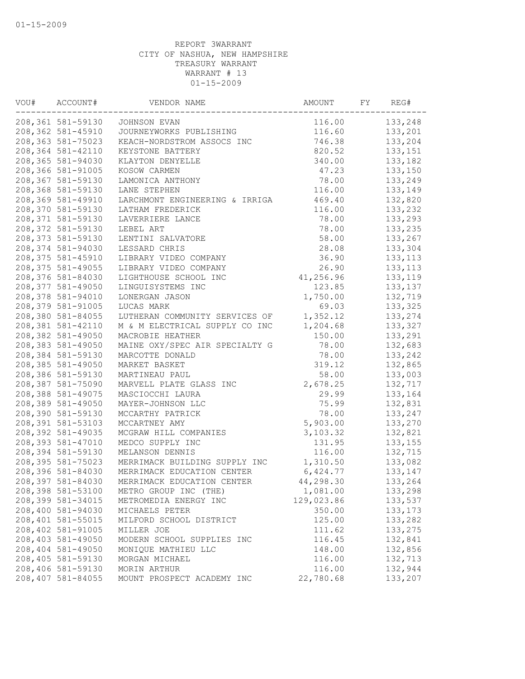| VOU# | ACCOUNT#          | VENDOR NAME                    | AMOUNT     | FY | REG#     |
|------|-------------------|--------------------------------|------------|----|----------|
|      | 208,361 581-59130 | JOHNSON EVAN                   | 116.00     |    | 133,248  |
|      | 208,362 581-45910 | JOURNEYWORKS PUBLISHING        | 116.60     |    | 133,201  |
|      | 208,363 581-75023 | KEACH-NORDSTROM ASSOCS INC     | 746.38     |    | 133,204  |
|      | 208,364 581-42110 | KEYSTONE BATTERY               | 820.52     |    | 133,151  |
|      | 208,365 581-94030 | KLAYTON DENYELLE               | 340.00     |    | 133,182  |
|      | 208,366 581-91005 | KOSOW CARMEN                   | 47.23      |    | 133,150  |
|      | 208,367 581-59130 | LAMONICA ANTHONY               | 78.00      |    | 133,249  |
|      | 208,368 581-59130 | LANE STEPHEN                   | 116.00     |    | 133,149  |
|      | 208,369 581-49910 | LARCHMONT ENGINEERING & IRRIGA | 469.40     |    | 132,820  |
|      | 208,370 581-59130 | LATHAM FREDERICK               | 116.00     |    | 133,232  |
|      | 208,371 581-59130 | LAVERRIERE LANCE               | 78.00      |    | 133,293  |
|      | 208,372 581-59130 | LEBEL ART                      | 78.00      |    | 133,235  |
|      | 208,373 581-59130 | LENTINI SALVATORE              | 58.00      |    | 133,267  |
|      | 208,374 581-94030 | LESSARD CHRIS                  | 28.08      |    | 133,304  |
|      | 208,375 581-45910 | LIBRARY VIDEO COMPANY          | 36.90      |    | 133, 113 |
|      | 208,375 581-49055 | LIBRARY VIDEO COMPANY          | 26.90      |    | 133, 113 |
|      | 208,376 581-84030 | LIGHTHOUSE SCHOOL INC          | 41,256.96  |    | 133,119  |
|      | 208,377 581-49050 | LINGUISYSTEMS INC              | 123.85     |    | 133,137  |
|      | 208,378 581-94010 | LONERGAN JASON                 | 1,750.00   |    | 132,719  |
|      | 208,379 581-91005 | LUCAS MARK                     | 69.03      |    | 133,325  |
|      | 208,380 581-84055 | LUTHERAN COMMUNITY SERVICES OF | 1,352.12   |    | 133,274  |
|      | 208,381 581-42110 | M & M ELECTRICAL SUPPLY CO INC | 1,204.68   |    | 133,327  |
|      | 208,382 581-49050 | MACROBIE HEATHER               | 150.00     |    | 133,291  |
|      | 208,383 581-49050 | MAINE OXY/SPEC AIR SPECIALTY G | 78.00      |    | 132,683  |
|      | 208,384 581-59130 | MARCOTTE DONALD                | 78.00      |    | 133,242  |
|      | 208,385 581-49050 | MARKET BASKET                  | 319.12     |    | 132,865  |
|      | 208,386 581-59130 | MARTINEAU PAUL                 | 58.00      |    | 133,003  |
|      | 208,387 581-75090 | MARVELL PLATE GLASS INC        | 2,678.25   |    | 132,717  |
|      | 208,388 581-49075 | MASCIOCCHI LAURA               | 29.99      |    | 133,164  |
|      | 208,389 581-49050 | MAYER-JOHNSON LLC              | 75.99      |    | 132,831  |
|      | 208,390 581-59130 | MCCARTHY PATRICK               | 78.00      |    | 133,247  |
|      | 208,391 581-53103 | MCCARTNEY AMY                  | 5,903.00   |    | 133,270  |
|      | 208,392 581-49035 | MCGRAW HILL COMPANIES          | 3,103.32   |    | 132,821  |
|      | 208,393 581-47010 | MEDCO SUPPLY INC               | 131.95     |    | 133, 155 |
|      | 208,394 581-59130 | MELANSON DENNIS                | 116.00     |    | 132,715  |
|      | 208,395 581-75023 | MERRIMACK BUILDING SUPPLY INC  | 1,310.50   |    | 133,082  |
|      | 208,396 581-84030 | MERRIMACK EDUCATION CENTER     | 6,424.77   |    | 133,147  |
|      | 208,397 581-84030 | MERRIMACK EDUCATION CENTER     | 44,298.30  |    | 133,264  |
|      | 208,398 581-53100 | METRO GROUP INC (THE)          | 1,081.00   |    | 133,298  |
|      | 208,399 581-34015 | METROMEDIA ENERGY INC          | 129,023.86 |    | 133,537  |
|      | 208,400 581-94030 | MICHAELS PETER                 | 350.00     |    | 133, 173 |
|      | 208,401 581-55015 | MILFORD SCHOOL DISTRICT        | 125.00     |    | 133,282  |
|      | 208,402 581-91005 | MILLER JOE                     | 111.62     |    | 133,275  |
|      | 208,403 581-49050 | MODERN SCHOOL SUPPLIES INC     | 116.45     |    | 132,841  |
|      | 208,404 581-49050 | MONIQUE MATHIEU LLC            | 148.00     |    | 132,856  |
|      | 208,405 581-59130 | MORGAN MICHAEL                 | 116.00     |    | 132,713  |
|      | 208,406 581-59130 | MORIN ARTHUR                   | 116.00     |    | 132,944  |
|      | 208,407 581-84055 | MOUNT PROSPECT ACADEMY INC     | 22,780.68  |    | 133,207  |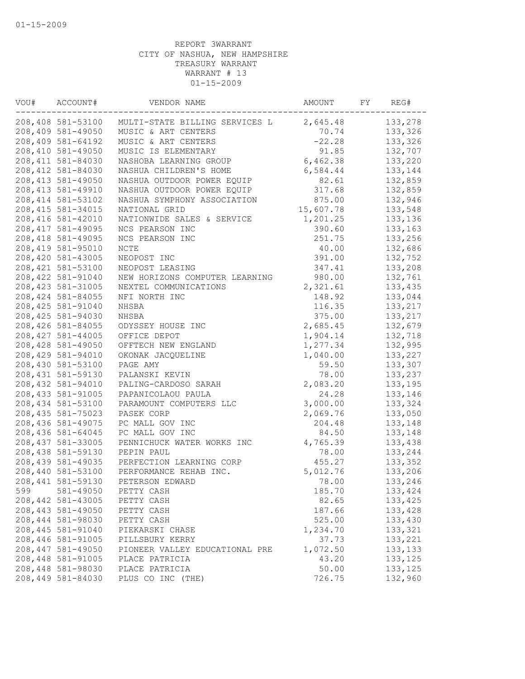| VOU# | ACCOUNT#           | VENDOR NAME                    | AMOUNT    | FY | REG#     |
|------|--------------------|--------------------------------|-----------|----|----------|
|      | 208,408 581-53100  | MULTI-STATE BILLING SERVICES L | 2,645.48  |    | 133,278  |
|      | 208,409 581-49050  | MUSIC & ART CENTERS            | 70.74     |    | 133,326  |
|      | 208,409 581-64192  | MUSIC & ART CENTERS            | $-22.28$  |    | 133,326  |
|      | 208,410 581-49050  | MUSIC IS ELEMENTARY            | 91.85     |    | 132,707  |
|      | 208, 411 581-84030 | NASHOBA LEARNING GROUP         | 6,462.38  |    | 133,220  |
|      | 208, 412 581-84030 | NASHUA CHILDREN'S HOME         | 6,584.44  |    | 133,144  |
|      | 208, 413 581-49050 | NASHUA OUTDOOR POWER EQUIP     | 82.61     |    | 132,859  |
|      | 208, 413 581-49910 | NASHUA OUTDOOR POWER EQUIP     | 317.68    |    | 132,859  |
|      | 208, 414 581-53102 | NASHUA SYMPHONY ASSOCIATION    | 875.00    |    | 132,946  |
|      | 208, 415 581-34015 | NATIONAL GRID                  | 15,607.78 |    | 133,548  |
|      | 208,416 581-42010  | NATIONWIDE SALES & SERVICE     | 1,201.25  |    | 133,136  |
|      | 208, 417 581-49095 | NCS PEARSON INC                | 390.60    |    | 133,163  |
|      | 208, 418 581-49095 | NCS PEARSON INC                | 251.75    |    | 133,256  |
|      | 208, 419 581-95010 | NCTE                           | 40.00     |    | 132,686  |
|      | 208,420 581-43005  | NEOPOST INC                    | 391.00    |    | 132,752  |
|      | 208, 421 581-53100 | NEOPOST LEASING                | 347.41    |    | 133,208  |
|      | 208,422 581-91040  | NEW HORIZONS COMPUTER LEARNING | 980.00    |    | 132,761  |
|      | 208, 423 581-31005 | NEXTEL COMMUNICATIONS          | 2,321.61  |    | 133,435  |
|      | 208, 424 581-84055 | NFI NORTH INC                  | 148.92    |    | 133,044  |
|      | 208, 425 581-91040 | NHSBA                          | 116.35    |    | 133,217  |
|      | 208, 425 581-94030 | NHSBA                          | 375.00    |    | 133,217  |
|      | 208,426 581-84055  | ODYSSEY HOUSE INC              | 2,685.45  |    | 132,679  |
|      | 208, 427 581-44005 | OFFICE DEPOT                   | 1,904.14  |    | 132,718  |
|      | 208,428 581-49050  | OFFTECH NEW ENGLAND            | 1,277.34  |    | 132,995  |
|      | 208,429 581-94010  | OKONAK JACQUELINE              | 1,040.00  |    | 133,227  |
|      | 208,430 581-53100  | PAGE AMY                       | 59.50     |    | 133,307  |
|      | 208, 431 581-59130 | PALANSKI KEVIN                 | 78.00     |    | 133,237  |
|      | 208,432 581-94010  | PALING-CARDOSO SARAH           | 2,083.20  |    | 133,195  |
|      | 208, 433 581-91005 | PAPANICOLAOU PAULA             | 24.28     |    | 133,146  |
|      | 208,434 581-53100  | PARAMOUNT COMPUTERS LLC        | 3,000.00  |    | 133,324  |
|      | 208, 435 581-75023 | PASEK CORP                     | 2,069.76  |    | 133,050  |
|      | 208,436 581-49075  | PC MALL GOV INC                | 204.48    |    | 133,148  |
|      | 208,436 581-64045  | PC MALL GOV INC                | 84.50     |    | 133,148  |
|      | 208, 437 581-33005 | PENNICHUCK WATER WORKS INC     | 4,765.39  |    | 133,438  |
|      | 208,438 581-59130  | PEPIN PAUL                     | 78.00     |    | 133,244  |
|      | 208,439 581-49035  | PERFECTION LEARNING CORP       | 455.27    |    | 133,352  |
|      | 208,440 581-53100  | PERFORMANCE REHAB INC.         | 5,012.76  |    | 133,206  |
|      | 208,441 581-59130  | PETERSON EDWARD                | 78.00     |    | 133,246  |
| 599  | 581-49050          | PETTY CASH                     | 185.70    |    | 133,424  |
|      | 208,442 581-43005  | PETTY CASH                     | 82.65     |    | 133,425  |
|      | 208, 443 581-49050 | PETTY CASH                     | 187.66    |    | 133,428  |
|      | 208,444 581-98030  | PETTY CASH                     | 525.00    |    | 133,430  |
|      | 208, 445 581-91040 | PIEKARSKI CHASE                | 1,234.70  |    | 133,321  |
|      | 208,446 581-91005  | PILLSBURY KERRY                | 37.73     |    | 133,221  |
|      | 208,447 581-49050  | PIONEER VALLEY EDUCATIONAL PRE | 1,072.50  |    | 133,133  |
|      | 208,448 581-91005  | PLACE PATRICIA                 | 43.20     |    | 133, 125 |
|      | 208,448 581-98030  | PLACE PATRICIA                 | 50.00     |    | 133, 125 |
|      | 208,449 581-84030  | PLUS CO INC (THE)              | 726.75    |    | 132,960  |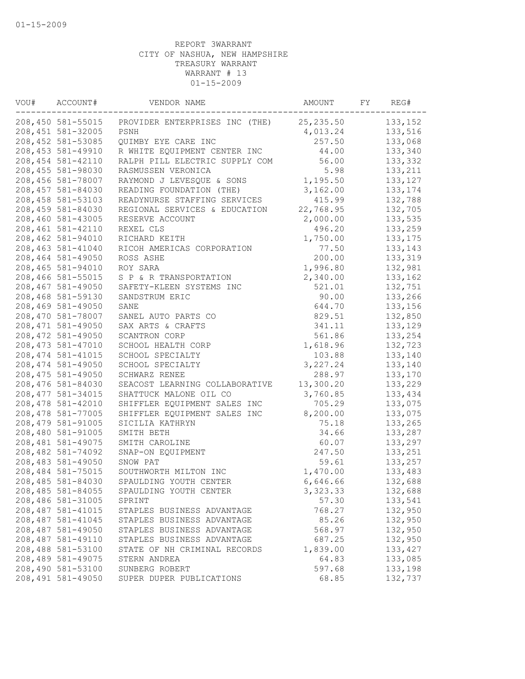| VOU# | ACCOUNT#           | VENDOR NAME                    | AMOUNT     | FY | REG#     |
|------|--------------------|--------------------------------|------------|----|----------|
|      | 208,450 581-55015  | PROVIDER ENTERPRISES INC (THE) | 25, 235.50 |    | 133,152  |
|      | 208, 451 581-32005 | PSNH                           | 4,013.24   |    | 133,516  |
|      | 208, 452 581-53085 | QUIMBY EYE CARE INC            | 257.50     |    | 133,068  |
|      | 208, 453 581-49910 | R WHITE EQUIPMENT CENTER INC   | 44.00      |    | 133,340  |
|      | 208, 454 581-42110 | RALPH PILL ELECTRIC SUPPLY COM | 56.00      |    | 133,332  |
|      | 208,455 581-98030  | RASMUSSEN VERONICA             | 5.98       |    | 133,211  |
|      | 208,456 581-78007  | RAYMOND J LEVESQUE & SONS      | 1,195.50   |    | 133,127  |
|      | 208,457 581-84030  | READING FOUNDATION (THE)       | 3,162.00   |    | 133, 174 |
|      | 208,458 581-53103  | READYNURSE STAFFING SERVICES   | 415.99     |    | 132,788  |
|      | 208,459 581-84030  | REGIONAL SERVICES & EDUCATION  | 22,768.95  |    | 132,705  |
|      | 208,460 581-43005  | RESERVE ACCOUNT                | 2,000.00   |    | 133,535  |
|      | 208,461 581-42110  | REXEL CLS                      | 496.20     |    | 133,259  |
|      | 208,462 581-94010  | RICHARD KEITH                  | 1,750.00   |    | 133, 175 |
|      | 208,463 581-41040  | RICOH AMERICAS CORPORATION     | 77.50      |    | 133,143  |
|      | 208,464 581-49050  | ROSS ASHE                      | 200.00     |    | 133,319  |
|      | 208,465 581-94010  | ROY SARA                       | 1,996.80   |    | 132,981  |
|      | 208,466 581-55015  | S P & R TRANSPORTATION         | 2,340.00   |    | 133,162  |
|      | 208,467 581-49050  | SAFETY-KLEEN SYSTEMS INC       | 521.01     |    | 132,751  |
|      | 208,468 581-59130  | SANDSTRUM ERIC                 | 90.00      |    | 133,266  |
|      | 208,469 581-49050  | SANE                           | 644.70     |    | 133,156  |
|      | 208,470 581-78007  | SANEL AUTO PARTS CO            | 829.51     |    | 132,850  |
|      | 208, 471 581-49050 | SAX ARTS & CRAFTS              | 341.11     |    | 133,129  |
|      | 208, 472 581-49050 | SCANTRON CORP                  | 561.86     |    | 133,254  |
|      | 208, 473 581-47010 | SCHOOL HEALTH CORP             | 1,618.96   |    | 132,723  |
|      | 208, 474 581-41015 | SCHOOL SPECIALTY               | 103.88     |    | 133,140  |
|      | 208, 474 581-49050 | SCHOOL SPECIALTY               | 3,227.24   |    | 133,140  |
|      | 208, 475 581-49050 | SCHWARZ RENEE                  | 288.97     |    | 133,170  |
|      | 208,476 581-84030  | SEACOST LEARNING COLLABORATIVE | 13,300.20  |    | 133,229  |
|      | 208, 477 581-34015 | SHATTUCK MALONE OIL CO         | 3,760.85   |    | 133,434  |
|      | 208,478 581-42010  | SHIFFLER EQUIPMENT SALES INC   | 705.29     |    | 133,075  |
|      | 208, 478 581-77005 | SHIFFLER EQUIPMENT SALES INC   | 8,200.00   |    | 133,075  |
|      | 208, 479 581-91005 | SICILIA KATHRYN                | 75.18      |    | 133,265  |
|      | 208,480 581-91005  | SMITH BETH                     | 34.66      |    | 133,287  |
|      | 208,481 581-49075  | SMITH CAROLINE                 | 60.07      |    | 133,297  |
|      | 208,482 581-74092  | SNAP-ON EQUIPMENT              | 247.50     |    | 133,251  |
|      | 208,483 581-49050  | SNOW PAT                       | 59.61      |    | 133,257  |
|      | 208,484 581-75015  | SOUTHWORTH MILTON INC          | 1,470.00   |    | 133,483  |
|      | 208,485 581-84030  | SPAULDING YOUTH CENTER         | 6,646.66   |    | 132,688  |
|      | 208,485 581-84055  | SPAULDING YOUTH CENTER         | 3,323.33   |    | 132,688  |
|      | 208,486 581-31005  | SPRINT                         | 57.30      |    | 133,541  |
|      | 208,487 581-41015  | STAPLES BUSINESS ADVANTAGE     | 768.27     |    | 132,950  |
|      | 208, 487 581-41045 | STAPLES BUSINESS ADVANTAGE     | 85.26      |    | 132,950  |
|      | 208,487 581-49050  | STAPLES BUSINESS ADVANTAGE     | 568.97     |    | 132,950  |
|      | 208,487 581-49110  | STAPLES BUSINESS ADVANTAGE     | 687.25     |    | 132,950  |
|      | 208,488 581-53100  | STATE OF NH CRIMINAL RECORDS   | 1,839.00   |    | 133, 427 |
|      | 208,489 581-49075  | STERN ANDREA                   | 64.83      |    | 133,085  |
|      | 208,490 581-53100  | SUNBERG ROBERT                 | 597.68     |    | 133,198  |
|      | 208,491 581-49050  | SUPER DUPER PUBLICATIONS       | 68.85      |    | 132,737  |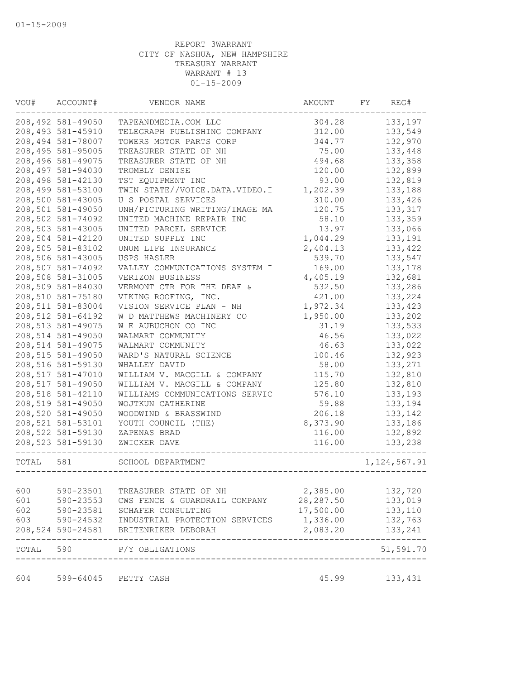| VOU#      | ACCOUNT#           | VENDOR NAME                         | AMOUNT     | FY | REG#           |
|-----------|--------------------|-------------------------------------|------------|----|----------------|
|           | 208,492 581-49050  | TAPEANDMEDIA.COM LLC                | 304.28     |    | 133,197        |
|           | 208,493 581-45910  | TELEGRAPH PUBLISHING COMPANY        | 312.00     |    | 133,549        |
|           | 208,494 581-78007  | TOWERS MOTOR PARTS CORP             | 344.77     |    | 132,970        |
|           | 208,495 581-95005  | TREASURER STATE OF NH               | 75.00      |    | 133,448        |
|           | 208,496 581-49075  | TREASURER STATE OF NH               | 494.68     |    | 133,358        |
|           | 208,497 581-94030  | TROMBLY DENISE                      | 120.00     |    | 132,899        |
|           | 208,498 581-42130  | TST EQUIPMENT INC                   | 93.00      |    | 132,819        |
|           | 208,499 581-53100  | TWIN STATE//VOICE.DATA.VIDEO.I      | 1,202.39   |    | 133,188        |
|           | 208,500 581-43005  | U S POSTAL SERVICES                 | 310.00     |    | 133,426        |
|           | 208,501 581-49050  | UNH/PICTURING WRITING/IMAGE MA      | 120.75     |    | 133,317        |
|           | 208,502 581-74092  | UNITED MACHINE REPAIR INC           | 58.10      |    | 133,359        |
|           | 208,503 581-43005  | UNITED PARCEL SERVICE               | 13.97      |    | 133,066        |
|           | 208,504 581-42120  | UNITED SUPPLY INC                   | 1,044.29   |    | 133,191        |
|           | 208,505 581-83102  | UNUM LIFE INSURANCE                 | 2,404.13   |    | 133,422        |
|           | 208,506 581-43005  | USPS HASLER                         | 539.70     |    | 133,547        |
|           | 208,507 581-74092  | VALLEY COMMUNICATIONS SYSTEM I      | 169.00     |    | 133,178        |
|           | 208,508 581-31005  | VERIZON BUSINESS                    | 4,405.19   |    | 132,681        |
|           | 208,509 581-84030  | VERMONT CTR FOR THE DEAF &          | 532.50     |    | 133,286        |
|           | 208,510 581-75180  | VIKING ROOFING, INC.                | 421.00     |    | 133,224        |
|           | 208,511 581-83004  | VISION SERVICE PLAN - NH            | 1,972.34   |    | 133,423        |
|           | 208,512 581-64192  | W D MATTHEWS MACHINERY CO           | 1,950.00   |    | 133,202        |
|           | 208, 513 581-49075 | W E AUBUCHON CO INC                 | 31.19      |    | 133,533        |
|           | 208,514 581-49050  | WALMART COMMUNITY                   | 46.56      |    | 133,022        |
|           | 208,514 581-49075  | WALMART COMMUNITY                   | 46.63      |    | 133,022        |
|           | 208,515 581-49050  | WARD'S NATURAL SCIENCE              | 100.46     |    | 132,923        |
|           |                    |                                     |            |    |                |
|           | 208,516 581-59130  | WHALLEY DAVID                       | 58.00      |    | 133,271        |
|           | 208,517 581-47010  | WILLIAM V. MACGILL & COMPANY        | 115.70     |    | 132,810        |
|           | 208,517 581-49050  | WILLIAM V. MACGILL & COMPANY        | 125.80     |    | 132,810        |
|           | 208,518 581-42110  | WILLIAMS COMMUNICATIONS SERVIC      | 576.10     |    | 133,193        |
|           | 208,519 581-49050  | WOJTKUN CATHERINE                   | 59.88      |    | 133,194        |
|           | 208,520 581-49050  | WOODWIND & BRASSWIND                | 206.18     |    | 133,142        |
|           | 208,521 581-53101  | YOUTH COUNCIL (THE)                 | 8,373.90   |    | 133,186        |
|           | 208,522 581-59130  | ZAPENAS BRAD                        | 116.00     |    | 132,892        |
|           | 208,523 581-59130  | ZWICKER DAVE<br>------------------- | 116.00     |    | 133,238        |
| TOTAL 581 |                    | SCHOOL DEPARTMENT                   |            |    | 1, 124, 567.91 |
|           |                    |                                     |            |    |                |
| 600       | 590-23501          | TREASURER STATE OF NH               | 2,385.00   |    | 132,720        |
| 601       | 590-23553          | CWS FENCE & GUARDRAIL COMPANY       | 28, 287.50 |    | 133,019        |
| 602       | 590-23581          | SCHAFER CONSULTING                  | 17,500.00  |    | 133,110        |
| 603       | 590-24532          | INDUSTRIAL PROTECTION SERVICES      | 1,336.00   |    | 132,763        |
|           | 208,524 590-24581  | BRITENRIKER DEBORAH                 | 2,083.20   |    | 133,241        |
| TOTAL     | 590                | P/Y OBLIGATIONS                     |            |    | 51,591.70      |
| 604       | 599-64045          | PETTY CASH                          | 45.99      |    | 133,431        |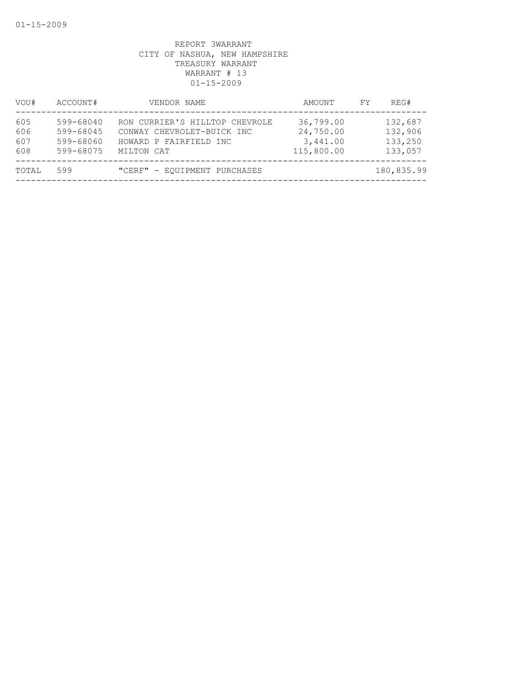| VOU#                     | ACCOUNT#                                         | VENDOR NAME                                                                                          | AMOUNT                                           | FY. | REG#                                     |
|--------------------------|--------------------------------------------------|------------------------------------------------------------------------------------------------------|--------------------------------------------------|-----|------------------------------------------|
| 605<br>606<br>607<br>608 | 599-68040<br>599-68045<br>599-68060<br>599-68075 | RON CURRIER'S HILLTOP CHEVROLE<br>CONWAY CHEVROLET-BUICK INC<br>HOWARD P FAIRFIELD INC<br>MILTON CAT | 36,799.00<br>24,750.00<br>3,441.00<br>115,800.00 |     | 132,687<br>132,906<br>133,250<br>133,057 |
| TOTAL                    | 599                                              | "CERF" - EQUIPMENT PURCHASES                                                                         |                                                  |     | 180,835.99                               |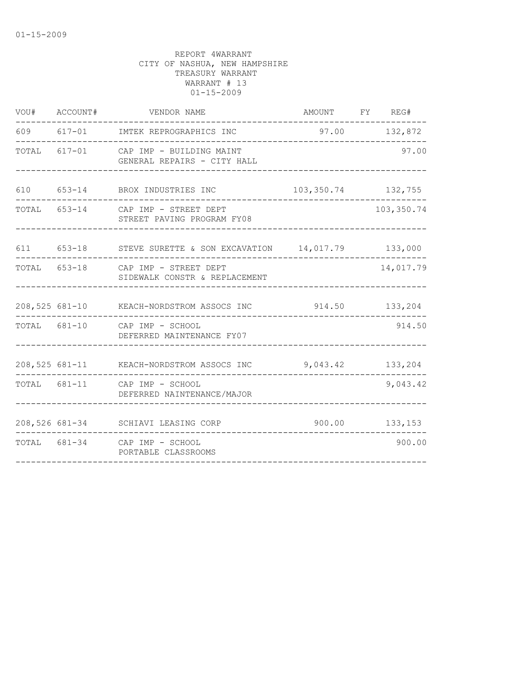| VOU# ACCOUNT# | VENDOR NAME                                                          | AMOUNT FY REG#        |                |
|---------------|----------------------------------------------------------------------|-----------------------|----------------|
|               | 609 617-01 IMTEK REPROGRAPHICS INC                                   |                       | 97.00 132,872  |
|               | TOTAL 617-01 CAP IMP - BUILDING MAINT<br>GENERAL REPAIRS - CITY HALL |                       | 97.00          |
|               | 610 653-14 BROX INDUSTRIES INC                                       | 103, 350. 74 132, 755 |                |
|               | TOTAL 653-14 CAP IMP - STREET DEPT<br>STREET PAVING PROGRAM FY08     |                       | 103,350.74     |
|               | 611 653-18 STEVE SURETTE & SON EXCAVATION 14,017.79 133,000          |                       |                |
|               | TOTAL 653-18 CAP IMP - STREET DEPT<br>SIDEWALK CONSTR & REPLACEMENT  |                       | 14,017.79      |
|               | 208,525 681-10 KEACH-NORDSTROM ASSOCS INC                            |                       | 914.50 133,204 |
|               | TOTAL 681-10 CAP IMP - SCHOOL<br>DEFERRED MAINTENANCE FY07           |                       | 914.50         |
|               | 208,525 681-11 KEACH-NORDSTROM ASSOCS INC                            | 9,043.42 133,204      |                |
|               | TOTAL 681-11 CAP IMP - SCHOOL<br>DEFERRED NAINTENANCE/MAJOR          |                       | 9,043.42       |
|               | 208,526 681-34 SCHIAVI LEASING CORP                                  |                       | 900.00 133,153 |
|               | TOTAL 681-34 CAP IMP - SCHOOL<br>PORTABLE CLASSROOMS                 |                       | 900.00         |
|               |                                                                      |                       |                |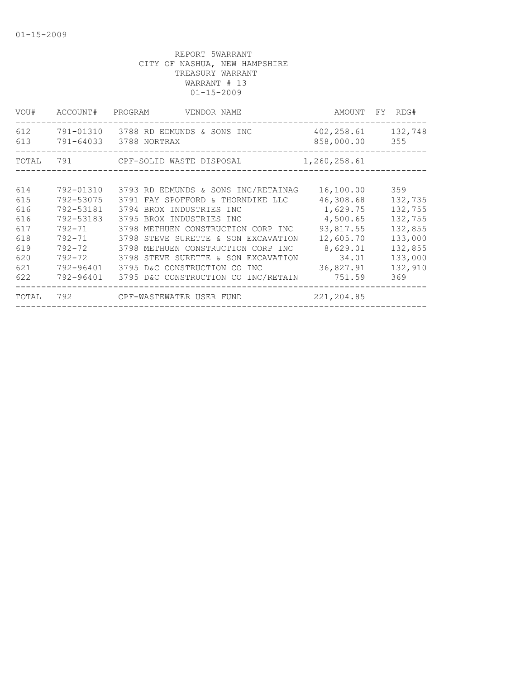| VOU#  | ACCOUNT# PROGRAM | VENDOR NAME                                                        |                                    | AMOUNT FY REG# |
|-------|------------------|--------------------------------------------------------------------|------------------------------------|----------------|
| 612   |                  | 791-01310 3788 RD EDMUNDS & SONS INC<br>613 791-64033 3788 NORTRAX | 402, 258.61 132, 748<br>858,000.00 | 355            |
|       |                  | TOTAL 791 CPF-SOLID WASTE DISPOSAL                                 | 1,260,258.61                       |                |
|       |                  |                                                                    |                                    |                |
| 614   | 792-01310        | 3793 RD EDMUNDS & SONS INC/RETAINAG                                | 16,100.00                          | 359            |
| 615   | 792-53075        | 3791 FAY SPOFFORD & THORNDIKE LLC                                  | 46,308.68                          | 132,735        |
| 616   | 792-53181        | 3794 BROX INDUSTRIES INC                                           | 1,629.75                           | 132,755        |
| 616   | 792-53183        | 3795 BROX INDUSTRIES INC                                           | 4,500.65                           | 132,755        |
| 617   | 792-71           | 3798 METHUEN CONSTRUCTION CORP INC                                 | 93,817.55                          | 132,855        |
| 618   | 792-71           | 3798 STEVE SURETTE & SON EXCAVATION                                | 12,605.70                          | 133,000        |
| 619   |                  | 792-72 3798 METHUEN CONSTRUCTION CORP INC                          | 8,629.01                           | 132,855        |
| 620   |                  | 792-72 3798 STEVE SURETTE & SON EXCAVATION                         | 34.01                              | 133,000        |
| 621   | 792-96401        | 3795 D&C CONSTRUCTION CO INC                                       | 36,827.91                          | 132,910        |
| 622   |                  | 792-96401 3795 D&C CONSTRUCTION CO INC/RETAIN 751.59               |                                    | 369            |
| TOTAL |                  | 792 CPF-WASTEWATER USER FUND 221,204.85                            |                                    |                |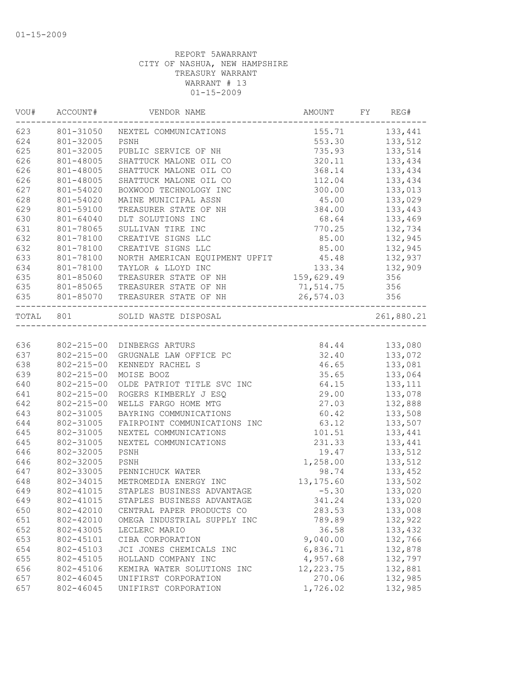| WOU#      | ACCOUNT#         | VENDOR NAME                                                | AMOUNT     | FY | REG#                               |
|-----------|------------------|------------------------------------------------------------|------------|----|------------------------------------|
| 623       |                  | 801-31050 NEXTEL COMMUNICATIONS                            |            |    | 155.71 133,441                     |
| 624       | 801-32005        | PSNH                                                       | 553.30     |    | 133,512                            |
| 625       | 801-32005        | PUBLIC SERVICE OF NH                                       | 735.93     |    | 133,514                            |
| 626       | 801-48005        | SHATTUCK MALONE OIL CO                                     | 320.11     |    | 133,434                            |
| 626       | 801-48005        | SHATTUCK MALONE OIL CO                                     | 368.14     |    | 133,434                            |
| 626       | 801-48005        | SHATTUCK MALONE OIL CO                                     | 112.04     |    | 133,434                            |
| 627       | 801-54020        | BOXWOOD TECHNOLOGY INC                                     | 300.00     |    | 133,013                            |
| 628       | 801-54020        | MAINE MUNICIPAL ASSN                                       | 45.00      |    | 133,029                            |
| 629       | 801-59100        | TREASURER STATE OF NH                                      | 384.00     |    | 133,443                            |
| 630       | 801-64040        | DLT SOLUTIONS INC                                          | 68.64      |    | 133,469                            |
| 631       | 801-78065        | SULLIVAN TIRE INC                                          | 770.25     |    | 132,734                            |
| 632       | 801-78100        | CREATIVE SIGNS LLC                                         | 85.00      |    | 132,945                            |
| 632       | 801-78100        | CREATIVE SIGNS LLC                                         | 85.00      |    | 132,945                            |
| 633       | 801-78100        | NORTH AMERICAN EQUIPMENT UPFIT                             | 45.48      |    | 132,937                            |
| 634       | 801-78100        | TAYLOR & LLOYD INC                                         | 133.34     |    | 132,909                            |
| 635       | 801-85060        | TREASURER STATE OF NH                                      | 159,629.49 |    | 356                                |
| 635       | 801-85065        | TREASURER STATE OF NH                                      | 71, 514.75 |    | 356                                |
| 635       | 801-85070        | TREASURER STATE OF NH                                      | 26,574.03  |    | 356<br>. _ _ _ _ _ _ _ _ _ _ _ _ _ |
| TOTAL 801 |                  | SOLID WASTE DISPOSAL<br>__________________________________ |            |    | 261,880.21                         |
|           |                  |                                                            |            |    |                                    |
| 636       |                  | 802-215-00 DINBERGS ARTURS                                 | 84.44      |    | 133,080                            |
| 637       | 802-215-00       | GRUGNALE LAW OFFICE PC                                     | 32.40      |    | 133,072                            |
| 638       | $802 - 215 - 00$ | KENNEDY RACHEL S                                           | 46.65      |    | 133,081                            |
| 639       | $802 - 215 - 00$ | MOISE BOOZ                                                 | 35.65      |    | 133,064                            |
| 640       | $802 - 215 - 00$ | OLDE PATRIOT TITLE SVC INC                                 | 64.15      |    | 133, 111                           |
| 641       | $802 - 215 - 00$ | ROGERS KIMBERLY J ESQ                                      | 29.00      |    | 133,078                            |
| 642       | $802 - 215 - 00$ | WELLS FARGO HOME MTG                                       | 27.03      |    | 132,888                            |
| 643       | 802-31005        | BAYRING COMMUNICATIONS                                     | 60.42      |    | 133,508                            |
| 644       | 802-31005        | FAIRPOINT COMMUNICATIONS INC                               | 63.12      |    | 133,507                            |
| 645       | 802-31005        | NEXTEL COMMUNICATIONS                                      | 101.51     |    | 133,441                            |
| 645       | 802-31005        | NEXTEL COMMUNICATIONS                                      | 231.33     |    | 133,441                            |
| 646       | 802-32005        | PSNH                                                       | 19.47      |    | 133,512                            |
| 646       | 802-32005        | PSNH                                                       | 1,258.00   |    | 133,512                            |
| 647       | 802-33005        | PENNICHUCK WATER                                           | 98.74      |    | 133,452                            |
| 648       | 802-34015        | METROMEDIA ENERGY INC                                      | 13, 175.60 |    | 133,502                            |
| 649       |                  | 802-41015 STAPLES BUSINESS ADVANTAGE                       | $-5.30$    |    | 133,020                            |
| 649       | 802-41015        | STAPLES BUSINESS ADVANTAGE                                 | 341.24     |    | 133,020                            |
| 650       | 802-42010        | CENTRAL PAPER PRODUCTS CO                                  | 283.53     |    | 133,008                            |
| 651       | 802-42010        | OMEGA INDUSTRIAL SUPPLY INC                                | 789.89     |    | 132,922                            |
| 652       | 802-43005        | LECLERC MARIO                                              | 36.58      |    | 133,432                            |
| 653       | 802-45101        | CIBA CORPORATION                                           | 9,040.00   |    | 132,766                            |
| 654       | 802-45103        | JCI JONES CHEMICALS INC                                    | 6,836.71   |    | 132,878                            |
| 655       | 802-45105        | HOLLAND COMPANY INC                                        | 4,957.68   |    | 132,797                            |
| 656       | 802-45106        | KEMIRA WATER SOLUTIONS INC                                 | 12, 223.75 |    | 132,881                            |
| 657       | 802-46045        | UNIFIRST CORPORATION                                       | 270.06     |    | 132,985                            |
| 657       | 802-46045        | UNIFIRST CORPORATION                                       | 1,726.02   |    | 132,985                            |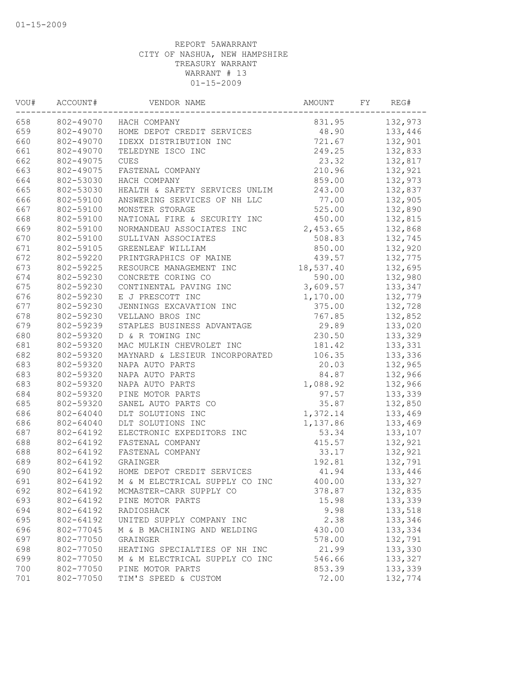| VOU# | ACCOUNT#  | VENDOR NAME                    | AMOUNT    | FY | REG#    |
|------|-----------|--------------------------------|-----------|----|---------|
| 658  |           | 802-49070 HACH COMPANY         | 831.95    |    | 132,973 |
| 659  | 802-49070 | HOME DEPOT CREDIT SERVICES     | 48.90     |    | 133,446 |
| 660  | 802-49070 | IDEXX DISTRIBUTION INC         | 721.67    |    | 132,901 |
| 661  | 802-49070 | TELEDYNE ISCO INC              | 249.25    |    | 132,833 |
| 662  | 802-49075 | <b>CUES</b>                    | 23.32     |    | 132,817 |
| 663  | 802-49075 | FASTENAL COMPANY               | 210.96    |    | 132,921 |
| 664  | 802-53030 | HACH COMPANY                   | 859.00    |    | 132,973 |
| 665  | 802-53030 | HEALTH & SAFETY SERVICES UNLIM | 243.00    |    | 132,837 |
| 666  | 802-59100 | ANSWERING SERVICES OF NH LLC   | 77.00     |    | 132,905 |
| 667  | 802-59100 | MONSTER STORAGE                | 525.00    |    | 132,890 |
| 668  | 802-59100 | NATIONAL FIRE & SECURITY INC   | 450.00    |    | 132,815 |
| 669  | 802-59100 | NORMANDEAU ASSOCIATES INC      | 2,453.65  |    | 132,868 |
| 670  | 802-59100 | SULLIVAN ASSOCIATES            | 508.83    |    | 132,745 |
| 671  | 802-59105 | GREENLEAF WILLIAM              | 850.00    |    | 132,920 |
| 672  | 802-59220 | PRINTGRAPHICS OF MAINE         | 439.57    |    | 132,775 |
| 673  | 802-59225 | RESOURCE MANAGEMENT INC        | 18,537.40 |    | 132,695 |
| 674  | 802-59230 | CONCRETE CORING CO             | 590.00    |    | 132,980 |
| 675  | 802-59230 | CONTINENTAL PAVING INC         | 3,609.57  |    | 133,347 |
| 676  | 802-59230 | E J PRESCOTT INC               | 1,170.00  |    | 132,779 |
| 677  | 802-59230 | JENNINGS EXCAVATION INC        | 375.00    |    | 132,728 |
| 678  | 802-59230 | VELLANO BROS INC               | 767.85    |    | 132,852 |
| 679  | 802-59239 | STAPLES BUSINESS ADVANTAGE     | 29.89     |    | 133,020 |
| 680  | 802-59320 | D & R TOWING INC               | 230.50    |    | 133,329 |
| 681  | 802-59320 | MAC MULKIN CHEVROLET INC       | 181.42    |    | 133,331 |
| 682  | 802-59320 | MAYNARD & LESIEUR INCORPORATED | 106.35    |    | 133,336 |
| 683  | 802-59320 | NAPA AUTO PARTS                | 20.03     |    | 132,965 |
| 683  | 802-59320 | NAPA AUTO PARTS                | 84.87     |    | 132,966 |
| 683  | 802-59320 | NAPA AUTO PARTS                | 1,088.92  |    | 132,966 |
| 684  | 802-59320 | PINE MOTOR PARTS               | 97.57     |    | 133,339 |
| 685  | 802-59320 | SANEL AUTO PARTS CO            | 35.87     |    | 132,850 |
| 686  | 802-64040 | DLT SOLUTIONS INC              | 1,372.14  |    | 133,469 |
| 686  | 802-64040 | DLT SOLUTIONS INC              | 1,137.86  |    | 133,469 |
| 687  | 802-64192 | ELECTRONIC EXPEDITORS INC      | 53.34     |    | 133,107 |
| 688  | 802-64192 | FASTENAL COMPANY               | 415.57    |    | 132,921 |
| 688  | 802-64192 | FASTENAL COMPANY               | 33.17     |    | 132,921 |
| 689  | 802-64192 | GRAINGER                       | 192.81    |    | 132,791 |
| 690  | 802-64192 | HOME DEPOT CREDIT SERVICES     | 41.94     |    | 133,446 |
| 691  | 802-64192 | M & M ELECTRICAL SUPPLY CO INC | 400.00    |    | 133,327 |
| 692  | 802-64192 | MCMASTER-CARR SUPPLY CO        | 378.87    |    | 132,835 |
| 693  | 802-64192 | PINE MOTOR PARTS               | 15.98     |    | 133,339 |
| 694  | 802-64192 | RADIOSHACK                     | 9.98      |    | 133,518 |
| 695  | 802-64192 | UNITED SUPPLY COMPANY INC      | 2.38      |    | 133,346 |
| 696  | 802-77045 | M & B MACHINING AND WELDING    | 430.00    |    | 133,334 |
| 697  | 802-77050 | GRAINGER                       | 578.00    |    | 132,791 |
| 698  | 802-77050 | HEATING SPECIALTIES OF NH INC  | 21.99     |    | 133,330 |
| 699  | 802-77050 | M & M ELECTRICAL SUPPLY CO INC | 546.66    |    | 133,327 |
| 700  | 802-77050 | PINE MOTOR PARTS               | 853.39    |    | 133,339 |
| 701  | 802-77050 | TIM'S SPEED & CUSTOM           | 72.00     |    | 132,774 |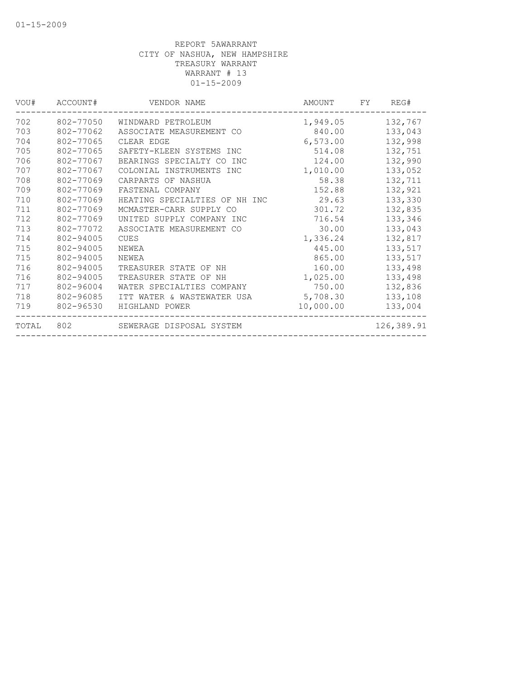| VOU#  | ACCOUNT#  | VENDOR NAME                   | AMOUNT    | FY | REG#       |
|-------|-----------|-------------------------------|-----------|----|------------|
| 702   | 802-77050 | WINDWARD PETROLEUM            | 1,949.05  |    | 132,767    |
| 703   | 802-77062 | ASSOCIATE MEASUREMENT CO      | 840.00    |    | 133,043    |
| 704   | 802-77065 | CLEAR EDGE                    | 6,573.00  |    | 132,998    |
| 705   | 802-77065 | SAFETY-KLEEN SYSTEMS INC      | 514.08    |    | 132,751    |
| 706   | 802-77067 | BEARINGS SPECIALTY CO<br>INC  | 124.00    |    | 132,990    |
| 707   | 802-77067 | INSTRUMENTS INC<br>COLONIAL   | 1,010.00  |    | 133,052    |
| 708   | 802-77069 | CARPARTS OF NASHUA            | 58.38     |    | 132,711    |
| 709   | 802-77069 | FASTENAL COMPANY              | 152.88    |    | 132,921    |
| 710   | 802-77069 | HEATING SPECIALTIES OF NH INC | 29.63     |    | 133,330    |
| 711   | 802-77069 | MCMASTER-CARR SUPPLY CO       | 301.72    |    | 132,835    |
| 712   | 802-77069 | UNITED SUPPLY COMPANY INC     | 716.54    |    | 133,346    |
| 713   | 802-77072 | ASSOCIATE MEASUREMENT CO      | 30.00     |    | 133,043    |
| 714   | 802-94005 | <b>CUES</b>                   | 1,336.24  |    | 132,817    |
| 715   | 802-94005 | NEWEA                         | 445.00    |    | 133,517    |
| 715   | 802-94005 | NEWEA                         | 865.00    |    | 133,517    |
| 716   | 802-94005 | TREASURER STATE OF<br>NΗ      | 160.00    |    | 133,498    |
| 716   | 802-94005 | TREASURER STATE OF<br>NΗ      | 1,025.00  |    | 133,498    |
| 717   | 802-96004 | WATER SPECIALTIES COMPANY     | 750.00    |    | 132,836    |
| 718   | 802-96085 | ITT WATER & WASTEWATER USA    | 5,708.30  |    | 133,108    |
| 719   | 802-96530 | HIGHLAND POWER                | 10,000.00 |    | 133,004    |
| TOTAL | 802       | SEWERAGE DISPOSAL SYSTEM      |           |    | 126,389.91 |
|       |           |                               |           |    |            |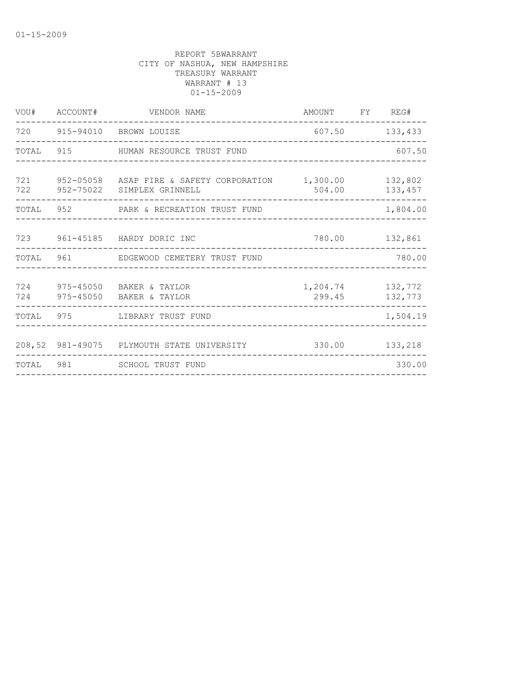| ACCOUNT#  | VENDOR NAME |                                                                                                                                                                                                                                                                                                                                                   |                                          |                                                                                                                          |
|-----------|-------------|---------------------------------------------------------------------------------------------------------------------------------------------------------------------------------------------------------------------------------------------------------------------------------------------------------------------------------------------------|------------------------------------------|--------------------------------------------------------------------------------------------------------------------------|
|           |             |                                                                                                                                                                                                                                                                                                                                                   |                                          | 133,433                                                                                                                  |
| 915       |             |                                                                                                                                                                                                                                                                                                                                                   |                                          | 607.50                                                                                                                   |
|           |             |                                                                                                                                                                                                                                                                                                                                                   |                                          | 132,802<br>133,457                                                                                                       |
| 952       |             |                                                                                                                                                                                                                                                                                                                                                   |                                          | 1,804.00                                                                                                                 |
|           |             |                                                                                                                                                                                                                                                                                                                                                   |                                          | 132,861                                                                                                                  |
|           |             |                                                                                                                                                                                                                                                                                                                                                   |                                          | 780.00                                                                                                                   |
| 975-45050 |             |                                                                                                                                                                                                                                                                                                                                                   |                                          | 132,772<br>132,773                                                                                                       |
| 975       |             |                                                                                                                                                                                                                                                                                                                                                   |                                          | 1,504.19                                                                                                                 |
|           |             | 330.00                                                                                                                                                                                                                                                                                                                                            |                                          | 133,218                                                                                                                  |
|           |             |                                                                                                                                                                                                                                                                                                                                                   |                                          | 330.00                                                                                                                   |
|           |             | 720 915-94010 BROWN LOUISE<br>HUMAN RESOURCE TRUST FUND<br>952-75022 SIMPLEX GRINNELL<br>PARK & RECREATION TRUST FUND<br>723 961-45185 HARDY DORIC INC<br>TOTAL 961 EDGEWOOD CEMETERY TRUST FUND<br>975-45050 BAKER & TAYLOR<br>BAKER & TAYLOR<br>LIBRARY TRUST FUND<br>208,52 981-49075 PLYMOUTH STATE UNIVERSITY<br>TOTAL 981 SCHOOL TRUST FUND | 952-05058 ASAP FIRE & SAFETY CORPORATION | AMOUNT FY REG#<br>607.50<br>1,300.00<br>504.00<br>780.00<br>1,204.74<br>299.45<br>______________________________________ |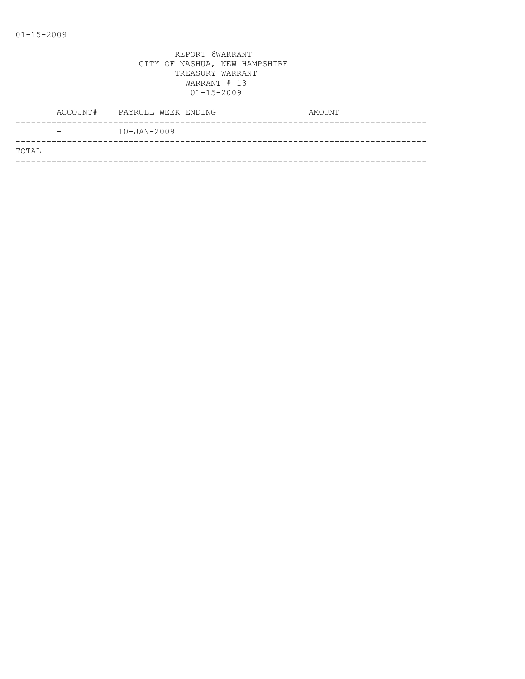|       | ACCOUNT# | PAYROLL WEEK ENDING | AMOUNT |
|-------|----------|---------------------|--------|
|       | -        | $10 - JAN - 2009$   |        |
| TOTAL |          |                     |        |
|       |          |                     |        |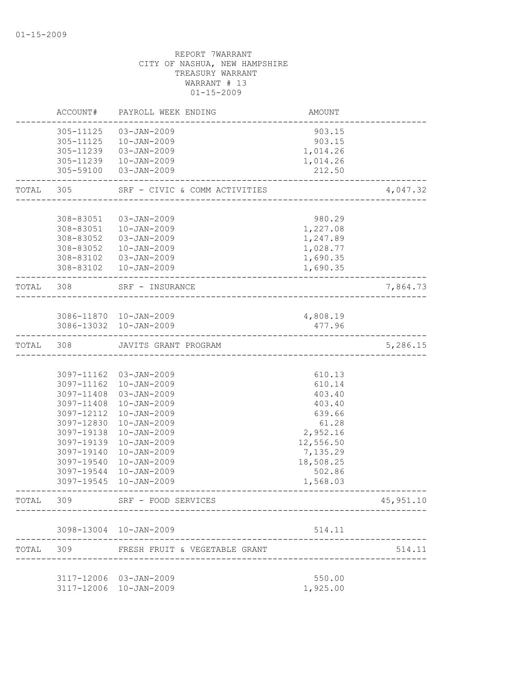|           | ACCOUNT#                 | PAYROLL WEEK ENDING                    | AMOUNT          |            |
|-----------|--------------------------|----------------------------------------|-----------------|------------|
|           | 305-11125                | $03 - JAN - 2009$                      | 903.15          |            |
|           | 305-11125                | $10 - JAN - 2009$                      | 903.15          |            |
|           | 305-11239                | 03-JAN-2009                            | 1,014.26        |            |
|           |                          | 305-11239  10-JAN-2009                 | 1,014.26        |            |
|           | 305-59100                | 03-JAN-2009                            | 212.50          |            |
| TOTAL     | 305                      | SRF - CIVIC & COMM ACTIVITIES          |                 | 4,047.32   |
|           | 308-83051                | $03 - JAN - 2009$                      | 980.29          |            |
|           | 308-83051                | 10-JAN-2009                            | 1,227.08        |            |
|           | 308-83052                | 03-JAN-2009                            | 1,247.89        |            |
|           | 308-83052                | $10 - JAN - 2009$                      | 1,028.77        |            |
|           | 308-83102                | 03-JAN-2009                            | 1,690.35        |            |
|           |                          | 308-83102  10-JAN-2009                 | 1,690.35        |            |
| TOTAL 308 |                          | SRF - INSURANCE                        |                 | 7,864.73   |
|           |                          |                                        |                 |            |
|           |                          | 3086-11870  10-JAN-2009                | 4,808.19        |            |
|           |                          | 3086-13032 10-JAN-2009                 | 477.96          |            |
| TOTAL     | 308                      | JAVITS GRANT PROGRAM                   |                 | 5,286.15   |
|           |                          |                                        |                 |            |
|           |                          | 3097-11162 03-JAN-2009                 | 610.13          |            |
|           | 3097-11162               | $10 - JAN - 2009$                      | 610.14          |            |
|           | 3097-11408               | $03 - JAN - 2009$                      | 403.40          |            |
|           | 3097-11408               | $10 - JAN - 2009$                      | 403.40          |            |
|           | 3097-12112               | $10 - JAN - 2009$                      | 639.66<br>61.28 |            |
|           | 3097-12830<br>3097-19138 | $10 - JAN - 2009$<br>$10 - JAN - 2009$ | 2,952.16        |            |
|           | 3097-19139               | $10 - JAN - 2009$                      | 12,556.50       |            |
|           | 3097-19140               | $10 - JAN - 2009$                      | 7,135.29        |            |
|           | 3097-19540               | $10 - JAN - 2009$                      | 18,508.25       |            |
|           | 3097-19544               | $10 - JAN - 2009$                      | 502.86          |            |
|           | 3097-19545               | $10 - JAN - 2009$                      | 1,568.03        |            |
| TOTAL     | 309                      | SRF - FOOD SERVICES                    |                 | 45, 951.10 |
|           |                          |                                        |                 |            |
|           |                          | 3098-13004 10-JAN-2009                 | 514.11          |            |
| TOTAL     | 309                      | FRESH FRUIT & VEGETABLE GRANT          |                 | 514.11     |
|           |                          | 3117-12006 03-JAN-2009                 | 550.00          |            |
|           |                          | 3117-12006 10-JAN-2009                 | 1,925.00        |            |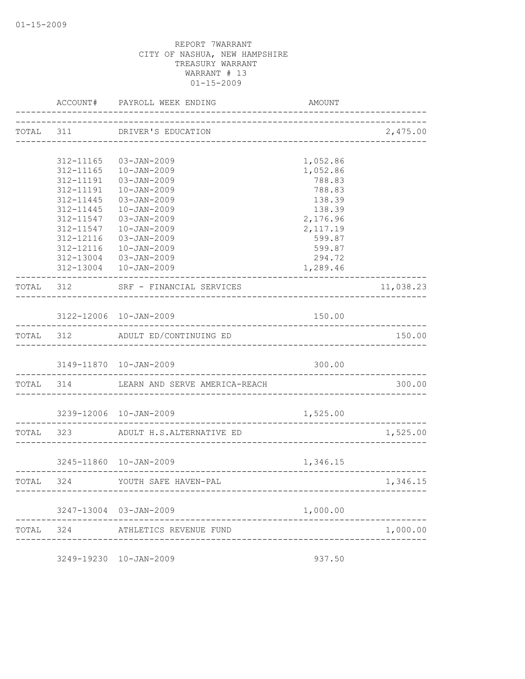|           |           | ACCOUNT# PAYROLL WEEK ENDING                              | AMOUNT    |                                |
|-----------|-----------|-----------------------------------------------------------|-----------|--------------------------------|
|           |           | TOTAL 311 DRIVER'S EDUCATION                              |           | 2,475.00                       |
|           |           |                                                           |           |                                |
|           | 312-11165 | 03-JAN-2009                                               | 1,052.86  |                                |
|           | 312-11165 | 10-JAN-2009                                               | 1,052.86  |                                |
|           | 312-11191 | 03-JAN-2009                                               | 788.83    |                                |
|           | 312-11191 | $10 - JAN - 2009$                                         | 788.83    |                                |
|           | 312-11445 | 03-JAN-2009                                               | 138.39    |                                |
|           | 312-11445 | $10 - JAN - 2009$                                         | 138.39    |                                |
|           | 312-11547 | 03-JAN-2009                                               | 2,176.96  |                                |
|           | 312-11547 | $10 - JAN - 2009$                                         | 2, 117.19 |                                |
|           | 312-12116 | 03-JAN-2009                                               | 599.87    |                                |
|           |           | 312-12116  10-JAN-2009                                    | 599.87    |                                |
|           |           | 312-13004 03-JAN-2009                                     | 294.72    |                                |
|           |           | 312-13004  10-JAN-2009                                    | 1,289.46  |                                |
| TOTAL 312 |           | SRF - FINANCIAL SERVICES                                  |           | 11,038.23                      |
|           |           | 3122-12006 10-JAN-2009                                    | 150.00    |                                |
|           |           |                                                           |           |                                |
|           |           | TOTAL 312 ADULT ED/CONTINUING ED                          |           | 150.00                         |
|           |           | 3149-11870  10-JAN-2009                                   | 300.00    |                                |
|           |           | TOTAL 314 LEARN AND SERVE AMERICA-REACH                   |           | 300.00                         |
|           |           | 3239-12006 10-JAN-2009                                    | 1,525.00  |                                |
|           |           | TOTAL 323 ADULT H.S.ALTERNATIVE ED                        |           | 1,525.00                       |
|           |           |                                                           |           |                                |
|           |           | 3245-11860 10-JAN-2009<br>_______________________________ | 1,346.15  |                                |
| TOTAL 324 |           | YOUTH SAFE HAVEN-PAL                                      |           | ------------------<br>1,346.15 |
|           |           | 3247-13004 03-JAN-2009                                    | 1,000.00  |                                |
|           |           |                                                           |           |                                |
| TOTAL     |           | 324 ATHLETICS REVENUE FUND                                |           | 1,000.00                       |

3249-19230 10-JAN-2009 937.50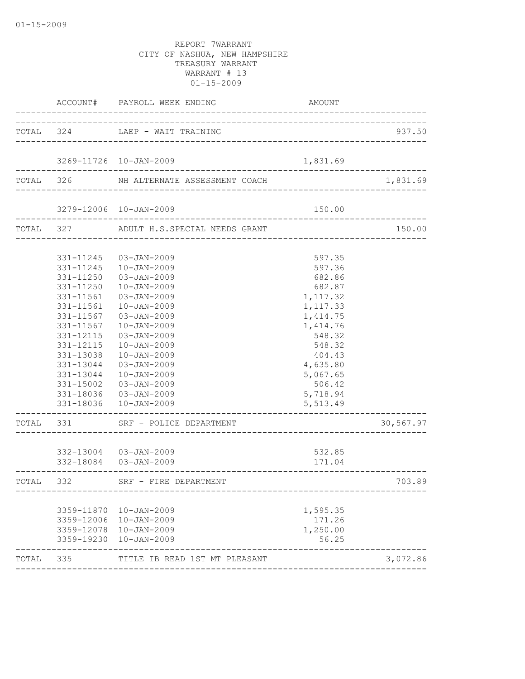|           |                                                                                                                                                          | ACCOUNT# PAYROLL WEEK ENDING                                                                                                                                                                                                                                                                                                | AMOUNT                                                                                                                                                                        |           |
|-----------|----------------------------------------------------------------------------------------------------------------------------------------------------------|-----------------------------------------------------------------------------------------------------------------------------------------------------------------------------------------------------------------------------------------------------------------------------------------------------------------------------|-------------------------------------------------------------------------------------------------------------------------------------------------------------------------------|-----------|
|           |                                                                                                                                                          | TOTAL 324 LAEP - WAIT TRAINING                                                                                                                                                                                                                                                                                              |                                                                                                                                                                               | 937.50    |
|           |                                                                                                                                                          | 3269-11726 10-JAN-2009                                                                                                                                                                                                                                                                                                      | 1,831.69                                                                                                                                                                      |           |
|           |                                                                                                                                                          | TOTAL 326 NH ALTERNATE ASSESSMENT COACH                                                                                                                                                                                                                                                                                     |                                                                                                                                                                               | 1,831.69  |
|           |                                                                                                                                                          | 3279-12006 10-JAN-2009                                                                                                                                                                                                                                                                                                      | 150.00                                                                                                                                                                        |           |
|           |                                                                                                                                                          | TOTAL 327 ADULT H.S.SPECIAL NEEDS GRANT                                                                                                                                                                                                                                                                                     | ______________________________                                                                                                                                                | 150.00    |
|           | 331-11250<br>331-11250<br>331-11561<br>331-11561<br>331-11567<br>331-11567<br>331-12115<br>331-12115<br>331-13038<br>331-13044<br>331-13044<br>331-15002 | 331-11245  03-JAN-2009<br>331-11245  10-JAN-2009<br>03-JAN-2009<br>$10 - JAN - 2009$<br>03-JAN-2009<br>$10 - JAN - 2009$<br>03-JAN-2009<br>$10 - JAN - 2009$<br>03-JAN-2009<br>$10 - JAN - 2009$<br>$10 - JAN - 2009$<br>03-JAN-2009<br>$10 - JAN - 2009$<br>03-JAN-2009<br>331-18036 03-JAN-2009<br>331-18036  10-JAN-2009 | 597.35<br>597.36<br>682.86<br>682.87<br>1,117.32<br>1,117.33<br>1, 414.75<br>1,414.76<br>548.32<br>548.32<br>404.43<br>4,635.80<br>5,067.65<br>506.42<br>5,718.94<br>5,513.49 |           |
|           |                                                                                                                                                          | TOTAL 331 SRF - POLICE DEPARTMENT                                                                                                                                                                                                                                                                                           |                                                                                                                                                                               | 30,567.97 |
|           |                                                                                                                                                          | 332-13004 03-JAN-2009<br>332-18084  03-JAN-2009                                                                                                                                                                                                                                                                             | 532.85<br>171.04                                                                                                                                                              |           |
| TOTAL 332 |                                                                                                                                                          | SRF - FIRE DEPARTMENT                                                                                                                                                                                                                                                                                                       |                                                                                                                                                                               | 703.89    |
|           |                                                                                                                                                          | 3359-11870  10-JAN-2009<br>3359-12006 10-JAN-2009<br>3359-12078  10-JAN-2009<br>3359-19230 10-JAN-2009                                                                                                                                                                                                                      | 1,595.35<br>171.26<br>1,250.00<br>56.25                                                                                                                                       |           |
| TOTAL 335 |                                                                                                                                                          | TITLE IB READ 1ST MT PLEASANT                                                                                                                                                                                                                                                                                               | -------------------------------------                                                                                                                                         | 3,072.86  |
|           |                                                                                                                                                          |                                                                                                                                                                                                                                                                                                                             |                                                                                                                                                                               |           |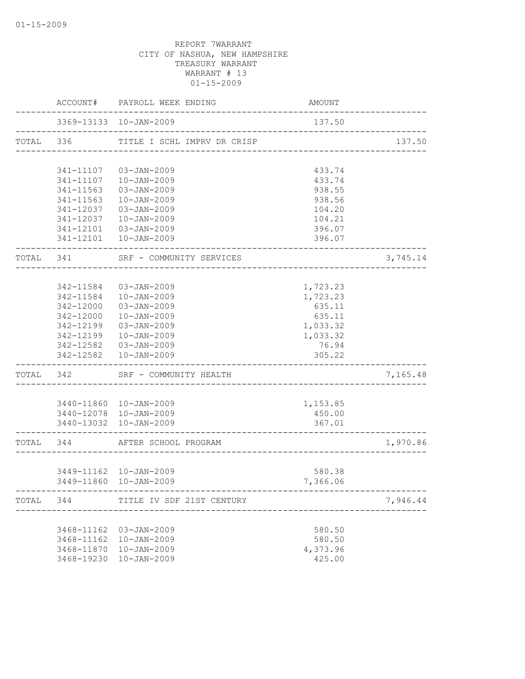|           |           | ACCOUNT# PAYROLL WEEK ENDING        | AMOUNT                     |          |
|-----------|-----------|-------------------------------------|----------------------------|----------|
|           |           | 3369-13133 10-JAN-2009              | 137.50                     |          |
|           | TOTAL 336 | TITLE I SCHL IMPRV DR CRISP         | __________________________ | 137.50   |
|           |           |                                     |                            |          |
|           | 341-11107 | 03-JAN-2009                         | 433.74                     |          |
|           | 341-11107 | 10-JAN-2009                         | 433.74                     |          |
|           | 341-11563 | $03 - JAN - 2009$                   | 938.55                     |          |
|           | 341-11563 | $10 - JAN - 2009$                   | 938.56                     |          |
|           | 341-12037 | $03 - JAN - 2009$                   | 104.20                     |          |
|           | 341-12037 | $10 - JAN - 2009$                   | 104.21                     |          |
|           | 341-12101 | 03-JAN-2009                         | 396.07                     |          |
|           |           | 341-12101  10-JAN-2009              | 396.07                     |          |
| TOTAL 341 |           | SRF - COMMUNITY SERVICES            |                            | 3,745.14 |
|           |           |                                     |                            |          |
|           | 342-11584 | $03 - JAN - 2009$                   | 1,723.23                   |          |
|           | 342-11584 | $10 - JAN - 2009$                   | 1,723.23                   |          |
|           | 342-12000 | $03 - JAN - 2009$                   | 635.11                     |          |
|           | 342-12000 | $10 - JAN - 2009$                   | 635.11                     |          |
|           | 342-12199 | 03-JAN-2009                         | 1,033.32                   |          |
|           | 342-12199 | $10 - JAN - 2009$                   | 1,033.32                   |          |
|           | 342-12582 | 03-JAN-2009                         | 76.94                      |          |
|           | 342-12582 | $10 - JAN - 2009$                   | 305.22                     |          |
| TOTAL     | 342       | SRF - COMMUNITY HEALTH              |                            | 7,165.48 |
|           |           |                                     |                            |          |
|           |           | 3440-11860  10-JAN-2009             | 1,153.85                   |          |
|           |           | 3440-12078  10-JAN-2009             | 450.00                     |          |
|           |           | 3440-13032 10-JAN-2009              | 367.01                     |          |
| TOTAL 344 |           | AFTER SCHOOL PROGRAM                |                            | 1,970.86 |
|           |           |                                     |                            |          |
|           |           | 3449-11162  10-JAN-2009             | 580.38                     |          |
|           |           | 3449-11860 10-JAN-2009              | 7,366.06                   |          |
|           |           | TOTAL 344 TITLE IV SDF 21ST CENTURY |                            | 7,946.44 |
|           |           |                                     |                            |          |
|           |           | 3468-11162 03-JAN-2009              | 580.50                     |          |
|           |           | 3468-11162  10-JAN-2009             | 580.50                     |          |
|           |           | 3468-11870  10-JAN-2009             | 4,373.96                   |          |
|           |           | 3468-19230 10-JAN-2009              | 425.00                     |          |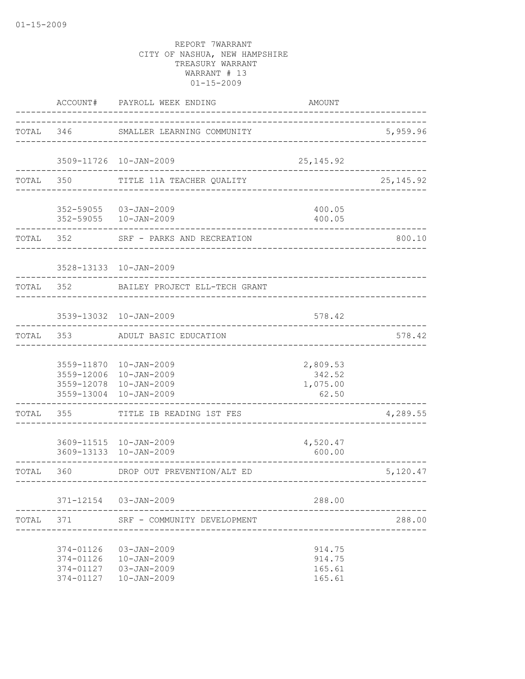|           |                                                  | ACCOUNT# PAYROLL WEEK ENDING                                                                     | AMOUNT                                  |                        |
|-----------|--------------------------------------------------|--------------------------------------------------------------------------------------------------|-----------------------------------------|------------------------|
|           |                                                  | TOTAL 346 SMALLER LEARNING COMMUNITY                                                             | ______________________________          | 5,959.96               |
|           |                                                  | 3509-11726 10-JAN-2009                                                                           | 25, 145.92                              |                        |
|           | TOTAL 350                                        | TITLE 11A TEACHER QUALITY                                                                        |                                         | 25, 145.92             |
|           | . _ _ _ _ _ _ _ _ _ _ _ _                        | 352-59055 03-JAN-2009<br>352-59055  10-JAN-2009                                                  | 400.05<br>400.05                        |                        |
|           |                                                  | TOTAL 352 SRF - PARKS AND RECREATION                                                             |                                         | 800.10                 |
|           |                                                  | 3528-13133 10-JAN-2009                                                                           |                                         |                        |
| TOTAL 352 |                                                  | BAILEY PROJECT ELL-TECH GRANT                                                                    |                                         |                        |
|           |                                                  | 3539-13032 10-JAN-2009                                                                           | 578.42                                  |                        |
|           |                                                  | TOTAL 353 ADULT BASIC EDUCATION                                                                  |                                         | 578.42                 |
|           | 3559-13004                                       | 3559-11870  10-JAN-2009<br>3559-12006 10-JAN-2009<br>3559-12078 10-JAN-2009<br>$10 - JAN - 2009$ | 2,809.53<br>342.52<br>1,075.00<br>62.50 |                        |
| TOTAL     | . _ _ _ _ _ _ _ _ _ _ _ _<br>355                 | TITLE IB READING 1ST FES                                                                         |                                         | 4,289.55               |
|           |                                                  | 3609-11515 10-JAN-2009<br>3609-13133 10-JAN-2009                                                 | 4,520.47<br>600.00                      |                        |
|           |                                                  | TOTAL 360 DROP OUT PREVENTION/ALT ED                                                             |                                         | 5,120.47<br>---------- |
|           |                                                  | 371-12154 03-JAN-2009                                                                            | 288.00                                  |                        |
| TOTAL     | 371                                              | SRF - COMMUNITY DEVELOPMENT                                                                      |                                         | 288.00                 |
|           | 374-01126<br>374-01126<br>374-01127<br>374-01127 | $03 - JAN - 2009$<br>$10 - JAN - 2009$<br>$03 - JAN - 2009$<br>$10 - JAN - 2009$                 | 914.75<br>914.75<br>165.61<br>165.61    |                        |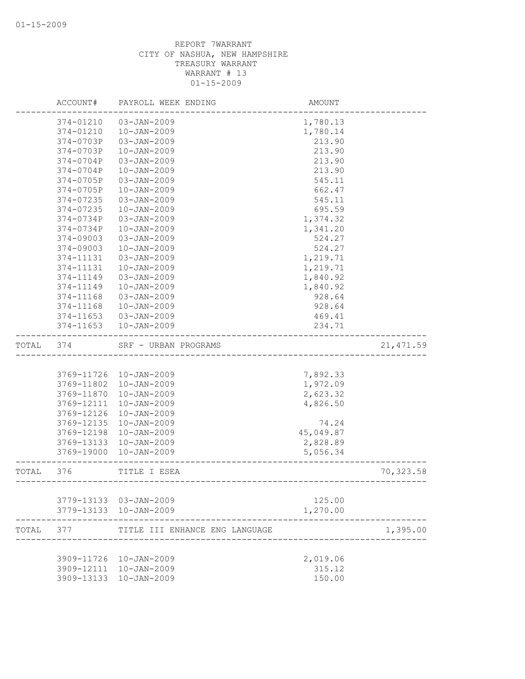|       | ACCOUNT#   | PAYROLL WEEK ENDING                              | AMOUNT           |            |
|-------|------------|--------------------------------------------------|------------------|------------|
|       | 374-01210  | 03-JAN-2009                                      | 1,780.13         |            |
|       | 374-01210  | $10 - JAN - 2009$                                | 1,780.14         |            |
|       | 374-0703P  | $03 - JAN - 2009$                                | 213.90           |            |
|       | 374-0703P  | $10 - JAN - 2009$                                | 213.90           |            |
|       | 374-0704P  | $03 - JAN - 2009$                                | 213.90           |            |
|       | 374-0704P  | $10 - JAN - 2009$                                | 213.90           |            |
|       | 374-0705P  | $03 - JAN - 2009$                                | 545.11           |            |
|       | 374-0705P  | $10 - JAN - 2009$                                | 662.47           |            |
|       | 374-07235  | $03 - JAN - 2009$                                | 545.11           |            |
|       | 374-07235  | $10 - JAN - 2009$                                | 695.59           |            |
|       | 374-0734P  | $03 - JAN - 2009$                                | 1,374.32         |            |
|       | 374-0734P  | $10 - JAN - 2009$                                | 1,341.20         |            |
|       | 374-09003  | $03 - JAN - 2009$                                | 524.27           |            |
|       | 374-09003  | $10 - JAN - 2009$                                | 524.27           |            |
|       | 374-11131  | 03-JAN-2009                                      | 1,219.71         |            |
|       | 374-11131  | $10 - JAN - 2009$                                | 1,219.71         |            |
|       | 374-11149  | $03 - JAN - 2009$                                | 1,840.92         |            |
|       | 374-11149  | $10 - JAN - 2009$                                | 1,840.92         |            |
|       | 374-11168  | $03 - JAN - 2009$                                | 928.64           |            |
|       | 374-11168  | $10 - JAN - 2009$                                | 928.64           |            |
|       | 374-11653  | $03 - JAN - 2009$                                | 469.41           |            |
|       | 374-11653  | $10 - JAN - 2009$                                | 234.71           |            |
| TOTAL | 374        | SRF - URBAN PROGRAMS                             |                  | 21, 471.59 |
|       |            |                                                  |                  |            |
|       | 3769-11726 | 10-JAN-2009                                      | 7,892.33         |            |
|       | 3769-11802 | $10 - JAN - 2009$                                | 1,972.09         |            |
|       | 3769-11870 | $10 - JAN - 2009$                                | 2,623.32         |            |
|       | 3769-12111 | $10 - JAN - 2009$                                | 4,826.50         |            |
|       | 3769-12126 | $10 - JAN - 2009$                                |                  |            |
|       | 3769-12135 | $10 - JAN - 2009$                                | 74.24            |            |
|       | 3769-12198 | $10 - JAN - 2009$                                | 45,049.87        |            |
|       | 3769-13133 | $10 - JAN - 2009$                                | 2,828.89         |            |
|       | 3769-19000 | $10 - JAN - 2009$                                | 5,056.34         |            |
| TOTAL | 376        | TITLE I ESEA<br>---------------------------      |                  | 70,323.58  |
|       |            |                                                  |                  |            |
|       |            | 3779-13133 03-JAN-2009                           | 125.00           |            |
|       |            | 3779-13133 10-JAN-2009                           | 1,270.00         |            |
| TOTAL | 377        | TITLE III ENHANCE ENG LANGUAGE                   |                  | 1,395.00   |
|       |            |                                                  |                  |            |
|       |            | 3909-11726 10-JAN-2009                           | 2,019.06         |            |
|       |            | 3909-12111 10-JAN-2009<br>3909-13133 10-JAN-2009 | 315.12<br>150.00 |            |
|       |            |                                                  |                  |            |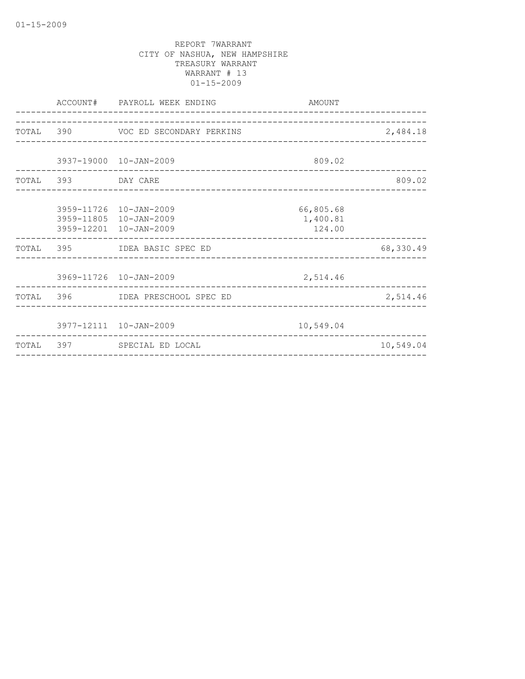|                    | ACCOUNT# PAYROLL WEEK ENDING                                               | AMOUNT                          |           |
|--------------------|----------------------------------------------------------------------------|---------------------------------|-----------|
|                    | TOTAL 390 VOC ED SECONDARY PERKINS                                         |                                 | 2,484.18  |
|                    | 3937-19000 10-JAN-2009                                                     | 809.02                          |           |
| TOTAL 393 DAY CARE |                                                                            |                                 | 809.02    |
|                    | 3959-11726 10-JAN-2009<br>3959-11805 10-JAN-2009<br>3959-12201 10-JAN-2009 | 66,805.68<br>1,400.81<br>124.00 |           |
|                    | TOTAL 395 IDEA BASIC SPEC ED                                               |                                 | 68,330.49 |
|                    | 3969-11726 10-JAN-2009<br>______________________________                   | 2,514.46                        |           |
|                    | TOTAL 396 IDEA PRESCHOOL SPEC ED                                           |                                 | 2,514.46  |
|                    | 3977-12111 10-JAN-2009                                                     | 10,549.04                       |           |
|                    | TOTAL 397 SPECIAL ED LOCAL                                                 |                                 | 10,549.04 |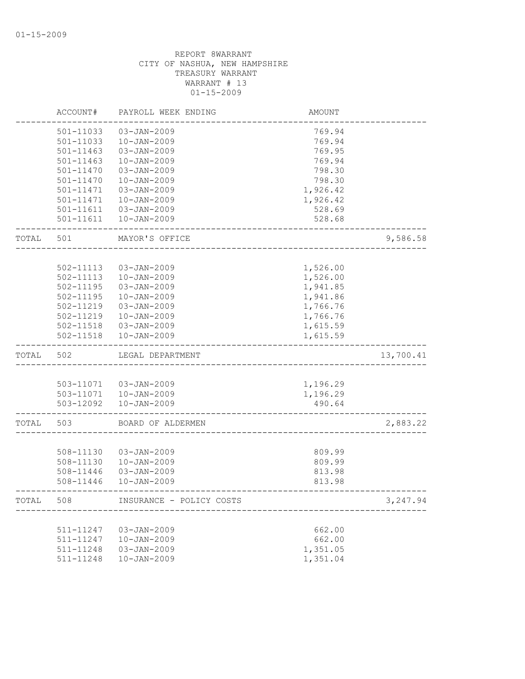|       | ACCOUNT#      | PAYROLL WEEK ENDING      | <b>AMOUNT</b> |           |
|-------|---------------|--------------------------|---------------|-----------|
|       | 501-11033     | $03 - JAN - 2009$        | 769.94        |           |
|       | 501-11033     | $10 - JAN - 2009$        | 769.94        |           |
|       | $501 - 11463$ | 03-JAN-2009              | 769.95        |           |
|       | 501-11463     | $10 - JAN - 2009$        | 769.94        |           |
|       | 501-11470     | $03 - JAN - 2009$        | 798.30        |           |
|       | 501-11470     | $10 - JAN - 2009$        | 798.30        |           |
|       | 501-11471     | $03 - JAN - 2009$        | 1,926.42      |           |
|       | 501-11471     | $10 - JAN - 2009$        | 1,926.42      |           |
|       | 501-11611     | 03-JAN-2009              | 528.69        |           |
|       | 501-11611     | $10 - JAN - 2009$        | 528.68        |           |
| TOTAL | 501           | MAYOR'S OFFICE           |               | 9,586.58  |
|       |               |                          |               |           |
|       | 502-11113     | $03 - JAN - 2009$        | 1,526.00      |           |
|       | 502-11113     | $10 - JAN - 2009$        | 1,526.00      |           |
|       | 502-11195     | $03 - JAN - 2009$        | 1,941.85      |           |
|       | 502-11195     | $10 - JAN - 2009$        | 1,941.86      |           |
|       | 502-11219     | 03-JAN-2009              | 1,766.76      |           |
|       | 502-11219     | $10 - JAN - 2009$        | 1,766.76      |           |
|       | 502-11518     | 03-JAN-2009              | 1,615.59      |           |
|       | 502-11518     | $10 - JAN - 2009$        | 1,615.59      |           |
| TOTAL | 502           | LEGAL DEPARTMENT         |               | 13,700.41 |
|       |               |                          |               |           |
|       |               | 503-11071  03-JAN-2009   | 1,196.29      |           |
|       |               | 503-11071  10-JAN-2009   | 1,196.29      |           |
|       | 503-12092     | $10 - JAN - 2009$        | 490.64        |           |
| TOTAL | 503           | BOARD OF ALDERMEN        |               | 2,883.22  |
|       |               |                          |               |           |
|       | 508-11130     | $03 - JAN - 2009$        | 809.99        |           |
|       | 508-11130     | $10 - JAN - 2009$        | 809.99        |           |
|       | 508-11446     | $03 - JAN - 2009$        | 813.98        |           |
|       | 508-11446     | $10 - JAN - 2009$        | 813.98        |           |
| TOTAL | 508           | INSURANCE - POLICY COSTS |               | 3,247.94  |
|       |               |                          |               |           |
|       | 511-11247     | 03-JAN-2009              | 662.00        |           |
|       | 511-11247     | $10 - JAN - 2009$        | 662.00        |           |
|       | 511-11248     | $03 - JAN - 2009$        | 1,351.05      |           |
|       | 511-11248     | $10 - JAN - 2009$        | 1,351.04      |           |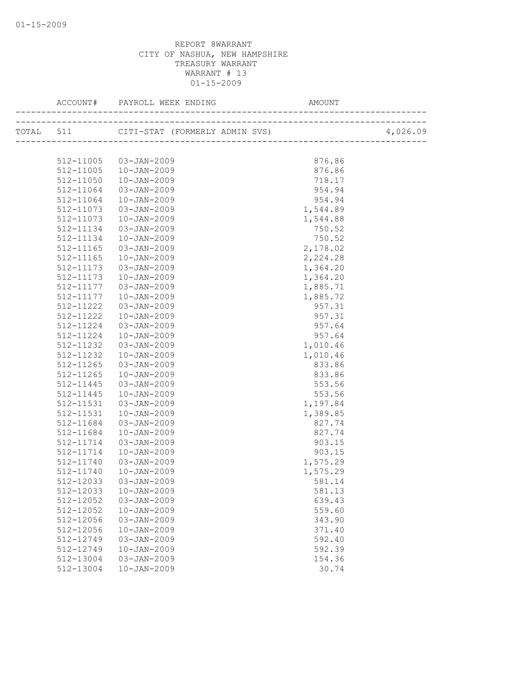|           |                       |          | 4,026.09 |
|-----------|-----------------------|----------|----------|
|           |                       |          |          |
| 512-11005 | 03-JAN-2009           | 876.86   |          |
| 512-11005 | $10 - JAN - 2009$     | 876.86   |          |
| 512-11050 | 10-JAN-2009           | 718.17   |          |
| 512-11064 | 03-JAN-2009           | 954.94   |          |
| 512-11064 | 10-JAN-2009           | 954.94   |          |
| 512-11073 | 03-JAN-2009           | 1,544.89 |          |
| 512-11073 | $10 - JAN - 2009$     | 1,544.88 |          |
| 512-11134 | 03-JAN-2009           | 750.52   |          |
| 512-11134 | 10-JAN-2009           | 750.52   |          |
| 512-11165 | 03-JAN-2009           | 2,178.02 |          |
| 512-11165 | 10-JAN-2009           | 2,224.28 |          |
| 512-11173 | 03-JAN-2009           | 1,364.20 |          |
| 512-11173 | 10-JAN-2009           | 1,364.20 |          |
| 512-11177 | 03-JAN-2009           | 1,885.71 |          |
| 512-11177 | $10 - JAN - 2009$     | 1,885.72 |          |
| 512-11222 | 03-JAN-2009           | 957.31   |          |
| 512-11222 | $10 - JAN - 2009$     | 957.31   |          |
| 512-11224 | 03-JAN-2009           | 957.64   |          |
| 512-11224 | $10 - JAN - 2009$     | 957.64   |          |
| 512-11232 | 03-JAN-2009           | 1,010.46 |          |
| 512-11232 | $10 - JAN - 2009$     | 1,010.46 |          |
| 512-11265 | 03-JAN-2009           | 833.86   |          |
| 512-11265 | 10-JAN-2009           | 833.86   |          |
| 512-11445 | 03-JAN-2009           | 553.56   |          |
| 512-11445 | 10-JAN-2009           | 553.56   |          |
| 512-11531 | 03-JAN-2009           | 1,197.84 |          |
| 512-11531 | $10 - JAN - 2009$     | 1,389.85 |          |
| 512-11684 | 03-JAN-2009           | 827.74   |          |
| 512-11684 | $10 - JAN - 2009$     | 827.74   |          |
| 512-11714 | 03-JAN-2009           | 903.15   |          |
| 512-11714 | $10 - JAN - 2009$     | 903.15   |          |
| 512-11740 | 03-JAN-2009           | 1,575.29 |          |
| 512-11740 | 10-JAN-2009           | 1,575.29 |          |
|           | 512-12033 03-JAN-2009 | 581.14   |          |
| 512-12033 | $10 - JAN - 2009$     | 581.13   |          |
| 512-12052 | $03 - JAN - 2009$     | 639.43   |          |
| 512-12052 | $10 - JAN - 2009$     | 559.60   |          |
| 512-12056 | $03 - JAN - 2009$     | 343.90   |          |
| 512-12056 | $10 - JAN - 2009$     | 371.40   |          |
| 512-12749 | $03 - JAN - 2009$     | 592.40   |          |
| 512-12749 | $10 - JAN - 2009$     | 592.39   |          |
| 512-13004 | 03-JAN-2009           | 154.36   |          |
| 512-13004 | $10 - JAN - 2009$     | 30.74    |          |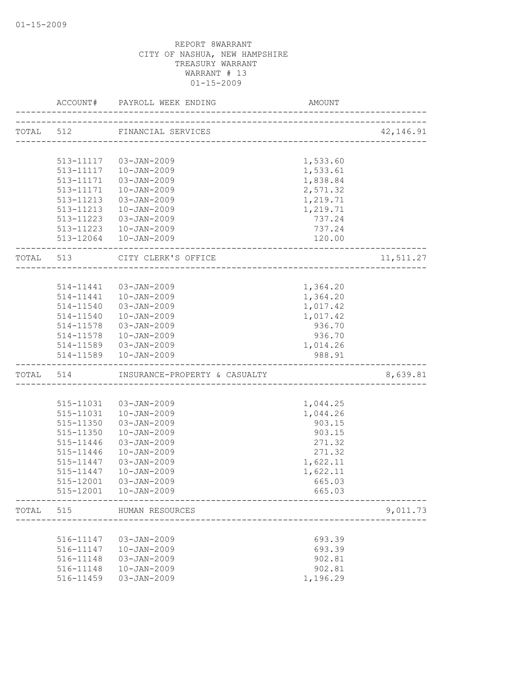|           | ACCOUNT#                                           | PAYROLL WEEK ENDING                         | AMOUNT   |           |
|-----------|----------------------------------------------------|---------------------------------------------|----------|-----------|
|           |                                                    | TOTAL 512 FINANCIAL SERVICES                |          | 42,146.91 |
|           |                                                    |                                             |          |           |
|           |                                                    | 513-11117  03-JAN-2009                      | 1,533.60 |           |
|           | 513-11117                                          | 10-JAN-2009                                 | 1,533.61 |           |
|           | 513-11171                                          | 03-JAN-2009                                 | 1,838.84 |           |
|           | 513-11171                                          | $10 - JAN - 2009$                           | 2,571.32 |           |
|           | 513-11213                                          | 03-JAN-2009                                 | 1,219.71 |           |
|           | 513-11213                                          | 10-JAN-2009                                 | 1,219.71 |           |
|           | 513-11223                                          | 03-JAN-2009                                 | 737.24   |           |
|           |                                                    | 513-11223  10-JAN-2009                      | 737.24   |           |
|           |                                                    | 513-12064  10-JAN-2009                      | 120.00   |           |
| TOTAL 513 |                                                    | CITY CLERK'S OFFICE<br>-------------------- |          | 11,511.27 |
|           |                                                    |                                             |          |           |
|           |                                                    | 514-11441  03-JAN-2009                      | 1,364.20 |           |
|           |                                                    | 514-11441  10-JAN-2009                      | 1,364.20 |           |
|           | 514-11540                                          | 03-JAN-2009                                 | 1,017.42 |           |
|           | 514-11540                                          | $10 - JAN - 2009$                           | 1,017.42 |           |
|           | 514-11578                                          | 03-JAN-2009                                 | 936.70   |           |
|           | 514-11578                                          | 10-JAN-2009                                 | 936.70   |           |
|           | 514-11589                                          | 03-JAN-2009                                 | 1,014.26 |           |
|           | 514-11589<br>. _ _ _ _ _ _ _ _ _ _ _ _ _ _ _ _ _ _ | $10 - JAN - 2009$                           | 988.91   |           |
|           | TOTAL 514                                          | INSURANCE-PROPERTY & CASUALTY               |          | 8,639.81  |
|           |                                                    |                                             |          |           |
|           | 515-11031                                          | 03-JAN-2009                                 | 1,044.25 |           |
|           | 515-11031                                          | $10 - JAN - 2009$                           | 1,044.26 |           |
|           | 515-11350                                          | 03-JAN-2009                                 | 903.15   |           |
|           | 515-11350                                          | $10 - JAN - 2009$                           | 903.15   |           |
|           | 515-11446                                          | 03-JAN-2009                                 | 271.32   |           |
|           | 515-11446                                          | $10 - JAN - 2009$                           | 271.32   |           |
|           | 515-11447                                          | 03-JAN-2009                                 | 1,622.11 |           |
|           | 515-11447                                          | $10 - JAN - 2009$                           | 1,622.11 |           |
|           | 515-12001                                          | 03-JAN-2009                                 | 665.03   |           |
|           | 515-12001                                          | $10 - JAN - 2009$                           | 665.03   |           |
| TOTAL     | 515                                                | HUMAN RESOURCES                             |          | 9,011.73  |
|           |                                                    |                                             |          |           |
|           | 516-11147                                          | 03-JAN-2009                                 | 693.39   |           |
|           | 516-11147                                          | $10 - JAN - 2009$                           | 693.39   |           |
|           | 516-11148                                          | $03 - JAN - 2009$                           | 902.81   |           |
|           | 516-11148                                          | $10 - JAN - 2009$                           | 902.81   |           |
|           | 516-11459                                          | $03 - JAN - 2009$                           | 1,196.29 |           |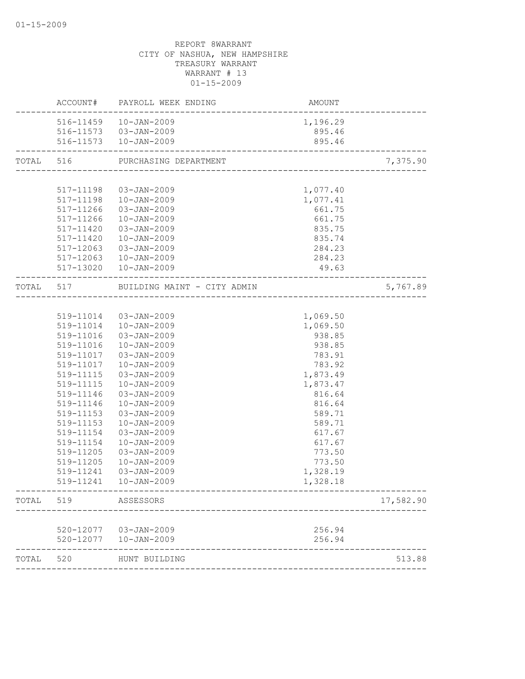|           |           | ACCOUNT# PAYROLL WEEK ENDING          | AMOUNT<br>----------------------- |           |
|-----------|-----------|---------------------------------------|-----------------------------------|-----------|
|           |           | 516-11459  10-JAN-2009                | 1,196.29                          |           |
|           |           | 516-11573 03-JAN-2009                 | 895.46                            |           |
|           |           | 516-11573  10-JAN-2009                | 895.46                            |           |
| TOTAL 516 |           | PURCHASING DEPARTMENT                 |                                   | 7,375.90  |
|           |           |                                       |                                   |           |
|           |           | 517-11198  03-JAN-2009                | 1,077.40                          |           |
|           |           | 517-11198  10-JAN-2009                | 1,077.41                          |           |
|           |           | 517-11266 03-JAN-2009                 | 661.75                            |           |
|           |           | 517-11266  10-JAN-2009                | 661.75                            |           |
|           | 517-11420 | 03-JAN-2009                           | 835.75                            |           |
|           | 517-11420 | 10-JAN-2009                           | 835.74                            |           |
|           | 517-12063 | 03-JAN-2009                           | 284.23                            |           |
|           |           | 517-12063  10-JAN-2009                | 284.23                            |           |
|           |           | 517-13020  10-JAN-2009                | 49.63                             |           |
|           |           | TOTAL 517 BUILDING MAINT - CITY ADMIN |                                   | 5,767.89  |
|           |           |                                       |                                   |           |
|           |           | 519-11014 03-JAN-2009                 | 1,069.50                          |           |
|           |           | 519-11014  10-JAN-2009                | 1,069.50                          |           |
|           | 519-11016 | 03-JAN-2009                           | 938.85                            |           |
|           | 519-11016 | $10 - JAN - 2009$                     | 938.85                            |           |
|           | 519-11017 | 03-JAN-2009                           | 783.91                            |           |
|           | 519-11017 | $10 - JAN - 2009$                     | 783.92                            |           |
|           | 519-11115 | 03-JAN-2009                           | 1,873.49                          |           |
|           | 519-11115 | 10-JAN-2009                           | 1,873.47                          |           |
|           | 519-11146 | 03-JAN-2009                           | 816.64                            |           |
|           | 519-11146 | $10 - JAN - 2009$                     | 816.64                            |           |
|           | 519-11153 | $03 - JAN - 2009$                     | 589.71                            |           |
|           | 519-11153 | $10 - JAN - 2009$                     | 589.71                            |           |
|           | 519-11154 | $03 - JAN - 2009$                     | 617.67                            |           |
|           | 519-11154 | $10 - JAN - 2009$                     | 617.67                            |           |
|           | 519-11205 | 03-JAN-2009                           | 773.50                            |           |
|           | 519-11205 | $10 - JAN - 2009$                     | 773.50                            |           |
|           | 519-11241 | 03-JAN-2009                           | 1,328.19                          |           |
|           | 519-11241 | $10 - JAN - 2009$                     | 1,328.18                          |           |
| TOTAL     | 519       | ASSESSORS                             |                                   | 17,582.90 |
|           |           |                                       |                                   |           |
|           |           | 520-12077  03-JAN-2009                | 256.94                            |           |
|           | 520-12077 | 10-JAN-2009                           | 256.94                            |           |
| TOTAL     | 520       | HUNT BUILDING                         |                                   | 513.88    |
|           |           |                                       |                                   |           |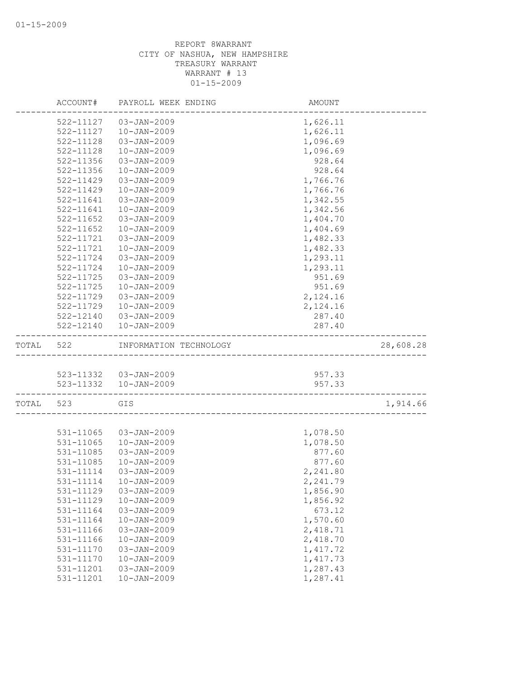|           | ACCOUNT#               | PAYROLL WEEK ENDING                    | AMOUNT               |           |
|-----------|------------------------|----------------------------------------|----------------------|-----------|
|           | 522-11127              | $03 - JAN - 2009$                      | 1,626.11             |           |
|           | 522-11127              | $10 - JAN - 2009$                      | 1,626.11             |           |
|           | 522-11128              | $03 - JAN - 2009$                      | 1,096.69             |           |
|           | 522-11128              | $10 - JAN - 2009$                      | 1,096.69             |           |
|           | 522-11356              | 03-JAN-2009                            | 928.64               |           |
|           | 522-11356              | $10 - JAN - 2009$                      | 928.64               |           |
|           | 522-11429              | $03 - JAN - 2009$                      | 1,766.76             |           |
|           | $522 - 11429$          | $10 - JAN - 2009$                      | 1,766.76             |           |
|           | 522-11641              | $03 - JAN - 2009$                      | 1,342.55             |           |
|           | 522-11641              | $10 - JAN - 2009$                      | 1,342.56             |           |
|           | $522 - 11652$          | 03-JAN-2009                            | 1,404.70             |           |
|           | 522-11652              | $10 - JAN - 2009$                      | 1,404.69             |           |
|           | 522-11721              | $03 - JAN - 2009$                      | 1,482.33             |           |
|           | 522-11721              | $10 - JAN - 2009$                      | 1,482.33             |           |
|           | 522-11724              | $03 - JAN - 2009$                      | 1,293.11             |           |
|           | 522-11724              | $10 - JAN - 2009$                      | 1,293.11             |           |
|           | 522-11725              | $03 - JAN - 2009$                      | 951.69               |           |
|           | 522-11725              | $10 - JAN - 2009$                      | 951.69               |           |
|           | 522-11729              | $03 - JAN - 2009$                      | 2,124.16             |           |
|           | 522-11729              | $10 - JAN - 2009$                      | 2,124.16             |           |
|           | 522-12140              | 03-JAN-2009                            | 287.40               |           |
|           | 522-12140              | $10 - JAN - 2009$                      | 287.40               |           |
| TOTAL 522 |                        | INFORMATION TECHNOLOGY                 |                      | 28,608.28 |
|           |                        |                                        |                      |           |
|           |                        | 523-11332  03-JAN-2009                 | 957.33               |           |
|           |                        | 523-11332  10-JAN-2009                 | 957.33               |           |
| TOTAL     | 523                    | GIS                                    |                      | 1,914.66  |
|           |                        |                                        |                      |           |
|           | 531-11065              | 03-JAN-2009                            | 1,078.50             |           |
|           | 531-11065              | $10 - JAN - 2009$                      | 1,078.50             |           |
|           | 531-11085              | $03 - JAN - 2009$                      | 877.60               |           |
|           | 531-11085              | $10 - JAN - 2009$                      | 877.60               |           |
|           | 531-11114              | 03-JAN-2009                            | 2,241.80             |           |
|           | 531-11114              | 10-JAN-2009                            | 2,241.79             |           |
|           | 531-11129              | 03-JAN-2009                            | 1,856.90             |           |
|           | 531-11129              | $10 - JAN - 2009$                      | 1,856.92             |           |
|           | 531-11164              | $03 - JAN - 2009$                      | 673.12               |           |
|           | 531-11164              | $10 - JAN - 2009$                      | 1,570.60             |           |
|           | 531-11166              | 03-JAN-2009                            | 2,418.71             |           |
|           | 531-11166              | $10 - JAN - 2009$<br>$03 - JAN - 2009$ | 2,418.70             |           |
|           | 531-11170              |                                        | 1,417.72             |           |
|           | 531-11170              | $10 - JAN - 2009$                      | 1,417.73<br>1,287.43 |           |
|           | 531-11201<br>531-11201 | 03-JAN-2009<br>$10 - JAN - 2009$       | 1,287.41             |           |
|           |                        |                                        |                      |           |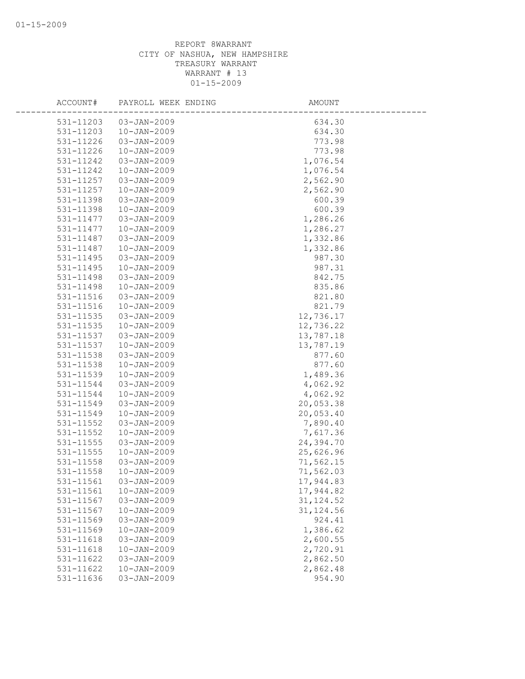| ACCOUNT#  | PAYROLL WEEK ENDING | AMOUNT     |
|-----------|---------------------|------------|
| 531-11203 | $03 - JAN - 2009$   | 634.30     |
| 531-11203 | $10 - JAN - 2009$   | 634.30     |
| 531-11226 | $03 - JAN - 2009$   | 773.98     |
| 531-11226 | $10 - JAN - 2009$   | 773.98     |
| 531-11242 | 03-JAN-2009         | 1,076.54   |
| 531-11242 | $10 - JAN - 2009$   | 1,076.54   |
| 531-11257 | $03 - JAN - 2009$   | 2,562.90   |
| 531-11257 | $10 - JAN - 2009$   | 2,562.90   |
| 531-11398 | $03 - JAN - 2009$   | 600.39     |
| 531-11398 | $10 - JAN - 2009$   | 600.39     |
| 531-11477 | $03 - JAN - 2009$   | 1,286.26   |
| 531-11477 | $10 - JAN - 2009$   | 1,286.27   |
| 531-11487 | $03 - JAN - 2009$   | 1,332.86   |
| 531-11487 | $10 - JAN - 2009$   | 1,332.86   |
| 531-11495 | 03-JAN-2009         | 987.30     |
| 531-11495 | $10 - JAN - 2009$   | 987.31     |
| 531-11498 | $03 - JAN - 2009$   | 842.75     |
| 531-11498 | $10 - JAN - 2009$   | 835.86     |
| 531-11516 | $03 - JAN - 2009$   | 821.80     |
| 531-11516 | $10 - JAN - 2009$   | 821.79     |
| 531-11535 | $03 - JAN - 2009$   | 12,736.17  |
| 531-11535 | $10 - JAN - 2009$   | 12,736.22  |
| 531-11537 | 03-JAN-2009         | 13,787.18  |
| 531-11537 | $10 - JAN - 2009$   | 13,787.19  |
| 531-11538 | $03 - JAN - 2009$   | 877.60     |
| 531-11538 | $10 - JAN - 2009$   | 877.60     |
| 531-11539 | $10 - JAN - 2009$   | 1,489.36   |
| 531-11544 | 03-JAN-2009         | 4,062.92   |
| 531-11544 | $10 - JAN - 2009$   | 4,062.92   |
| 531-11549 | $03 - JAN - 2009$   | 20,053.38  |
| 531-11549 | $10 - JAN - 2009$   | 20,053.40  |
| 531-11552 | 03-JAN-2009         | 7,890.40   |
| 531-11552 | $10 - JAN - 2009$   | 7,617.36   |
| 531-11555 | $03 - JAN - 2009$   | 24,394.70  |
| 531-11555 | $10 - JAN - 2009$   | 25,626.96  |
| 531-11558 | 03-JAN-2009         | 71,562.15  |
| 531-11558 | $10 - JAN - 2009$   | 71,562.03  |
| 531-11561 | $03 - JAN - 2009$   | 17,944.83  |
| 531-11561 | $10 - JAN - 2009$   | 17,944.82  |
| 531-11567 | $03 - JAN - 2009$   | 31, 124.52 |
| 531-11567 | $10 - JAN - 2009$   | 31, 124.56 |
| 531-11569 | 03-JAN-2009         | 924.41     |
| 531-11569 | $10 - JAN - 2009$   | 1,386.62   |
| 531-11618 | 03-JAN-2009         | 2,600.55   |
| 531-11618 | $10 - JAN - 2009$   | 2,720.91   |
| 531-11622 | 03-JAN-2009         | 2,862.50   |
| 531-11622 | $10 - JAN - 2009$   | 2,862.48   |
| 531-11636 | 03-JAN-2009         | 954.90     |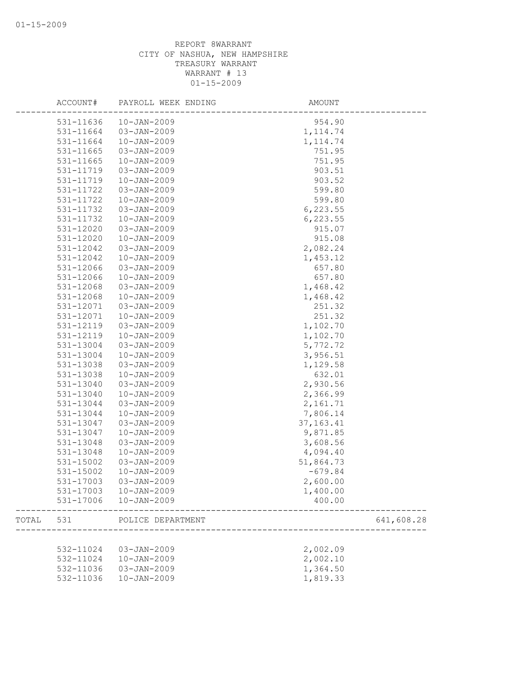|       | ACCOUNT#  | PAYROLL WEEK ENDING              | AMOUNT      |            |
|-------|-----------|----------------------------------|-------------|------------|
|       | 531-11636 | $10 - JAN - 2009$                | 954.90      |            |
|       | 531-11664 | $03 - JAN - 2009$                | 1, 114.74   |            |
|       | 531-11664 | $10 - JAN - 2009$                | 1, 114.74   |            |
|       | 531-11665 | $03 - JAN - 2009$                | 751.95      |            |
|       | 531-11665 | $10 - JAN - 2009$                | 751.95      |            |
|       | 531-11719 | $03 - JAN - 2009$                | 903.51      |            |
|       | 531-11719 | $10 - JAN - 2009$                | 903.52      |            |
|       | 531-11722 | 03-JAN-2009                      | 599.80      |            |
|       | 531-11722 | $10 - JAN - 2009$                | 599.80      |            |
|       | 531-11732 | $03 - JAN - 2009$                | 6,223.55    |            |
|       | 531-11732 | $10 - JAN - 2009$                | 6, 223.55   |            |
|       | 531-12020 | $03 - JAN - 2009$                | 915.07      |            |
|       | 531-12020 | $10 - JAN - 2009$                | 915.08      |            |
|       | 531-12042 | 03-JAN-2009                      | 2,082.24    |            |
|       | 531-12042 | $10 - JAN - 2009$                | 1,453.12    |            |
|       | 531-12066 | $03 - JAN - 2009$                | 657.80      |            |
|       | 531-12066 | $10 - JAN - 2009$                | 657.80      |            |
|       | 531-12068 | $03 - JAN - 2009$                | 1,468.42    |            |
|       | 531-12068 | $10 - JAN - 2009$                | 1,468.42    |            |
|       | 531-12071 | $03 - JAN - 2009$                | 251.32      |            |
|       | 531-12071 | $10 - JAN - 2009$                | 251.32      |            |
|       | 531-12119 | $03 - JAN - 2009$                | 1,102.70    |            |
|       | 531-12119 | $10 - JAN - 2009$                | 1,102.70    |            |
|       | 531-13004 | $03 - JAN - 2009$                | 5,772.72    |            |
|       | 531-13004 | $10 - JAN - 2009$                |             |            |
|       |           |                                  | 3,956.51    |            |
|       | 531-13038 | 03-JAN-2009<br>$10 - JAN - 2009$ | 1,129.58    |            |
|       | 531-13038 |                                  | 632.01      |            |
|       | 531-13040 | 03-JAN-2009                      | 2,930.56    |            |
|       | 531-13040 | $10 - JAN - 2009$                | 2,366.99    |            |
|       | 531-13044 | $03 - JAN - 2009$                | 2,161.71    |            |
|       | 531-13044 | $10 - JAN - 2009$                | 7,806.14    |            |
|       | 531-13047 | 03-JAN-2009                      | 37, 163. 41 |            |
|       | 531-13047 | $10 - JAN - 2009$                | 9,871.85    |            |
|       | 531-13048 | $03 - JAN - 2009$                | 3,608.56    |            |
|       | 531-13048 | $10 - JAN - 2009$                | 4,094.40    |            |
|       | 531-15002 | $03 - JAN - 2009$                | 51,864.73   |            |
|       | 531-15002 | $10 - JAN - 2009$                | $-679.84$   |            |
|       | 531-17003 | $03 - JAN - 2009$                | 2,600.00    |            |
|       | 531-17003 | $10 - JAN - 2009$                | 1,400.00    |            |
|       | 531-17006 | $10 - JAN - 2009$                | 400.00      |            |
| TOTAL | 531       | POLICE DEPARTMENT                |             | 641,608.28 |
|       |           |                                  |             |            |
|       | 532-11024 | 03-JAN-2009                      | 2,002.09    |            |
|       | 532-11024 | $10 - JAN - 2009$                | 2,002.10    |            |
|       | 532-11036 | 03-JAN-2009                      | 1,364.50    |            |
|       | 532-11036 | $10 - JAN - 2009$                | 1,819.33    |            |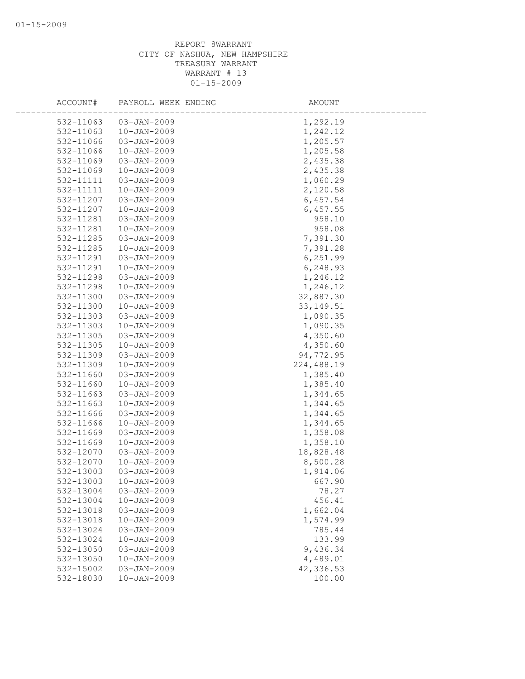| ACCOUNT#               | PAYROLL WEEK ENDING                    | AMOUNT               |
|------------------------|----------------------------------------|----------------------|
| 532-11063              | $03 - JAN - 2009$                      |                      |
| 532-11063              | $10 - JAN - 2009$                      | 1,292.19             |
|                        | $03 - JAN - 2009$                      | 1,242.12             |
| 532-11066              |                                        | 1,205.57             |
| 532-11066              | $10 - JAN - 2009$                      | 1,205.58             |
| 532-11069              | 03-JAN-2009                            | 2,435.38             |
| 532-11069              | $10 - JAN - 2009$                      | 2,435.38             |
| 532-11111              | $03 - JAN - 2009$                      | 1,060.29             |
| 532-11111              | $10 - JAN - 2009$                      | 2,120.58             |
| 532-11207              | $03 - JAN - 2009$                      | 6,457.54             |
| 532-11207              | $10 - JAN - 2009$                      | 6,457.55             |
| 532-11281              | $03 - JAN - 2009$                      | 958.10               |
| 532-11281              | $10 - JAN - 2009$                      | 958.08               |
| 532-11285              | $03 - JAN - 2009$                      | 7,391.30             |
| 532-11285              | $10 - JAN - 2009$                      | 7,391.28             |
| 532-11291              | 03-JAN-2009                            | 6,251.99             |
| 532-11291              | $10 - JAN - 2009$                      | 6,248.93             |
| 532-11298              | $03 - JAN - 2009$                      | 1,246.12             |
| 532-11298              | $10 - JAN - 2009$                      | 1,246.12             |
| 532-11300              | $03 - JAN - 2009$                      | 32,887.30            |
| 532-11300              | $10 - JAN - 2009$                      | 33, 149.51           |
| 532-11303              | $03 - JAN - 2009$                      | 1,090.35             |
| 532-11303              | $10 - JAN - 2009$                      | 1,090.35             |
| 532-11305              | 03-JAN-2009                            | 4,350.60             |
| 532-11305              | $10 - JAN - 2009$                      | 4,350.60             |
| 532-11309              | $03 - JAN - 2009$                      | 94,772.95            |
| 532-11309              | $10 - JAN - 2009$                      | 224,488.19           |
| 532-11660              | $03 - JAN - 2009$                      | 1,385.40             |
| 532-11660              | $10 - JAN - 2009$                      | 1,385.40             |
| 532-11663              | $03 - JAN - 2009$                      | 1,344.65             |
| 532-11663              | $10 - JAN - 2009$                      | 1,344.65             |
| 532-11666              | 03-JAN-2009                            | 1,344.65             |
| 532-11666              | $10 - JAN - 2009$                      | 1,344.65             |
| 532-11669<br>532-11669 | 03-JAN-2009<br>$10 - JAN - 2009$       | 1,358.08<br>1,358.10 |
| 532-12070              | $03 - JAN - 2009$                      | 18,828.48            |
| 532-12070              | $10 - JAN - 2009$                      | 8,500.28             |
| 532-13003              | $03 - JAN - 2009$                      | 1,914.06             |
| 532-13003              | $10 - JAN - 2009$                      | 667.90               |
| 532-13004              |                                        |                      |
| 532-13004              | 03-JAN-2009                            | 78.27<br>456.41      |
| 532-13018              | $10 - JAN - 2009$<br>$03 - JAN - 2009$ | 1,662.04             |
| 532-13018              | $10 - JAN - 2009$                      | 1,574.99             |
| 532-13024              |                                        | 785.44               |
| 532-13024              | 03-JAN-2009                            |                      |
| 532-13050              | $10 - JAN - 2009$                      | 133.99               |
|                        | 03-JAN-2009                            | 9,436.34             |
| 532-13050              | $10 - JAN - 2009$                      | 4,489.01             |
| 532-15002              | $03 - JAN - 2009$                      | 42,336.53            |
| 532-18030              | $10 - JAN - 2009$                      | 100.00               |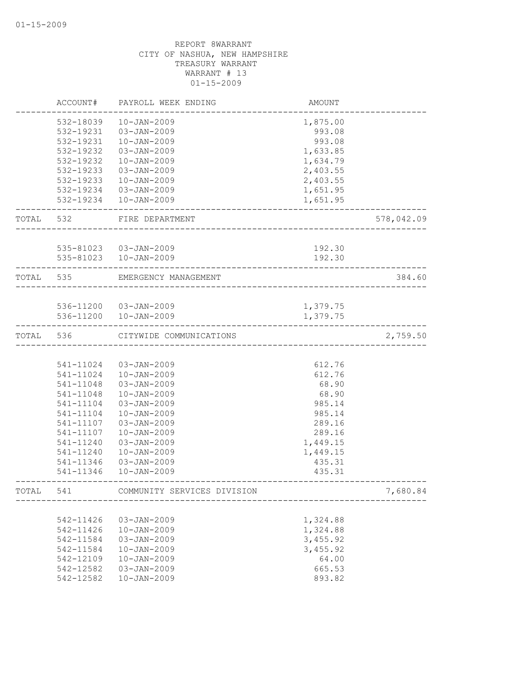|           | ACCOUNT#      | PAYROLL WEEK ENDING         | <b>AMOUNT</b>              |            |
|-----------|---------------|-----------------------------|----------------------------|------------|
|           | 532-18039     | $10 - JAN - 2009$           | 1,875.00                   |            |
|           | $532 - 19231$ | $03 - JAN - 2009$           | 993.08                     |            |
|           | 532-19231     | $10 - JAN - 2009$           | 993.08                     |            |
|           | 532-19232     | $03 - JAN - 2009$           | 1,633.85                   |            |
|           | 532-19232     | $10 - JAN - 2009$           | 1,634.79                   |            |
|           | 532-19233     | $03 - JAN - 2009$           | 2,403.55                   |            |
|           | 532-19233     | $10 - JAN - 2009$           | 2,403.55                   |            |
|           | 532-19234     | $03 - JAN - 2009$           | 1,651.95                   |            |
|           | 532-19234     | 10-JAN-2009                 | 1,651.95                   |            |
| TOTAL 532 |               | FIRE DEPARTMENT             |                            | 578,042.09 |
|           |               | 535-81023  03-JAN-2009      | 192.30                     |            |
|           | 535-81023     | $10 - JAN - 2009$           | 192.30                     |            |
| TOTAL 535 |               | EMERGENCY MANAGEMENT        |                            | 384.60     |
|           |               |                             | __________________________ |            |
|           |               | 536-11200 03-JAN-2009       | 1,379.75                   |            |
|           |               | 536-11200  10-JAN-2009      | 1,379.75                   |            |
| TOTAL     | 536           | CITYWIDE COMMUNICATIONS     |                            | 2,759.50   |
|           |               |                             |                            |            |
|           | 541-11024     | 03-JAN-2009                 | 612.76                     |            |
|           | 541-11024     | $10 - JAN - 2009$           | 612.76                     |            |
|           | 541-11048     | 03-JAN-2009                 | 68.90                      |            |
|           | 541-11048     | $10 - JAN - 2009$           | 68.90                      |            |
|           | 541-11104     | $03 - JAN - 2009$           | 985.14                     |            |
|           | 541-11104     | $10 - JAN - 2009$           | 985.14                     |            |
|           | 541-11107     | $03 - JAN - 2009$           | 289.16                     |            |
|           | 541-11107     | $10 - JAN - 2009$           | 289.16                     |            |
|           | 541-11240     | 03-JAN-2009                 | 1,449.15                   |            |
|           | 541-11240     | $10 - JAN - 2009$           | 1,449.15                   |            |
|           | 541-11346     | $03 - JAN - 2009$           | 435.31                     |            |
|           | 541-11346     | $10 - JAN - 2009$           | 435.31                     |            |
| TOTAL     | 541           | COMMUNITY SERVICES DIVISION |                            | 7,680.84   |
|           |               |                             |                            |            |
|           | 542-11426     | $03 - JAN - 2009$           | 1,324.88                   |            |
|           | 542-11426     | $10 - JAN - 2009$           | 1,324.88                   |            |
|           | 542-11584     | $03 - JAN - 2009$           | 3,455.92                   |            |
|           | 542-11584     | $10 - JAN - 2009$           | 3,455.92                   |            |
|           | 542-12109     | $10 - JAN - 2009$           | 64.00                      |            |
|           | 542-12582     | $03 - JAN - 2009$           | 665.53                     |            |
|           | 542-12582     | $10 - JAN - 2009$           | 893.82                     |            |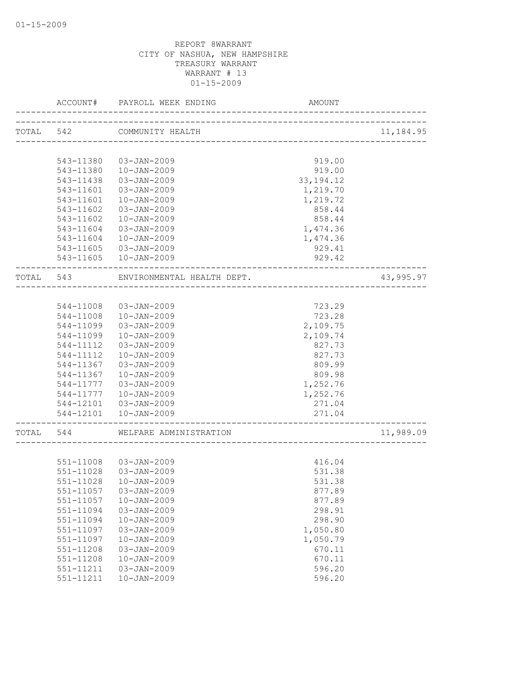|           | ACCOUNT#      | PAYROLL WEEK ENDING                          | AMOUNT        |           |
|-----------|---------------|----------------------------------------------|---------------|-----------|
| TOTAL 542 |               | COMMUNITY HEALTH<br>________________________ |               | 11,184.95 |
|           |               |                                              |               |           |
|           | 543-11380     | 03-JAN-2009                                  | 919.00        |           |
|           | 543-11380     | 10-JAN-2009                                  | 919.00        |           |
|           | 543-11438     | 03-JAN-2009                                  | 33, 194. 12   |           |
|           | 543-11601     | 03-JAN-2009                                  | 1,219.70      |           |
|           | 543-11601     | $10 - JAN - 2009$                            | 1,219.72      |           |
|           | 543-11602     | 03-JAN-2009                                  | 858.44        |           |
|           | 543-11602     | $10 - JAN - 2009$                            | 858.44        |           |
|           | 543-11604     | 03-JAN-2009                                  | 1,474.36      |           |
|           | 543-11604     | 10-JAN-2009                                  | 1,474.36      |           |
|           |               | 543-11605 03-JAN-2009                        | 929.41        |           |
|           |               | 543-11605  10-JAN-2009                       | 929.42        |           |
| TOTAL 543 |               | ENVIRONMENTAL HEALTH DEPT.                   | -----------   | 43,995.97 |
|           |               |                                              |               |           |
|           | 544-11008     | 03-JAN-2009                                  | 723.29        |           |
|           | 544-11008     | $10 - JAN - 2009$                            | 723.28        |           |
|           | 544-11099     | $03 - JAN - 2009$                            | 2,109.75      |           |
|           | 544-11099     | $10 - JAN - 2009$                            | 2,109.74      |           |
|           | 544-11112     | $03 - JAN - 2009$                            | 827.73        |           |
|           | 544-11112     | $10 - JAN - 2009$                            | 827.73        |           |
|           | 544-11367     | 03-JAN-2009                                  | 809.99        |           |
|           | 544-11367     | $10 - JAN - 2009$                            | 809.98        |           |
|           | 544-11777     | 03-JAN-2009                                  | 1,252.76      |           |
|           | 544-11777     | $10 - JAN - 2009$                            | 1,252.76      |           |
|           | 544-12101     | 03-JAN-2009                                  | 271.04        |           |
|           |               | 544-12101  10-JAN-2009                       | 271.04        |           |
|           |               |                                              | _____________ |           |
| TOTAL     | 544           | WELFARE ADMINISTRATION                       |               | 11,989.09 |
|           |               |                                              |               |           |
|           |               | 551-11008 03-JAN-2009                        | 416.04        |           |
|           | $551 - 11028$ | 03-JAN-2009                                  | 531.38        |           |
|           |               | 551-11028  10-JAN-2009                       | 531.38        |           |
|           | 551-11057     | 03-JAN-2009                                  | 877.89        |           |
|           | 551-11057     | $10 - JAN - 2009$                            | 877.89        |           |
|           | 551-11094     | $03 - JAN - 2009$                            | 298.91        |           |
|           | 551-11094     | $10 - JAN - 2009$                            | 298.90        |           |
|           | 551-11097     | 03-JAN-2009                                  | 1,050.80      |           |
|           | 551-11097     | $10 - JAN - 2009$                            | 1,050.79      |           |
|           | 551-11208     | $03 - JAN - 2009$                            | 670.11        |           |
|           | $551 - 11208$ | $10 - JAN - 2009$                            | 670.11        |           |
|           | 551-11211     | $03 - JAN - 2009$                            | 596.20        |           |
|           | 551-11211     | $10 - JAN - 2009$                            | 596.20        |           |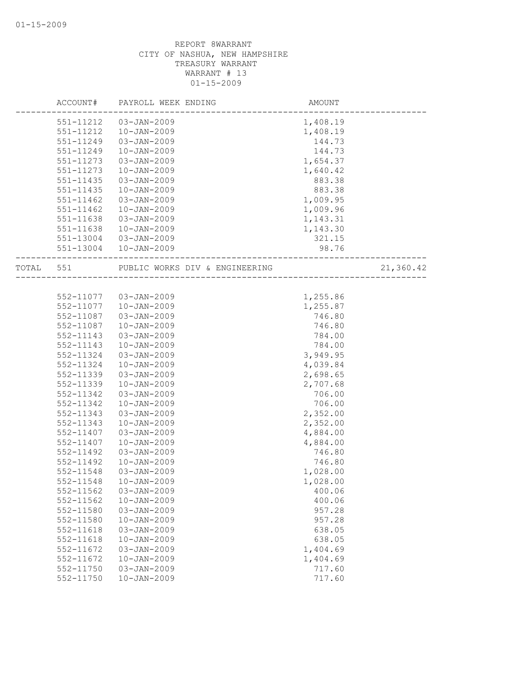|           | ACCOUNT#               | PAYROLL WEEK ENDING                    | AMOUNT           |           |
|-----------|------------------------|----------------------------------------|------------------|-----------|
|           | 551-11212              | $03 - JAN - 2009$                      | 1,408.19         |           |
|           | 551-11212              | $10 - JAN - 2009$                      | 1,408.19         |           |
|           | 551-11249              | $03 - JAN - 2009$                      | 144.73           |           |
|           | 551-11249              | $10 - JAN - 2009$                      | 144.73           |           |
|           | 551-11273              | $03 - JAN - 2009$                      | 1,654.37         |           |
|           | 551-11273              | $10 - JAN - 2009$                      | 1,640.42         |           |
|           | 551-11435              | $03 - JAN - 2009$                      | 883.38           |           |
|           | 551-11435              | $10 - JAN - 2009$                      | 883.38           |           |
|           | 551-11462              | $03 - JAN - 2009$                      | 1,009.95         |           |
|           | 551-11462              | $10 - JAN - 2009$                      | 1,009.96         |           |
|           | 551-11638              | 03-JAN-2009                            | 1,143.31         |           |
|           | 551-11638              | $10 - JAN - 2009$                      | 1,143.30         |           |
|           | 551-13004              | 03-JAN-2009                            | 321.15           |           |
|           | 551-13004              | 10-JAN-2009                            | 98.76            |           |
| TOTAL 551 |                        | PUBLIC WORKS DIV & ENGINEERING         |                  | 21,360.42 |
|           |                        |                                        |                  |           |
|           | 552-11077              | 03-JAN-2009                            | 1,255.86         |           |
|           | 552-11077              | $10 - JAN - 2009$                      | 1,255.87         |           |
|           | 552-11087              | $03 - JAN - 2009$                      | 746.80           |           |
|           |                        | $10 - JAN - 2009$                      |                  |           |
|           | 552-11087              | $03 - JAN - 2009$                      | 746.80<br>784.00 |           |
|           | 552-11143              |                                        | 784.00           |           |
|           | 552-11143              | $10 - JAN - 2009$                      |                  |           |
|           | 552-11324              | $03 - JAN - 2009$                      | 3,949.95         |           |
|           | 552-11324              | $10 - JAN - 2009$                      | 4,039.84         |           |
|           | 552-11339              | $03 - JAN - 2009$                      | 2,698.65         |           |
|           | 552-11339              | $10 - JAN - 2009$                      | 2,707.68         |           |
|           | 552-11342              | $03 - JAN - 2009$                      | 706.00           |           |
|           | 552-11342              | $10 - JAN - 2009$                      | 706.00           |           |
|           | 552-11343              | $03 - JAN - 2009$                      | 2,352.00         |           |
|           | 552-11343<br>552-11407 | $10 - JAN - 2009$<br>$03 - JAN - 2009$ | 2,352.00         |           |
|           |                        |                                        | 4,884.00         |           |
|           | 552-11407              | $10 - JAN - 2009$                      | 4,884.00         |           |
|           | 552-11492              | $03 - JAN - 2009$                      | 746.80           |           |
|           | 552-11492              | $10 - JAN - 2009$                      | 746.80           |           |
|           | 552-11548              | $03 - JAN - 2009$                      | 1,028.00         |           |
|           | 552-11548              | $10 - JAN - 2009$                      | 1,028.00         |           |
|           | 552-11562              | 03-JAN-2009                            | 400.06           |           |
|           | 552-11562              | $10 - JAN - 2009$                      | 400.06           |           |
|           | 552-11580              | $03 - JAN - 2009$                      | 957.28           |           |
|           | 552-11580              | $10 - JAN - 2009$                      | 957.28           |           |
|           | 552-11618              | $03 - JAN - 2009$                      | 638.05           |           |
|           | 552-11618              | $10 - JAN - 2009$                      | 638.05           |           |
|           | 552-11672              | $03 - JAN - 2009$                      | 1,404.69         |           |
|           | 552-11672              | $10 - JAN - 2009$                      | 1,404.69         |           |
|           | 552-11750              | $03 - JAN - 2009$                      | 717.60           |           |
|           | 552-11750              | $10 - JAN - 2009$                      | 717.60           |           |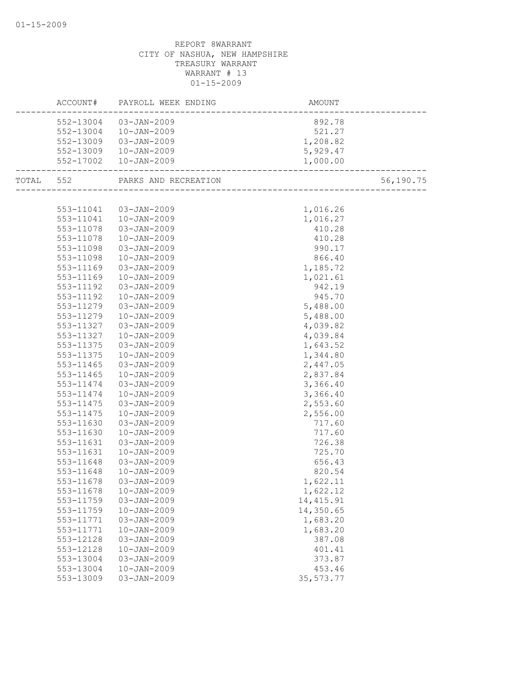|           | ACCOUNT# PAYROLL WEEK ENDING   | AMOUNT                                  |           |
|-----------|--------------------------------|-----------------------------------------|-----------|
|           | 552-13004 03-JAN-2009          | 892.78                                  |           |
|           | 552-13004  10-JAN-2009         | 521.27                                  |           |
|           | 552-13009 03-JAN-2009          | $521.27$<br>$1,208.82$                  |           |
|           | 552-13009 10-JAN-2009          | 5,929.47                                |           |
|           | 552-17002  10-JAN-2009         | 1,000.00<br>---------------------       |           |
|           | TOTAL 552 PARKS AND RECREATION | --.<br>________________________________ | 56,190.75 |
|           |                                |                                         |           |
|           | 553-11041  03-JAN-2009         | 1,016.26                                |           |
|           | 553-11041  10-JAN-2009         | 1,016.27                                |           |
| 553-11078 | 03-JAN-2009                    | 410.28                                  |           |
| 553-11078 | 10-JAN-2009                    | 410.28                                  |           |
| 553-11098 | 03-JAN-2009                    | 990.17                                  |           |
| 553-11098 | $10 - JAN - 2009$              | 866.40                                  |           |
| 553-11169 | 03-JAN-2009                    | 1,185.72                                |           |
| 553-11169 | $10 - JAN - 2009$              | 1,021.61                                |           |
| 553-11192 | 03-JAN-2009                    | 942.19                                  |           |
| 553-11192 | $10 - JAN - 2009$              | 945.70                                  |           |
| 553-11279 | 03-JAN-2009                    | 5,488.00                                |           |
| 553-11279 | $10 - JAN - 2009$              | 5,488.00                                |           |
| 553-11327 | 03-JAN-2009                    | 4,039.82                                |           |
| 553-11327 | $10 - JAN - 2009$              | 4,039.84                                |           |
| 553-11375 | 03-JAN-2009                    | 1,643.52                                |           |
| 553-11375 | $10 - JAN - 2009$              | 1,344.80                                |           |
| 553-11465 | 03-JAN-2009                    | 2,447.05                                |           |
| 553-11465 | $10 - JAN - 2009$              | 2,837.84                                |           |
| 553-11474 | 03-JAN-2009                    | 3,366.40                                |           |
| 553-11474 | $10 - JAN - 2009$              | 3,366.40                                |           |
| 553-11475 | 03-JAN-2009                    | 2,553.60                                |           |
| 553-11475 | $10 - JAN - 2009$              | 2,556.00                                |           |
| 553-11630 | 03-JAN-2009                    | 717.60                                  |           |
| 553-11630 | $10 - JAN - 2009$              | 717.60                                  |           |
| 553-11631 | 03-JAN-2009                    | 726.38                                  |           |
| 553-11631 | $10 - JAN - 2009$              | 725.70                                  |           |
| 553-11648 | 03-JAN-2009                    | 656.43                                  |           |
| 553-11648 | $10 - JAN - 2009$              | 820.54                                  |           |
| 553-11678 | 03-JAN-2009                    | 1,622.11                                |           |
| 553-11678 | $10 - JAN - 2009$              | 1,622.12                                |           |
| 553-11759 | $03 - JAN - 2009$              | 14, 415.91                              |           |
| 553-11759 | $10 - JAN - 2009$              | 14,350.65                               |           |
| 553-11771 | 03-JAN-2009                    | 1,683.20                                |           |
| 553-11771 | $10 - JAN - 2009$              | 1,683.20                                |           |
| 553-12128 | 03-JAN-2009                    | 387.08                                  |           |
| 553-12128 | $10 - JAN - 2009$              | 401.41                                  |           |
| 553-13004 | $03 - JAN - 2009$              | 373.87                                  |           |
| 553-13004 | $10 - JAN - 2009$              | 453.46                                  |           |
| 553-13009 | 03-JAN-2009                    | 35, 573. 77                             |           |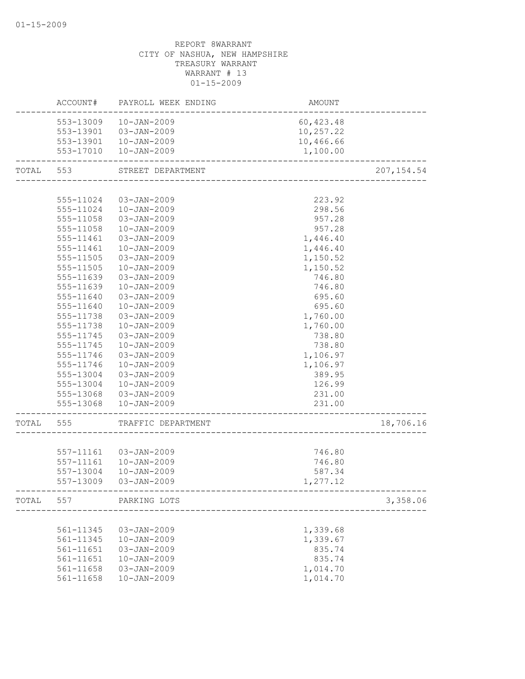|       |           | ACCOUNT# PAYROLL WEEK ENDING | AMOUNT     |             |
|-------|-----------|------------------------------|------------|-------------|
|       |           | 553-13009  10-JAN-2009       | 60, 423.48 |             |
|       | 553-13901 | 03-JAN-2009                  | 10,257.22  |             |
|       |           | 553-13901  10-JAN-2009       | 10,466.66  |             |
|       |           | 553-17010  10-JAN-2009       | 1,100.00   |             |
| TOTAL | 553       | STREET DEPARTMENT            |            | 207, 154.54 |
|       |           |                              |            |             |
|       | 555-11024 | 03-JAN-2009                  | 223.92     |             |
|       | 555-11024 | $10 - JAN - 2009$            | 298.56     |             |
|       | 555-11058 | 03-JAN-2009                  | 957.28     |             |
|       | 555-11058 | $10 - JAN - 2009$            | 957.28     |             |
|       | 555-11461 | $03 - JAN - 2009$            | 1,446.40   |             |
|       | 555-11461 | $10 - JAN - 2009$            | 1,446.40   |             |
|       | 555-11505 | 03-JAN-2009                  | 1,150.52   |             |
|       | 555-11505 | $10 - JAN - 2009$            | 1,150.52   |             |
|       | 555-11639 | $03 - JAN - 2009$            | 746.80     |             |
|       | 555-11639 | $10 - JAN - 2009$            | 746.80     |             |
|       | 555-11640 | $03 - JAN - 2009$            | 695.60     |             |
|       | 555-11640 | $10 - JAN - 2009$            | 695.60     |             |
|       | 555-11738 | $03 - JAN - 2009$            | 1,760.00   |             |
|       | 555-11738 | $10 - JAN - 2009$            | 1,760.00   |             |
|       | 555-11745 | $03 - JAN - 2009$            | 738.80     |             |
|       | 555-11745 | $10 - JAN - 2009$            | 738.80     |             |
|       | 555-11746 | $03 - JAN - 2009$            | 1,106.97   |             |
|       | 555-11746 | $10 - JAN - 2009$            | 1,106.97   |             |
|       | 555-13004 | $03 - JAN - 2009$            | 389.95     |             |
|       | 555-13004 | $10 - JAN - 2009$            | 126.99     |             |
|       | 555-13068 | 03-JAN-2009                  | 231.00     |             |
|       | 555-13068 | $10 - JAN - 2009$            | 231.00     |             |
| TOTAL | 555       | TRAFFIC DEPARTMENT           |            | 18,706.16   |
|       |           |                              |            |             |
|       |           | 557-11161 03-JAN-2009        | 746.80     |             |
|       | 557-11161 | 10-JAN-2009                  | 746.80     |             |
|       | 557-13004 | $10 - JAN - 2009$            | 587.34     |             |
|       | 557-13009 | 03-JAN-2009                  | 1,277.12   |             |
|       |           | TOTAL 557 PARKING LOTS       |            | 3,358.06    |
|       |           |                              |            |             |
|       | 561-11345 | 03-JAN-2009                  | 1,339.68   |             |
|       | 561-11345 | $10 - JAN - 2009$            | 1,339.67   |             |
|       | 561-11651 | $03 - JAN - 2009$            | 835.74     |             |
|       | 561-11651 | $10 - JAN - 2009$            | 835.74     |             |
|       | 561-11658 | 03-JAN-2009                  | 1,014.70   |             |
|       | 561-11658 | $10 - JAN - 2009$            | 1,014.70   |             |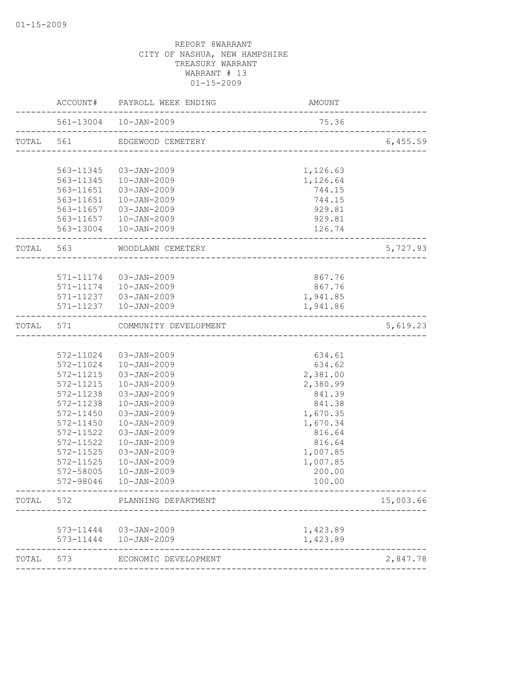|           | ACCOUNT#  | PAYROLL WEEK ENDING                                          | AMOUNT                               |           |
|-----------|-----------|--------------------------------------------------------------|--------------------------------------|-----------|
|           |           | 561-13004 10-JAN-2009<br>___________________________________ | 75.36                                |           |
| TOTAL 561 |           | EDGEWOOD CEMETERY                                            | ------------------------------------ | 6,455.59  |
|           |           |                                                              |                                      |           |
|           |           | 563-11345 03-JAN-2009                                        | 1,126.63                             |           |
|           |           | 563-11345  10-JAN-2009                                       | 1,126.64                             |           |
|           | 563-11651 | 03-JAN-2009                                                  | 744.15                               |           |
|           | 563-11651 | 10-JAN-2009                                                  | 744.15                               |           |
|           |           | 563-11657 03-JAN-2009                                        | 929.81                               |           |
|           |           | 563-11657  10-JAN-2009<br>563-13004  10-JAN-2009             | 929.81<br>126.74                     |           |
|           |           |                                                              | __________________________           |           |
|           |           | TOTAL 563 WOODLAWN CEMETERY                                  |                                      | 5,727.93  |
|           |           |                                                              |                                      |           |
|           |           | 571-11174 03-JAN-2009                                        | 867.76                               |           |
|           |           | 571-11174  10-JAN-2009                                       | 867.76                               |           |
|           |           | 571-11237 03-JAN-2009                                        | 1,941.85                             |           |
|           |           | 571-11237  10-JAN-2009                                       | 1,941.86                             |           |
| TOTAL     | 571       | COMMUNITY DEVELOPMENT                                        | -----------------------------------  | 5,619.23  |
|           |           |                                                              |                                      |           |
|           |           | 572-11024 03-JAN-2009                                        | 634.61                               |           |
|           |           | 572-11024  10-JAN-2009                                       | 634.62                               |           |
|           | 572-11215 | 03-JAN-2009                                                  | 2,381.00                             |           |
|           | 572-11215 | $10 - JAN - 2009$                                            | 2,380.99                             |           |
|           | 572-11238 | $03 - JAN - 2009$                                            | 841.39                               |           |
|           | 572-11238 | $10 - JAN - 2009$                                            | 841.38                               |           |
|           | 572-11450 | $03 - JAN - 2009$                                            | 1,670.35                             |           |
|           | 572-11450 | $10 - JAN - 2009$                                            | 1,670.34                             |           |
|           | 572-11522 | 03-JAN-2009                                                  | 816.64                               |           |
|           | 572-11522 | $10 - JAN - 2009$                                            | 816.64                               |           |
|           | 572-11525 | $03 - JAN - 2009$                                            | 1,007.85                             |           |
|           | 572-11525 | $10 - JAN - 2009$                                            | 1,007.85                             |           |
|           | 572-58005 | $10 - JAN - 2009$                                            | 200.00                               |           |
|           | 572-98046 | $10 - JAN - 2009$                                            | 100.00                               |           |
|           | TOTAL 572 | PLANNING DEPARTMENT                                          |                                      | 15,003.66 |
|           |           |                                                              |                                      |           |
|           |           | 573-11444  03-JAN-2009                                       | 1,423.89                             |           |
|           |           | 573-11444  10-JAN-2009                                       | 1,423.89                             |           |
| TOTAL     | 573       | ECONOMIC DEVELOPMENT                                         |                                      | 2,847.78  |
|           |           |                                                              |                                      |           |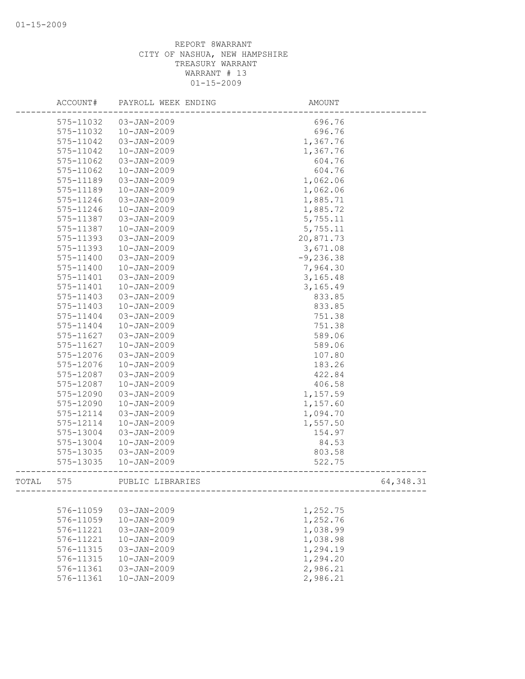|       | ACCOUNT#  | PAYROLL WEEK ENDING | AMOUNT       |            |
|-------|-----------|---------------------|--------------|------------|
|       | 575-11032 | $03 - JAN - 2009$   | 696.76       |            |
|       | 575-11032 | $10 - JAN - 2009$   | 696.76       |            |
|       | 575-11042 | $03 - JAN - 2009$   | 1,367.76     |            |
|       | 575-11042 | $10 - JAN - 2009$   | 1,367.76     |            |
|       | 575-11062 | 03-JAN-2009         | 604.76       |            |
|       | 575-11062 | $10 - JAN - 2009$   | 604.76       |            |
|       | 575-11189 | $03 - JAN - 2009$   | 1,062.06     |            |
|       | 575-11189 | $10 - JAN - 2009$   | 1,062.06     |            |
|       | 575-11246 | 03-JAN-2009         | 1,885.71     |            |
|       | 575-11246 | $10 - JAN - 2009$   | 1,885.72     |            |
|       | 575-11387 | $03 - JAN - 2009$   | 5,755.11     |            |
|       | 575-11387 | $10 - JAN - 2009$   | 5,755.11     |            |
|       | 575-11393 | $03 - JAN - 2009$   | 20,871.73    |            |
|       | 575-11393 | $10 - JAN - 2009$   | 3,671.08     |            |
|       | 575-11400 | 03-JAN-2009         | $-9, 236.38$ |            |
|       | 575-11400 | $10 - JAN - 2009$   | 7,964.30     |            |
|       | 575-11401 | $03 - JAN - 2009$   | 3,165.48     |            |
|       | 575-11401 | $10 - JAN - 2009$   | 3,165.49     |            |
|       | 575-11403 | $03 - JAN - 2009$   | 833.85       |            |
|       | 575-11403 | $10 - JAN - 2009$   | 833.85       |            |
|       | 575-11404 | $03 - JAN - 2009$   | 751.38       |            |
|       | 575-11404 | $10 - JAN - 2009$   | 751.38       |            |
|       | 575-11627 | 03-JAN-2009         | 589.06       |            |
|       | 575-11627 | $10 - JAN - 2009$   | 589.06       |            |
|       | 575-12076 | $03 - JAN - 2009$   | 107.80       |            |
|       | 575-12076 | $10 - JAN - 2009$   | 183.26       |            |
|       | 575-12087 | 03-JAN-2009         | 422.84       |            |
|       | 575-12087 | $10 - JAN - 2009$   | 406.58       |            |
|       | 575-12090 | $03 - JAN - 2009$   | 1,157.59     |            |
|       | 575-12090 | $10 - JAN - 2009$   | 1,157.60     |            |
|       | 575-12114 | $03 - JAN - 2009$   | 1,094.70     |            |
|       | 575-12114 | $10 - JAN - 2009$   | 1,557.50     |            |
|       | 575-13004 | 03-JAN-2009         | 154.97       |            |
|       | 575-13004 | $10 - JAN - 2009$   | 84.53        |            |
|       | 575-13035 | $03 - JAN - 2009$   | 803.58       |            |
|       | 575-13035 | $10 - JAN - 2009$   | 522.75       |            |
| TOTAL | 575       | PUBLIC LIBRARIES    |              | 64, 348.31 |
|       |           |                     |              |            |
|       | 576-11059 | 03-JAN-2009         | 1,252.75     |            |
|       | 576-11059 | $10 - JAN - 2009$   | 1,252.76     |            |
|       | 576-11221 | $03 - JAN - 2009$   | 1,038.99     |            |
|       | 576-11221 | $10 - JAN - 2009$   | 1,038.98     |            |
|       | 576-11315 | $03 - JAN - 2009$   | 1,294.19     |            |
|       | 576-11315 | $10 - JAN - 2009$   | 1,294.20     |            |
|       | 576-11361 | $03 - JAN - 2009$   | 2,986.21     |            |
|       | 576-11361 | $10 - JAN - 2009$   | 2,986.21     |            |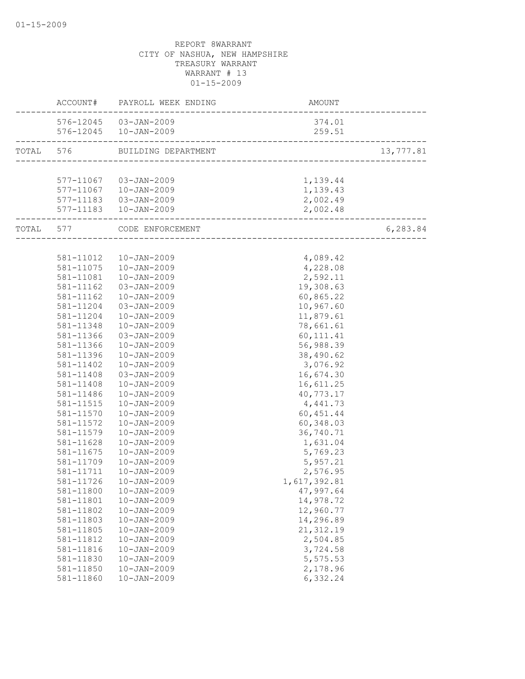|           |           | ACCOUNT# PAYROLL WEEK ENDING | AMOUNT                                  |           |
|-----------|-----------|------------------------------|-----------------------------------------|-----------|
|           |           | 576-12045 03-JAN-2009        | 374.01                                  |           |
|           |           | 576-12045  10-JAN-2009       | 259.51<br>------------------------      |           |
| TOTAL 576 |           | BUILDING DEPARTMENT          | (T<br>--------------------------------- | 13,777.81 |
|           |           |                              |                                         |           |
|           |           | 577-11067 03-JAN-2009        | 1,139.44                                |           |
|           |           | 577-11067  10-JAN-2009       | 1,139.43                                |           |
|           |           | 577-11183  03-JAN-2009       | 2,002.49                                |           |
|           |           | 577-11183  10-JAN-2009       | 2,002.48<br>________________________    |           |
| TOTAL 577 |           | CODE ENFORCEMENT             |                                         | 6,283.84  |
|           |           |                              |                                         |           |
|           | 581-11012 | 10-JAN-2009                  | 4,089.42                                |           |
|           | 581-11075 | $10 - JAN - 2009$            | 4,228.08                                |           |
|           | 581-11081 | $10 - JAN - 2009$            | 2,592.11                                |           |
|           | 581-11162 | $03 - JAN - 2009$            | 19,308.63                               |           |
|           | 581-11162 | $10 - JAN - 2009$            | 60,865.22                               |           |
|           | 581-11204 | $03 - JAN - 2009$            | 10,967.60                               |           |
|           | 581-11204 | $10 - JAN - 2009$            | 11,879.61                               |           |
|           | 581-11348 | $10 - JAN - 2009$            | 78,661.61                               |           |
|           | 581-11366 | $03 - JAN - 2009$            | 60, 111.41                              |           |
|           | 581-11366 | $10 - JAN - 2009$            | 56,988.39                               |           |
|           | 581-11396 | $10 - JAN - 2009$            | 38,490.62                               |           |
|           | 581-11402 | $10 - JAN - 2009$            | 3,076.92                                |           |
|           | 581-11408 | $03 - JAN - 2009$            | 16,674.30                               |           |
|           | 581-11408 | $10 - JAN - 2009$            | 16,611.25                               |           |
|           | 581-11486 | $10 - JAN - 2009$            | 40,773.17                               |           |
|           | 581-11515 | $10 - JAN - 2009$            | 4,441.73                                |           |
|           | 581-11570 | $10 - JAN - 2009$            | 60, 451.44                              |           |
|           | 581-11572 | $10 - JAN - 2009$            | 60,348.03                               |           |
|           | 581-11579 | $10 - JAN - 2009$            | 36,740.71                               |           |
|           | 581-11628 | $10 - JAN - 2009$            | 1,631.04                                |           |
|           | 581-11675 | $10 - JAN - 2009$            | 5,769.23                                |           |
|           | 581-11709 | $10 - JAN - 2009$            | 5,957.21                                |           |
|           | 581-11711 | $10 - JAN - 2009$            | 2,576.95                                |           |
|           | 581-11726 | $10 - JAN - 2009$            | 1,617,392.81                            |           |
|           | 581-11800 | $10 - JAN - 2009$            | 47,997.64                               |           |
|           | 581-11801 | $10 - JAN - 2009$            | 14,978.72                               |           |
|           | 581-11802 | $10 - JAN - 2009$            | 12,960.77                               |           |
|           | 581-11803 | $10 - JAN - 2009$            | 14,296.89                               |           |
|           | 581-11805 | $10 - JAN - 2009$            | 21, 312.19                              |           |
|           | 581-11812 | $10 - JAN - 2009$            | 2,504.85                                |           |
|           | 581-11816 | $10 - JAN - 2009$            | 3,724.58                                |           |
|           | 581-11830 | $10 - JAN - 2009$            | 5,575.53                                |           |
|           | 581-11850 | $10 - JAN - 2009$            | 2,178.96                                |           |
|           | 581-11860 | $10 - JAN - 2009$            | 6,332.24                                |           |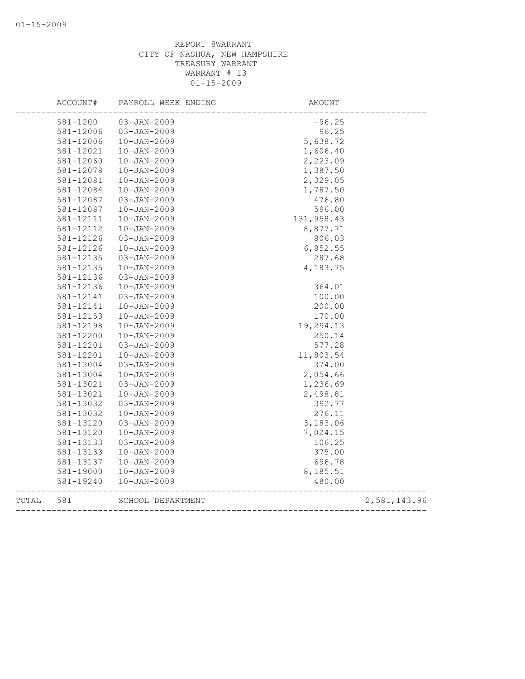|       | ACCOUNT#  | PAYROLL WEEK ENDING | AMOUNT     |              |
|-------|-----------|---------------------|------------|--------------|
|       | 581-1200  | $03 - JAN - 2009$   | $-96.25$   |              |
|       | 581-12006 | $03 - JAN - 2009$   | 96.25      |              |
|       | 581-12006 | $10 - JAN - 2009$   | 5,638.72   |              |
|       | 581-12021 | $10 - JAN - 2009$   | 1,606.40   |              |
|       | 581-12060 | $10 - JAN - 2009$   | 2,223.09   |              |
|       | 581-12078 | $10 - JAN - 2009$   | 1,387.50   |              |
|       | 581-12081 | $10 - JAN - 2009$   | 2,329.05   |              |
|       | 581-12084 | $10 - JAN - 2009$   | 1,787.50   |              |
|       | 581-12087 | $03 - JAN - 2009$   | 476.80     |              |
|       | 581-12087 | $10 - JAN - 2009$   | 596.00     |              |
|       | 581-12111 | $10 - JAN - 2009$   | 131,958.43 |              |
|       | 581-12112 | $10 - JAN - 2009$   | 8,877.71   |              |
|       | 581-12126 | $03 - JAN - 2009$   | 806.03     |              |
|       | 581-12126 | $10 - JAN - 2009$   | 6,852.55   |              |
|       | 581-12135 | $03 - JAN - 2009$   | 287.68     |              |
|       | 581-12135 | $10 - JAN - 2009$   | 4,183.75   |              |
|       | 581-12136 | $03 - JAN - 2009$   |            |              |
|       | 581-12136 | $10 - JAN - 2009$   | 364.01     |              |
|       | 581-12141 | 03-JAN-2009         | 100.00     |              |
|       | 581-12141 | $10 - JAN - 2009$   | 200.00     |              |
|       | 581-12153 | $10 - JAN - 2009$   | 170.00     |              |
|       | 581-12198 | $10 - JAN - 2009$   | 19,294.13  |              |
|       | 581-12200 | $10 - JAN - 2009$   | 250.14     |              |
|       | 581-12201 | $03 - JAN - 2009$   | 577.28     |              |
|       | 581-12201 | $10 - JAN - 2009$   | 11,803.54  |              |
|       | 581-13004 | $03 - JAN - 2009$   | 374.00     |              |
|       | 581-13004 | $10 - JAN - 2009$   | 2,054.66   |              |
|       | 581-13021 | $03 - JAN - 2009$   | 1,236.69   |              |
|       | 581-13021 | $10 - JAN - 2009$   | 2,498.81   |              |
|       | 581-13032 | $03 - JAN - 2009$   | 392.77     |              |
|       | 581-13032 | $10 - JAN - 2009$   | 276.11     |              |
|       | 581-13120 | $03 - JAN - 2009$   | 3,183.06   |              |
|       | 581-13120 | $10 - JAN - 2009$   | 7,024.15   |              |
|       | 581-13133 | $03 - JAN - 2009$   | 106.25     |              |
|       | 581-13133 | $10 - JAN - 2009$   | 375.00     |              |
|       | 581-13137 | $10 - JAN - 2009$   | 696.78     |              |
|       | 581-19000 | $10 - JAN - 2009$   | 8,185.51   |              |
|       | 581-19240 | $10 - JAN - 2009$   | 480.00     |              |
| TOTAL | 581       | SCHOOL DEPARTMENT   |            | 2,581,143.96 |
|       |           |                     |            |              |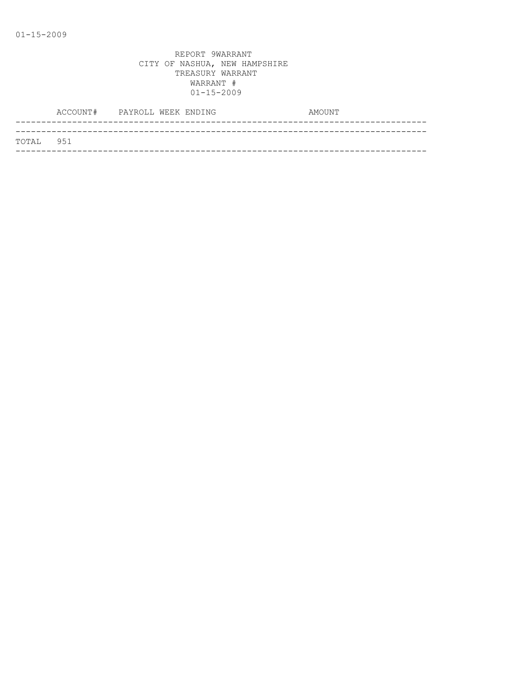| TOTAL 951 |  |
|-----------|--|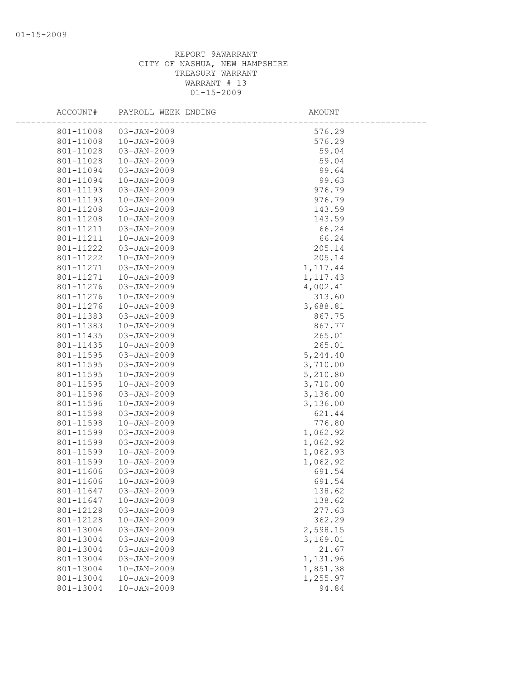| ACCOUNT#  | PAYROLL WEEK ENDING | AMOUNT    |
|-----------|---------------------|-----------|
| 801-11008 | 03-JAN-2009         | 576.29    |
| 801-11008 | $10 - JAN - 2009$   | 576.29    |
| 801-11028 | 03-JAN-2009         | 59.04     |
| 801-11028 | $10 - JAN - 2009$   | 59.04     |
| 801-11094 | 03-JAN-2009         | 99.64     |
| 801-11094 | $10 - JAN - 2009$   | 99.63     |
| 801-11193 | 03-JAN-2009         | 976.79    |
| 801-11193 | $10 - JAN - 2009$   | 976.79    |
| 801-11208 | 03-JAN-2009         | 143.59    |
| 801-11208 | $10 - JAN - 2009$   | 143.59    |
| 801-11211 | 03-JAN-2009         | 66.24     |
| 801-11211 | $10 - JAN - 2009$   | 66.24     |
| 801-11222 | 03-JAN-2009         | 205.14    |
| 801-11222 | $10 - JAN - 2009$   | 205.14    |
| 801-11271 | 03-JAN-2009         | 1, 117.44 |
| 801-11271 | $10 - JAN - 2009$   | 1, 117.43 |
| 801-11276 | 03-JAN-2009         | 4,002.41  |
| 801-11276 | $10 - JAN - 2009$   | 313.60    |
| 801-11276 | $10 - JAN - 2009$   | 3,688.81  |
| 801-11383 | 03-JAN-2009         | 867.75    |
| 801-11383 | $10 - JAN - 2009$   | 867.77    |
| 801-11435 | 03-JAN-2009         | 265.01    |
| 801-11435 | $10 - JAN - 2009$   | 265.01    |
| 801-11595 | 03-JAN-2009         | 5,244.40  |
| 801-11595 | 03-JAN-2009         | 3,710.00  |
| 801-11595 | $10 - JAN - 2009$   | 5,210.80  |
| 801-11595 | $10 - JAN - 2009$   | 3,710.00  |
| 801-11596 | 03-JAN-2009         | 3,136.00  |
| 801-11596 | $10 - JAN - 2009$   | 3,136.00  |
| 801-11598 | 03-JAN-2009         | 621.44    |
| 801-11598 | $10 - JAN - 2009$   | 776.80    |
| 801-11599 | 03-JAN-2009         | 1,062.92  |
| 801-11599 | $03 - JAN - 2009$   | 1,062.92  |
| 801-11599 | $10 - JAN - 2009$   | 1,062.93  |
| 801-11599 | $10 - JAN - 2009$   | 1,062.92  |
| 801-11606 | 03-JAN-2009         | 691.54    |
| 801-11606 | $10 - JAN - 2009$   | 691.54    |
| 801-11647 | 03-JAN-2009         | 138.62    |
| 801-11647 | $10 - JAN - 2009$   | 138.62    |
| 801-12128 | $03 - JAN - 2009$   | 277.63    |
| 801-12128 | $10 - JAN - 2009$   | 362.29    |
| 801-13004 | $03 - JAN - 2009$   | 2,598.15  |
| 801-13004 | $03 - JAN - 2009$   | 3,169.01  |
| 801-13004 | 03-JAN-2009         | 21.67     |
| 801-13004 | 03-JAN-2009         | 1,131.96  |
| 801-13004 | $10 - JAN - 2009$   | 1,851.38  |
| 801-13004 | $10 - JAN - 2009$   | 1,255.97  |
| 801-13004 | $10 - JAN - 2009$   | 94.84     |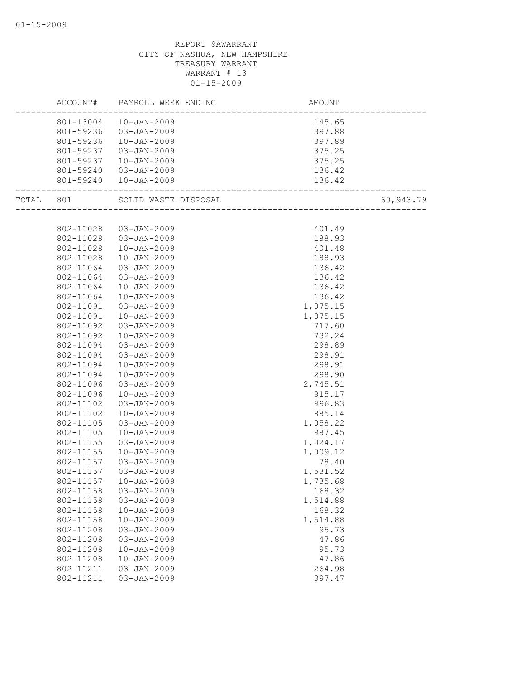|           | ACCOUNT#  | PAYROLL WEEK ENDING    | AMOUNT                      |           |
|-----------|-----------|------------------------|-----------------------------|-----------|
|           |           | 801-13004  10-JAN-2009 | 145.65                      |           |
|           | 801-59236 | 03-JAN-2009            | 397.88                      |           |
|           | 801-59236 | 10-JAN-2009            | 397.89                      |           |
|           | 801-59237 | 03-JAN-2009            | 375.25                      |           |
|           | 801-59237 | 10-JAN-2009            | 375.25                      |           |
|           | 801-59240 | 03-JAN-2009            | 136.42                      |           |
|           |           | 801-59240  10-JAN-2009 | 136.42                      |           |
| TOTAL 801 |           | SOLID WASTE DISPOSAL   | -<br>---------------------- | 60,943.79 |
|           |           |                        |                             |           |
|           | 802-11028 | 03-JAN-2009            | 401.49                      |           |
|           | 802-11028 | 03-JAN-2009            | 188.93                      |           |
|           | 802-11028 | $10 - JAN - 2009$      | 401.48                      |           |
|           | 802-11028 | $10 - JAN - 2009$      | 188.93                      |           |
|           | 802-11064 | 03-JAN-2009            | 136.42                      |           |
|           | 802-11064 | 03-JAN-2009            | 136.42                      |           |
|           | 802-11064 | $10 - JAN - 2009$      | 136.42                      |           |
|           | 802-11064 | $10 - JAN - 2009$      | 136.42                      |           |
|           | 802-11091 | 03-JAN-2009            | 1,075.15                    |           |
|           | 802-11091 | $10 - JAN - 2009$      | 1,075.15                    |           |
|           | 802-11092 | $03 - JAN - 2009$      | 717.60                      |           |
|           | 802-11092 | $10 - JAN - 2009$      | 732.24                      |           |
|           | 802-11094 | $03 - JAN - 2009$      | 298.89                      |           |
|           | 802-11094 | $03 - JAN - 2009$      | 298.91                      |           |
|           | 802-11094 | $10 - JAN - 2009$      | 298.91                      |           |
|           | 802-11094 | $10 - JAN - 2009$      | 298.90                      |           |
|           | 802-11096 | $03 - JAN - 2009$      | 2,745.51                    |           |
|           | 802-11096 | $10 - JAN - 2009$      | 915.17                      |           |
|           | 802-11102 | 03-JAN-2009            | 996.83                      |           |
|           | 802-11102 | $10 - JAN - 2009$      | 885.14                      |           |
|           | 802-11105 | $03 - JAN - 2009$      | 1,058.22                    |           |
|           | 802-11105 | $10 - JAN - 2009$      | 987.45                      |           |
|           | 802-11155 | $03 - JAN - 2009$      | 1,024.17                    |           |
|           | 802-11155 | $10 - JAN - 2009$      | 1,009.12                    |           |
|           | 802-11157 | 03-JAN-2009            | 78.40                       |           |
|           | 802-11157 | 03-JAN-2009            | 1,531.52                    |           |
|           | 802-11157 | $10 - JAN - 2009$      | 1,735.68                    |           |
|           | 802-11158 | 03-JAN-2009            | 168.32                      |           |
|           | 802-11158 | $03 - JAN - 2009$      | 1,514.88                    |           |
|           | 802-11158 | $10 - JAN - 2009$      | 168.32                      |           |
|           | 802-11158 | $10 - JAN - 2009$      | 1,514.88                    |           |
|           | 802-11208 | $03 - JAN - 2009$      | 95.73                       |           |
|           | 802-11208 | $03 - JAN - 2009$      | 47.86                       |           |
|           | 802-11208 | $10 - JAN - 2009$      | 95.73                       |           |
|           | 802-11208 | $10 - JAN - 2009$      | 47.86                       |           |
|           | 802-11211 | $03 - JAN - 2009$      | 264.98                      |           |
|           | 802-11211 | $03 - JAN - 2009$      | 397.47                      |           |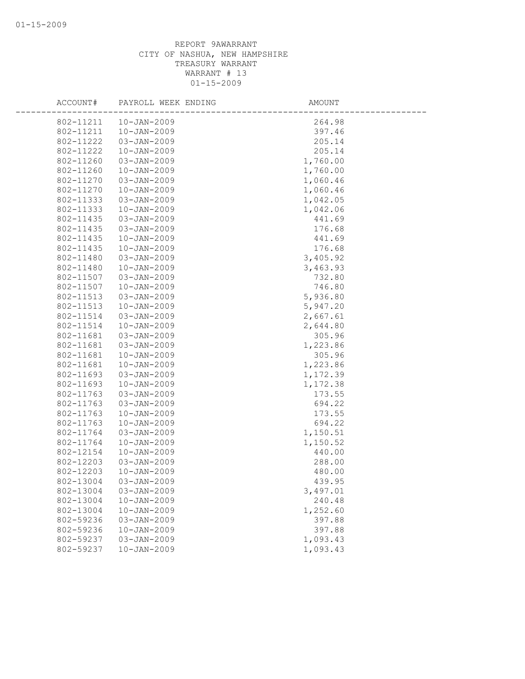| ACCOUNT#  | PAYROLL WEEK ENDING | AMOUNT   |
|-----------|---------------------|----------|
| 802-11211 | $10 - JAN - 2009$   | 264.98   |
| 802-11211 | $10 - JAN - 2009$   | 397.46   |
| 802-11222 | $03 - JAN - 2009$   | 205.14   |
| 802-11222 | $10 - JAN - 2009$   | 205.14   |
| 802-11260 | $03 - JAN - 2009$   | 1,760.00 |
| 802-11260 | $10 - JAN - 2009$   | 1,760.00 |
| 802-11270 | $03 - JAN - 2009$   | 1,060.46 |
| 802-11270 | $10 - JAN - 2009$   | 1,060.46 |
| 802-11333 | $03 - JAN - 2009$   | 1,042.05 |
| 802-11333 | $10 - JAN - 2009$   | 1,042.06 |
| 802-11435 | $03 - JAN - 2009$   | 441.69   |
| 802-11435 | $03 - JAN - 2009$   | 176.68   |
| 802-11435 | $10 - JAN - 2009$   | 441.69   |
| 802-11435 | $10 - JAN - 2009$   | 176.68   |
| 802-11480 | 03-JAN-2009         | 3,405.92 |
| 802-11480 | $10 - JAN - 2009$   | 3,463.93 |
| 802-11507 | $03 - JAN - 2009$   | 732.80   |
| 802-11507 | $10 - JAN - 2009$   | 746.80   |
| 802-11513 | $03 - JAN - 2009$   | 5,936.80 |
| 802-11513 | $10 - JAN - 2009$   | 5,947.20 |
| 802-11514 | $03 - JAN - 2009$   | 2,667.61 |
| 802-11514 | $10 - JAN - 2009$   | 2,644.80 |
| 802-11681 | 03-JAN-2009         | 305.96   |
| 802-11681 | 03-JAN-2009         | 1,223.86 |
| 802-11681 | $10 - JAN - 2009$   | 305.96   |
| 802-11681 | $10 - JAN - 2009$   | 1,223.86 |
| 802-11693 | $03 - JAN - 2009$   | 1,172.39 |
| 802-11693 | $10 - JAN - 2009$   | 1,172.38 |
| 802-11763 | $03 - JAN - 2009$   | 173.55   |
| 802-11763 | $03 - JAN - 2009$   | 694.22   |
| 802-11763 | $10 - JAN - 2009$   | 173.55   |
| 802-11763 | $10 - JAN - 2009$   | 694.22   |
| 802-11764 | 03-JAN-2009         | 1,150.51 |
| 802-11764 | $10 - JAN - 2009$   | 1,150.52 |
| 802-12154 | $10 - JAN - 2009$   | 440.00   |
| 802-12203 | 03-JAN-2009         | 288.00   |
| 802-12203 | $10 - JAN - 2009$   | 480.00   |
| 802-13004 | 03-JAN-2009         | 439.95   |
| 802-13004 | 03-JAN-2009         | 3,497.01 |
| 802-13004 | $10 - JAN - 2009$   | 240.48   |
| 802-13004 | $10 - JAN - 2009$   | 1,252.60 |
| 802-59236 | $03 - JAN - 2009$   | 397.88   |
| 802-59236 | $10 - JAN - 2009$   | 397.88   |
| 802-59237 | $03 - JAN - 2009$   | 1,093.43 |
| 802-59237 | $10 - JAN - 2009$   | 1,093.43 |